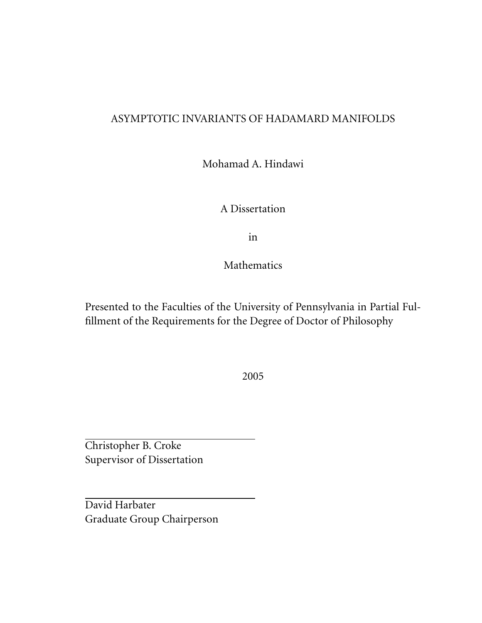### ASYMPTOTIC INVARIANTS OF HADAMARD MANIFOLDS

Mohamad A. Hindawi

A Dissertation

in

Mathematics

Presented to the Faculties of the University of Pennsylvania in Partial Fulfillment of the Requirements for the Degree of Doctor of Philosophy

2005

Christopher B. Croke Supervisor of Dissertation

David Harbater Graduate Group Chairperson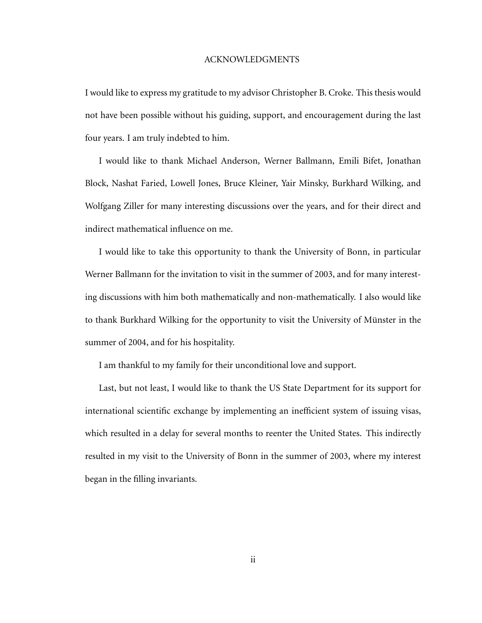### <span id="page-1-0"></span>ACKNOWLEDGMENTS

I would like to express my gratitude to my advisor Christopher B. Croke. This thesis would not have been possible without his guiding, support, and encouragement during the last four years. I am truly indebted to him.

I would like to thank Michael Anderson, Werner Ballmann, Emili Bifet, Jonathan Block, Nashat Faried, Lowell Jones, Bruce Kleiner, Yair Minsky, Burkhard Wilking, and Wolfgang Ziller for many interesting discussions over the years, and for their direct and indirect mathematical influence on me.

I would like to take this opportunity to thank the University of Bonn, in particular Werner Ballmann for the invitation to visit in the summer of 2003, and for many interesting discussions with him both mathematically and non-mathematically. I also would like to thank Burkhard Wilking for the opportunity to visit the University of Münster in the summer of 2004, and for his hospitality.

I am thankful to my family for their unconditional love and support.

Last, but not least, I would like to thank the US State Department for its support for international scientific exchange by implementing an inefficient system of issuing visas, which resulted in a delay for several months to reenter the United States. This indirectly resulted in my visit to the University of Bonn in the summer of 2003, where my interest began in the filling invariants.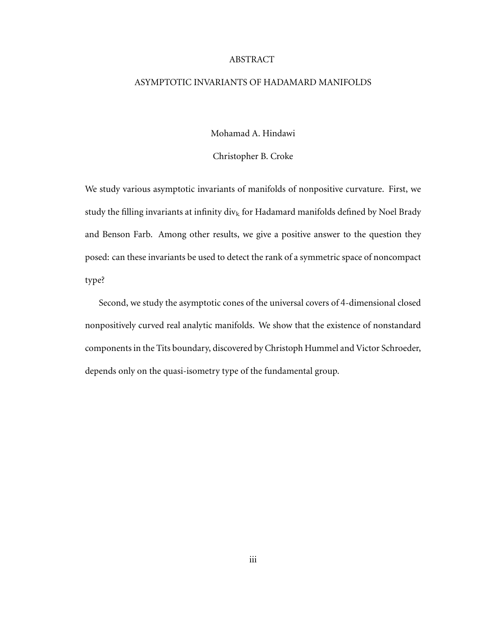#### ABSTRACT

### ASYMPTOTIC INVARIANTS OF HADAMARD MANIFOLDS

Mohamad A. Hindawi

Christopher B. Croke

We study various asymptotic invariants of manifolds of nonpositive curvature. First, we study the filling invariants at infinity div<sub>k</sub> for Hadamard manifolds defined by Noel Brady and Benson Farb. Among other results, we give a positive answer to the question they posed: can these invariants be used to detect the rank of a symmetric space of noncompact type?

Second, we study the asymptotic cones of the universal covers of 4-dimensional closed nonpositively curved real analytic manifolds. We show that the existence of nonstandard components in the Tits boundary, discovered by Christoph Hummel and Victor Schroeder, depends only on the quasi-isometry type of the fundamental group.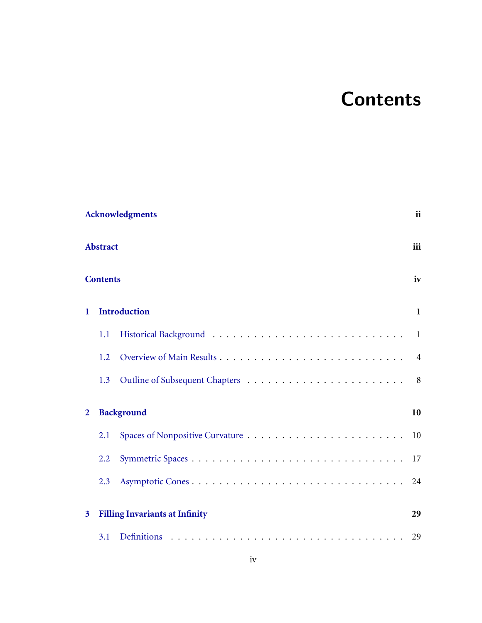### **Contents**

<span id="page-3-0"></span>

|                | <b>Acknowledgments</b>                |                     |                |  |
|----------------|---------------------------------------|---------------------|----------------|--|
|                | <b>Abstract</b>                       |                     |                |  |
|                | <b>Contents</b>                       |                     | iv             |  |
| $\mathbf{1}$   |                                       | <b>Introduction</b> | $\mathbf{1}$   |  |
|                | 1.1                                   |                     | $\overline{1}$ |  |
|                | 1.2                                   |                     | $\overline{4}$ |  |
|                | 1.3                                   |                     | 8              |  |
| $\overline{2}$ |                                       | <b>Background</b>   | 10             |  |
|                | 2.1                                   |                     | 10             |  |
|                | 2.2                                   |                     | 17             |  |
|                | 2.3                                   |                     | 24             |  |
| 3              | <b>Filling Invariants at Infinity</b> |                     |                |  |
|                | 3.1                                   |                     | 29             |  |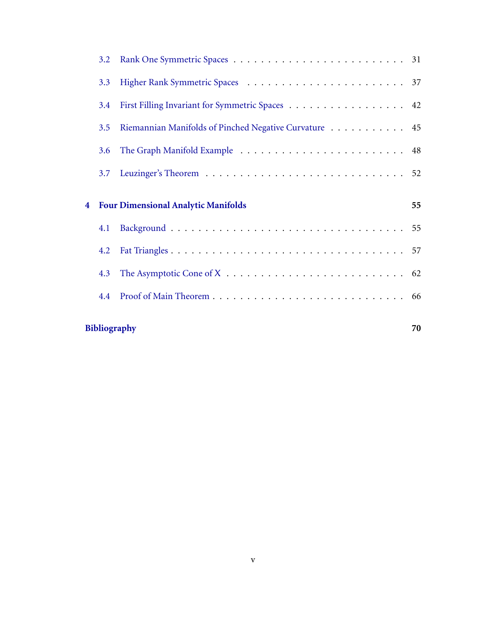|                         | 4.2<br>4.3<br>4.4 |                                                       |    |
|-------------------------|-------------------|-------------------------------------------------------|----|
|                         |                   |                                                       |    |
|                         |                   |                                                       |    |
|                         |                   |                                                       |    |
|                         | 4.1               |                                                       |    |
| $\overline{\mathbf{4}}$ |                   | <b>Four Dimensional Analytic Manifolds</b>            | 55 |
|                         | 3.7               |                                                       |    |
|                         | 3.6               |                                                       |    |
|                         | 3.5               | Riemannian Manifolds of Pinched Negative Curvature 45 |    |
|                         | 3.4               | First Filling Invariant for Symmetric Spaces 42       |    |
|                         | 3.3               |                                                       |    |
|                         | $3.2^{\circ}$     |                                                       |    |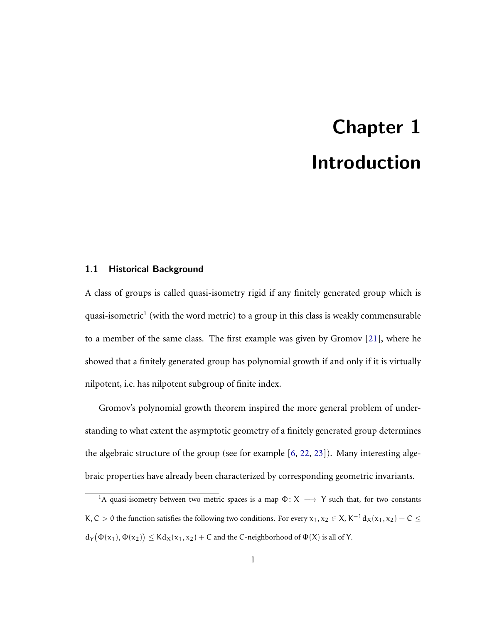### Chapter 1 Introduction

### <span id="page-5-1"></span><span id="page-5-0"></span>1.1 Historical Background

A class of groups is called quasi-isometry rigid if any finitely generated group which is quasi-isometric<sup>1</sup> (with the word metric) to a group in this class is weakly commensurable to a member of the same class. The first example was given by Gromov [\[21\]](#page-76-0), where he showed that a finitely generated group has polynomial growth if and only if it is virtually nilpotent, i.e. has nilpotent subgroup of finite index.

Gromov's polynomial growth theorem inspired the more general problem of understanding to what extent the asymptotic geometry of a finitely generated group determines the algebraic structure of the group (see for example [\[6,](#page-75-0) [22,](#page-76-1) [23\]](#page-77-0)). Many interesting algebraic properties have already been characterized by corresponding geometric invariants.

<sup>&</sup>lt;sup>1</sup>A quasi-isometry between two metric spaces is a map  $\Phi$ : X  $\longrightarrow$  Y such that, for two constants K, C  $>$  0 the function satisfies the following two conditions. For every  $x_1, x_2 \in X$ , K<sup>-1</sup> d<sub>X</sub>(x<sub>1</sub>, x<sub>2</sub>) – C  $\le$  $d_Y(\Phi(x_1), \Phi(x_2)) \leq K d_X(x_1, x_2) + C$  and the C-neighborhood of  $\Phi(X)$  is all of Y.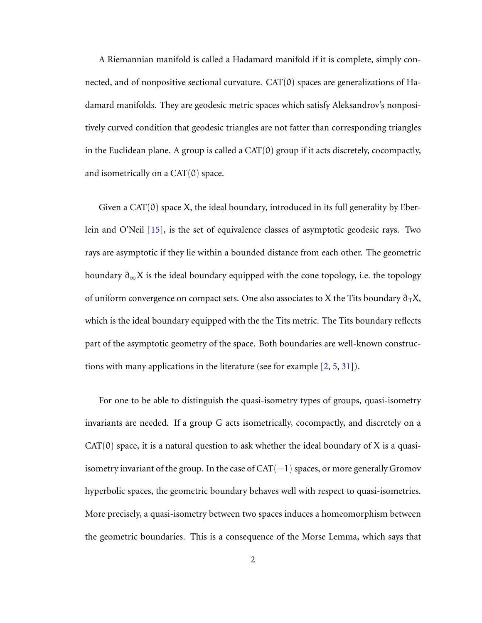A Riemannian manifold is called a Hadamard manifold if it is complete, simply connected, and of nonpositive sectional curvature.  $CAT(0)$  spaces are generalizations of Hadamard manifolds. They are geodesic metric spaces which satisfy Aleksandrov's nonpositively curved condition that geodesic triangles are not fatter than corresponding triangles in the Euclidean plane. A group is called a CAT(0) group if it acts discretely, cocompactly, and isometrically on a  $CAT(0)$  space.

Given a  $CAT(0)$  space X, the ideal boundary, introduced in its full generality by Eberlein and O'Neil [\[15\]](#page-76-2), is the set of equivalence classes of asymptotic geodesic rays. Two rays are asymptotic if they lie within a bounded distance from each other. The geometric boundary  $\partial_{\infty}X$  is the ideal boundary equipped with the cone topology, i.e. the topology of uniform convergence on compact sets. One also associates to X the Tits boundary  $\partial_T X$ , which is the ideal boundary equipped with the the Tits metric. The Tits boundary reflects part of the asymptotic geometry of the space. Both boundaries are well-known constructions with many applications in the literature (see for example [\[2,](#page-74-1) [5,](#page-74-2) [31\]](#page-78-0)).

For one to be able to distinguish the quasi-isometry types of groups, quasi-isometry invariants are needed. If a group G acts isometrically, cocompactly, and discretely on a  $CAT(0)$  space, it is a natural question to ask whether the ideal boundary of X is a quasiisometry invariant of the group. In the case of  $CAT(-1)$  spaces, or more generally Gromov hyperbolic spaces, the geometric boundary behaves well with respect to quasi-isometries. More precisely, a quasi-isometry between two spaces induces a homeomorphism between the geometric boundaries. This is a consequence of the Morse Lemma, which says that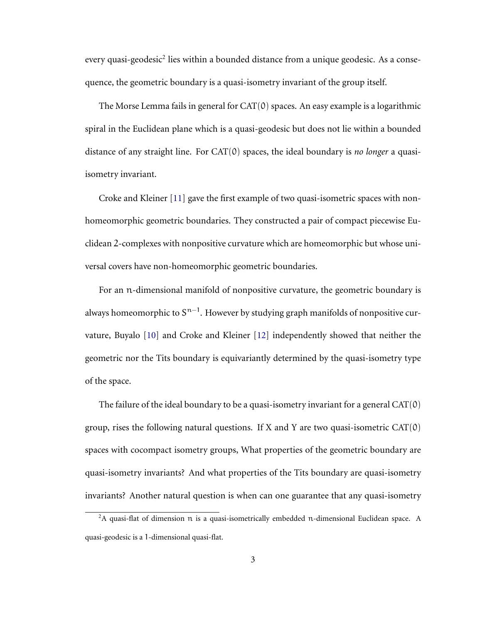every quasi-geodesic<sup>2</sup> lies within a bounded distance from a unique geodesic. As a consequence, the geometric boundary is a quasi-isometry invariant of the group itself.

The Morse Lemma fails in general for  $CAT(0)$  spaces. An easy example is a logarithmic spiral in the Euclidean plane which is a quasi-geodesic but does not lie within a bounded distance of any straight line. For CAT(0) spaces, the ideal boundary is *no longer* a quasiisometry invariant.

Croke and Kleiner [\[11\]](#page-75-1) gave the first example of two quasi-isometric spaces with nonhomeomorphic geometric boundaries. They constructed a pair of compact piecewise Euclidean 2-complexes with nonpositive curvature which are homeomorphic but whose universal covers have non-homeomorphic geometric boundaries.

For an n-dimensional manifold of nonpositive curvature, the geometric boundary is always homeomorphic to  $S^{n-1}$ . However by studying graph manifolds of nonpositive curvature, Buyalo [\[10\]](#page-75-2) and Croke and Kleiner [\[12\]](#page-75-3) independently showed that neither the geometric nor the Tits boundary is equivariantly determined by the quasi-isometry type of the space.

The failure of the ideal boundary to be a quasi-isometry invariant for a general  $CAT(0)$ group, rises the following natural questions. If X and Y are two quasi-isometric CAT(0) spaces with cocompact isometry groups, What properties of the geometric boundary are quasi-isometry invariants? And what properties of the Tits boundary are quasi-isometry invariants? Another natural question is when can one guarantee that any quasi-isometry

<sup>&</sup>lt;sup>2</sup>A quasi-flat of dimension  $\pi$  is a quasi-isometrically embedded  $\pi$ -dimensional Euclidean space. A quasi-geodesic is a 1-dimensional quasi-flat.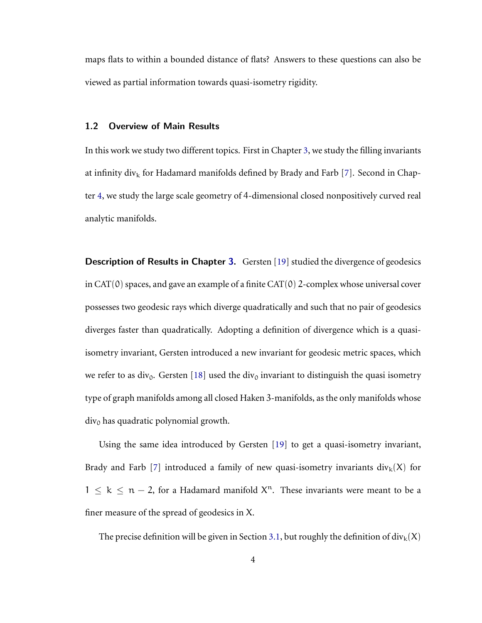<span id="page-8-0"></span>maps flats to within a bounded distance of flats? Answers to these questions can also be viewed as partial information towards quasi-isometry rigidity.

### 1.2 Overview of Main Results

In this work we study two different topics. First in Chapter [3,](#page-33-0) we study the filling invariants at infinity div<sub>k</sub> for Hadamard manifolds defined by Brady and Farb [\[7\]](#page-75-4). Second in Chapter [4,](#page-59-0) we study the large scale geometry of 4-dimensional closed nonpositively curved real analytic manifolds.

**Description of Results in Chapter [3.](#page-33-0)** Gersten [\[19\]](#page-76-3) studied the divergence of geodesics in CAT(0) spaces, and gave an example of a finite CAT(0) 2-complex whose universal cover possesses two geodesic rays which diverge quadratically and such that no pair of geodesics diverges faster than quadratically. Adopting a definition of divergence which is a quasiisometry invariant, Gersten introduced a new invariant for geodesic metric spaces, which we refer to as div<sub>0</sub>. Gersten [\[18\]](#page-76-4) used the div<sub>0</sub> invariant to distinguish the quasi isometry type of graph manifolds among all closed Haken 3-manifolds, as the only manifolds whose  $div<sub>0</sub>$  has quadratic polynomial growth.

Using the same idea introduced by Gersten [\[19\]](#page-76-3) to get a quasi-isometry invariant, Brady and Farb [\[7\]](#page-75-4) introduced a family of new quasi-isometry invariants  $div_k(X)$  for  $1 \leq k \leq n-2$ , for a Hadamard manifold  $X<sup>n</sup>$ . These invariants were meant to be a finer measure of the spread of geodesics in X.

The precise definition will be given in Section [3.1,](#page-33-1) but roughly the definition of  $div_k(X)$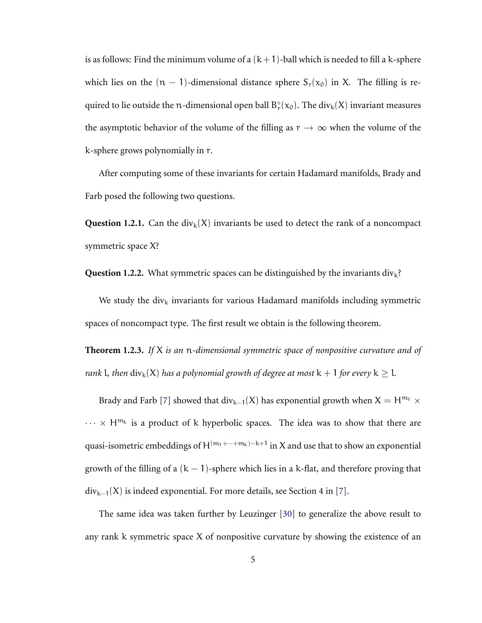is as follows: Find the minimum volume of a  $(k+1)$ -ball which is needed to fill a k-sphere which lies on the  $(n - 1)$ -dimensional distance sphere  $S_r(x_0)$  in X. The filling is required to lie outside the n-dimensional open ball  $B_r^{\circ}(x_0)$ . The  $\text{div}_k(X)$  invariant measures the asymptotic behavior of the volume of the filling as  $r \to \infty$  when the volume of the k-sphere grows polynomially in r.

After computing some of these invariants for certain Hadamard manifolds, Brady and Farb posed the following two questions.

<span id="page-9-1"></span>**Question 1.2.1.** Can the div<sub>k</sub>(X) invariants be used to detect the rank of a noncompact symmetric space X?

**Question 1.2.2.** What symmetric spaces can be distinguished by the invariants  $div_k$ ?

We study the div<sub>k</sub> invariants for various Hadamard manifolds including symmetric spaces of noncompact type. The first result we obtain is the following theorem.

<span id="page-9-0"></span>**Theorem 1.2.3.** *If* X *is an* n*-dimensional symmetric space of nonpositive curvature and of rank l, then*  $\text{div}_k(X)$  *has a polynomial growth of degree at most*  $k + 1$  *for every*  $k > 1$ *.* 

Brady and Farb [\[7\]](#page-75-4) showed that div<sub>k−1</sub>(X) has exponential growth when  $X = H^{m_1} \times$  $\cdots \times H^{m_k}$  is a product of k hyperbolic spaces. The idea was to show that there are quasi-isometric embeddings of H $^{(m_1+\cdots+m_k)-k+1}$  in X and use that to show an exponential growth of the filling of a  $(k - 1)$ -sphere which lies in a k-flat, and therefore proving that  $div_{k-1}(X)$  is indeed exponential. For more details, see Section 4 in [\[7\]](#page-75-4).

The same idea was taken further by Leuzinger [\[30\]](#page-77-1) to generalize the above result to any rank k symmetric space X of nonpositive curvature by showing the existence of an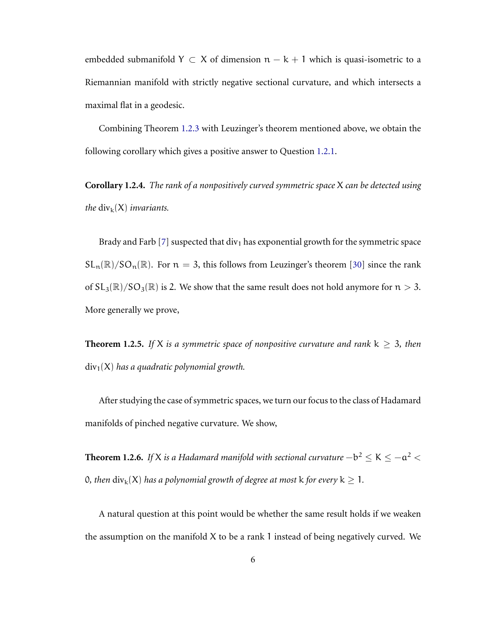embedded submanifold  $Y \subset X$  of dimension  $n - k + 1$  which is quasi-isometric to a Riemannian manifold with strictly negative sectional curvature, and which intersects a maximal flat in a geodesic.

Combining Theorem [1.2.3](#page-9-0) with Leuzinger's theorem mentioned above, we obtain the following corollary which gives a positive answer to Question [1.2.1.](#page-9-1)

**Corollary 1.2.4.** *The rank of a nonpositively curved symmetric space* X *can be detected using the*  $\text{div}_k(X)$  *invariants.* 

Brady and Farb [\[7\]](#page-75-4) suspected that div<sub>1</sub> has exponential growth for the symmetric space  $SL_n(\mathbb{R})/SO_n(\mathbb{R})$ . For  $n=3$ , this follows from Leuzinger's theorem [\[30\]](#page-77-1) since the rank of  $SL_3(\mathbb{R})/SO_3(\mathbb{R})$  is 2. We show that the same result does not hold anymore for  $n > 3$ . More generally we prove,

<span id="page-10-0"></span>**Theorem 1.2.5.** *If* X *is a symmetric space of nonpositive curvature and rank*  $k \ge 3$ *, then* div1(X) *has a quadratic polynomial growth.*

After studying the case of symmetric spaces, we turn our focus to the class of Hadamard manifolds of pinched negative curvature. We show,

<span id="page-10-1"></span>**Theorem 1.2.6.** If X is a Hadamard manifold with sectional curvature  $-b^2 \leq K \leq -a^2 <$ 0, then  $\text{div}_{k}(X)$  *has a polynomial growth of degree at most* k *for every*  $k \geq 1$ *.* 

A natural question at this point would be whether the same result holds if we weaken the assumption on the manifold  $X$  to be a rank 1 instead of being negatively curved. We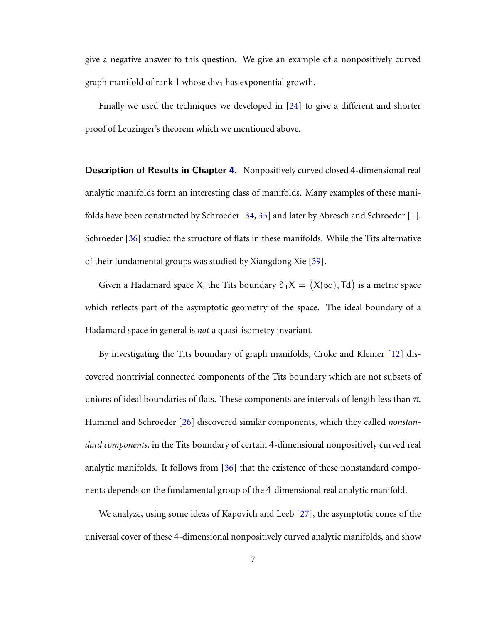give a negative answer to this question. We give an example of a nonpositively curved graph manifold of rank 1 whose div<sub>1</sub> has exponential growth.

Finally we used the techniques we developed in [\[24\]](#page-77-2) to give a different and shorter proof of Leuzinger's theorem which we mentioned above.

**Description of Results in Chapter [4.](#page-59-0)** Nonpositively curved closed 4-dimensional real analytic manifolds form an interesting class of manifolds. Many examples of these manifolds have been constructed by Schroeder [\[34,](#page-78-1) [35\]](#page-78-2) and later by Abresch and Schroeder [\[1\]](#page-74-3). Schroeder [\[36\]](#page-78-3) studied the structure of flats in these manifolds. While the Tits alternative of their fundamental groups was studied by Xiangdong Xie [\[39\]](#page-78-4).

Given a Hadamard space X, the Tits boundary  $\partial_T X = (X(\infty), \text{Td})$  is a metric space which reflects part of the asymptotic geometry of the space. The ideal boundary of a Hadamard space in general is *not* a quasi-isometry invariant.

By investigating the Tits boundary of graph manifolds, Croke and Kleiner [\[12\]](#page-75-3) discovered nontrivial connected components of the Tits boundary which are not subsets of unions of ideal boundaries of flats. These components are intervals of length less than  $\pi$ . Hummel and Schroeder [\[26\]](#page-77-3) discovered similar components, which they called *nonstandard components,* in the Tits boundary of certain 4-dimensional nonpositively curved real analytic manifolds. It follows from [\[36\]](#page-78-3) that the existence of these nonstandard components depends on the fundamental group of the 4-dimensional real analytic manifold.

We analyze, using some ideas of Kapovich and Leeb [\[27\]](#page-77-4), the asymptotic cones of the universal cover of these 4-dimensional nonpositively curved analytic manifolds, and show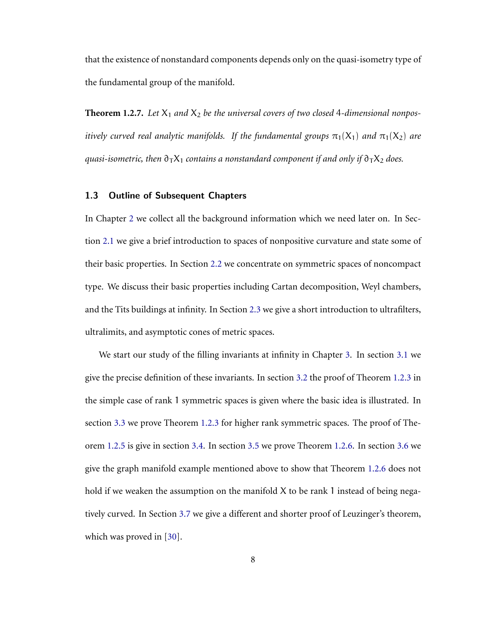that the existence of nonstandard components depends only on the quasi-isometry type of the fundamental group of the manifold.

<span id="page-12-1"></span>**Theorem 1.2.7.** Let  $X_1$  and  $X_2$  be the universal covers of two closed 4-dimensional nonpos*itively curved real analytic manifolds. If the fundamental groups*  $\pi_1(X_1)$  *and*  $\pi_1(X_2)$  *are quasi-isometric, then*  $\partial_T X_1$  *contains a nonstandard component if and only if*  $\partial_T X_2$  *does.* 

### <span id="page-12-0"></span>1.3 Outline of Subsequent Chapters

In Chapter [2](#page-14-0) we collect all the background information which we need later on. In Section [2.1](#page-14-1) we give a brief introduction to spaces of nonpositive curvature and state some of their basic properties. In Section [2.2](#page-21-0) we concentrate on symmetric spaces of noncompact type. We discuss their basic properties including Cartan decomposition, Weyl chambers, and the Tits buildings at infinity. In Section [2.3](#page-27-0) we give a short introduction to ultrafilters, ultralimits, and asymptotic cones of metric spaces.

We start our study of the filling invariants at infinity in Chapter [3.](#page-33-0) In section [3.1](#page-33-1) we give the precise definition of these invariants. In section [3.2](#page-35-0) the proof of Theorem [1.2.3](#page-9-0) in the simple case of rank 1 symmetric spaces is given where the basic idea is illustrated. In section [3.3](#page-41-0) we prove Theorem [1.2.3](#page-9-0) for higher rank symmetric spaces. The proof of Theorem [1.2.5](#page-10-0) is give in section [3.4.](#page-46-0) In section [3.5](#page-49-0) we prove Theorem [1.2.6.](#page-10-1) In section [3.6](#page-52-0) we give the graph manifold example mentioned above to show that Theorem [1.2.6](#page-10-1) does not hold if we weaken the assumption on the manifold  $X$  to be rank 1 instead of being negatively curved. In Section [3.7](#page-56-0) we give a different and shorter proof of Leuzinger's theorem, which was proved in [\[30\]](#page-77-1).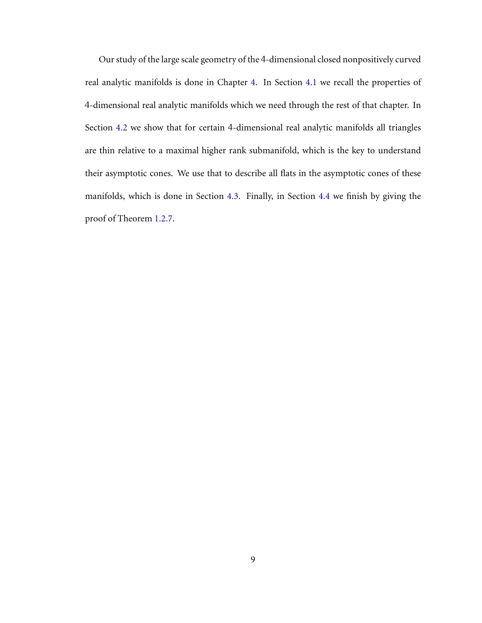Our study of the large scale geometry of the 4-dimensional closed nonpositively curved real analytic manifolds is done in Chapter [4.](#page-59-0) In Section [4.1](#page-59-1) we recall the properties of 4-dimensional real analytic manifolds which we need through the rest of that chapter. In Section [4.2](#page-61-0) we show that for certain 4-dimensional real analytic manifolds all triangles are thin relative to a maximal higher rank submanifold, which is the key to understand their asymptotic cones. We use that to describe all flats in the asymptotic cones of these manifolds, which is done in Section [4.3.](#page-66-0) Finally, in Section [4.4](#page-70-0) we finish by giving the proof of Theorem [1.2.7.](#page-12-1)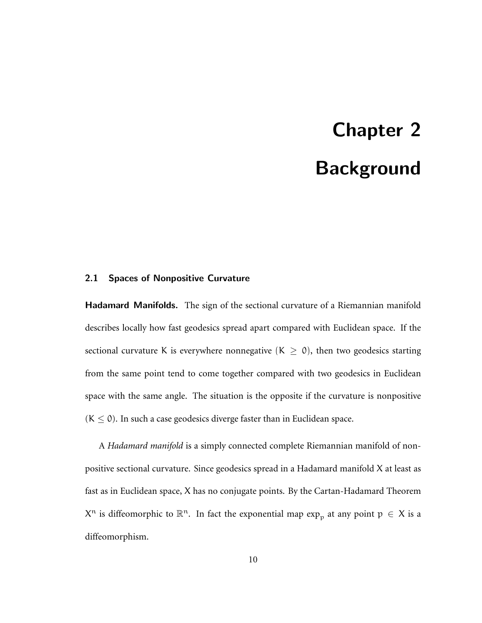## Chapter 2 Background

#### <span id="page-14-1"></span><span id="page-14-0"></span>2.1 Spaces of Nonpositive Curvature

Hadamard Manifolds. The sign of the sectional curvature of a Riemannian manifold describes locally how fast geodesics spread apart compared with Euclidean space. If the sectional curvature K is everywhere nonnegative  $(K \ge 0)$ , then two geodesics starting from the same point tend to come together compared with two geodesics in Euclidean space with the same angle. The situation is the opposite if the curvature is nonpositive  $(K \le 0)$ . In such a case geodesics diverge faster than in Euclidean space.

A *Hadamard manifold* is a simply connected complete Riemannian manifold of nonpositive sectional curvature. Since geodesics spread in a Hadamard manifold X at least as fast as in Euclidean space, X has no conjugate points. By the Cartan-Hadamard Theorem  $X^n$  is diffeomorphic to  $\mathbb{R}^n$ . In fact the exponential map  $\exp_{\mathbf{p}}$  at any point  $p \in X$  is a diffeomorphism.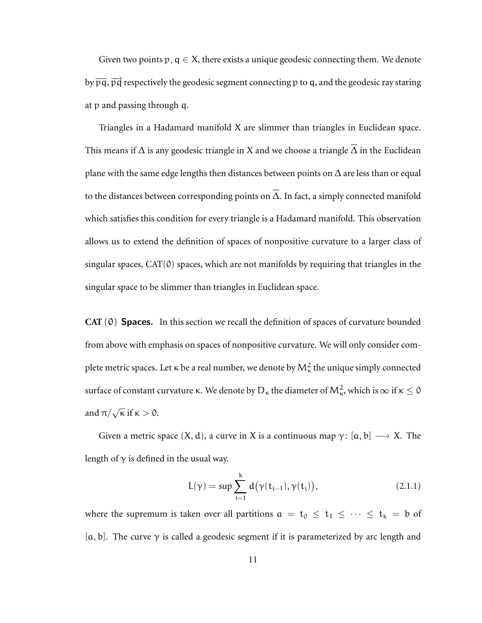Given two points p,  $q \in X$ , there exists a unique geodesic connecting them. We denote by  $\overline{\mathrm{p}\mathrm{q}}$ ,  $\overrightarrow{\mathrm{p}\mathrm{q}}$  respectively the geodesic segment connecting  $\mathrm{p}$  to  $\mathrm{q},$  and the geodesic ray staring at p and passing through q.

Triangles in a Hadamard manifold X are slimmer than triangles in Euclidean space. This means if  $\Delta$  is any geodesic triangle in X and we choose a triangle  $\overline{\Delta}$  in the Euclidean plane with the same edge lengths then distances between points on  $\Delta$  are less than or equal to the distances between corresponding points on  $\overline{\Delta}$ . In fact, a simply connected manifold which satisfies this condition for every triangle is a Hadamard manifold. This observation allows us to extend the definition of spaces of nonpositive curvature to a larger class of singular spaces, CAT(0) spaces, which are not manifolds by requiring that triangles in the singular space to be slimmer than triangles in Euclidean space.

**CAT** (0) Spaces. In this section we recall the definition of spaces of curvature bounded from above with emphasis on spaces of nonpositive curvature. We will only consider complete metric spaces. Let  $\kappa$  be a real number, we denote by  ${\mathsf M}_\kappa^2$  the unique simply connected surface of constant curvature  $\kappa$ . We denote by  $D_{\kappa}$  the diameter of  $M_{\kappa}^2$ , which is  $\infty$  if  $\kappa \le 0$ and  $\pi/\sqrt{\kappa}$  if  $\kappa > 0$ .

Given a metric space  $(X, d)$ , a curve in X is a continuous map  $\gamma: [a, b] \longrightarrow X$ . The length of  $\gamma$  is defined in the usual way.

$$
L(\gamma) = \sup \sum_{i=1}^{k} d(\gamma(t_{i-1}), \gamma(t_i)), \qquad (2.1.1)
$$

where the supremum is taken over all partitions  $a = t_0 \le t_1 \le \cdots \le t_k = b$  of [a, b]. The curve  $\gamma$  is called a geodesic segment if it is parameterized by arc length and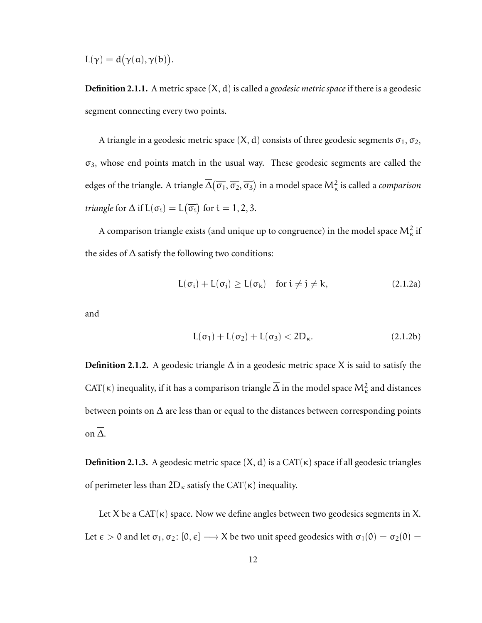$$
L(\gamma)=d\big(\gamma(\alpha),\gamma(b)\big).
$$

**Definition 2.1.1.** A metric space (X, d) is called a *geodesic metric space* if there is a geodesic segment connecting every two points.

A triangle in a geodesic metric space  $(X, d)$  consists of three geodesic segments  $\sigma_1, \sigma_2$ ,  $\sigma_3$ , whose end points match in the usual way. These geodesic segments are called the edges of the triangle. A triangle  $\Delta(\overline{\sigma_1},\overline{\sigma_2},\overline{\sigma_3})$  in a model space  $\mathsf{M}^2_\kappa$  is called a *comparison triangle* for  $\Delta$  if  $L(\sigma_i) = L(\overline{\sigma_i})$  for  $i = 1, 2, 3$ .

A comparison triangle exists (and unique up to congruence) in the model space  $\mathsf{M}^2_\kappa$  if the sides of  $\Delta$  satisfy the following two conditions:

$$
L(\sigma_i) + L(\sigma_j) \ge L(\sigma_k) \quad \text{for } i \ne j \ne k,
$$
 (2.1.2a)

and

$$
L(\sigma_1) + L(\sigma_2) + L(\sigma_3) < 2D_{\kappa}.\tag{2.1.2b}
$$

**Definition 2.1.2.** A geodesic triangle  $\Delta$  in a geodesic metric space X is said to satisfy the CAT( $\kappa$ ) inequality, if it has a comparison triangle  $\Delta$  in the model space  $\mathsf{M}^2_\kappa$  and distances between points on  $\Delta$  are less than or equal to the distances between corresponding points on ∆.

**Definition 2.1.3.** A geodesic metric space  $(X, d)$  is a CAT $(\kappa)$  space if all geodesic triangles of perimeter less than  $2D_{\kappa}$  satisfy the CAT( $\kappa$ ) inequality.

Let X be a CAT( $\kappa$ ) space. Now we define angles between two geodesics segments in X. Let  $\epsilon > 0$  and let  $\sigma_1, \sigma_2$ :  $[0, \epsilon] \longrightarrow X$  be two unit speed geodesics with  $\sigma_1(0) = \sigma_2(0)$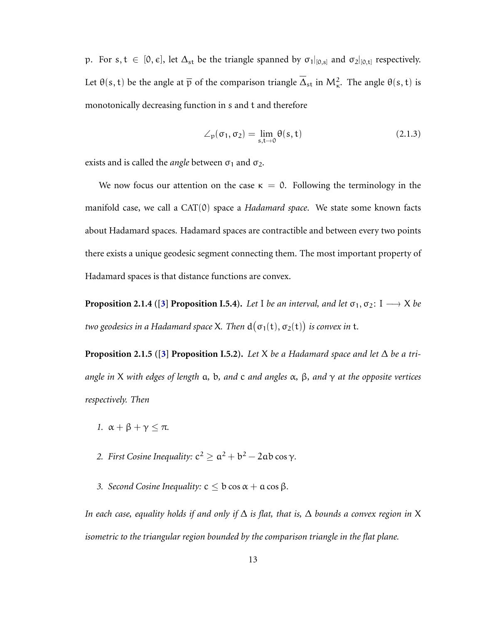p. For s,  $t \in [0, \epsilon]$ , let  $\Delta_{st}$  be the triangle spanned by  $\sigma_1|_{[0,s]}$  and  $\sigma_2|_{[0,t]}$  respectively. Let  $\theta(s, t)$  be the angle at  $\bar{p}$  of the comparison triangle  $\Delta_{st}$  in  $M_{\kappa}^2$ . The angle  $\theta(s, t)$  is monotonically decreasing function in s and t and therefore

$$
\angle_p(\sigma_1, \sigma_2) = \lim_{s, t \to 0} \theta(s, t) \tag{2.1.3}
$$

exists and is called the *angle* between  $\sigma_1$  and  $\sigma_2$ .

We now focus our attention on the case  $\kappa = 0$ . Following the terminology in the manifold case, we call a CAT(0) space a *Hadamard space*. We state some known facts about Hadamard spaces. Hadamard spaces are contractible and between every two points there exists a unique geodesic segment connecting them. The most important property of Hadamard spaces is that distance functions are convex.

**Proposition 2.1.4 ([\[3\]](#page-74-4) Proposition I.5.4).** *Let* I *be an interval, and let*  $\sigma_1, \sigma_2$ : I  $\longrightarrow X$  *be* two geodesics in a Hadamard space X. Then  $d\big(\sigma_1(\mathsf{t}),\sigma_2(\mathsf{t})\big)$  is convex in  $\mathsf{t}.$ 

**Proposition 2.1.5 ([\[3\]](#page-74-4) Proposition I.5.2).** *Let* X *be a Hadamard space and let*  $\Delta$  *be a triangle in* X *with edges of length* a*,* b*, and* c *and angles* α*,* β*, and* γ *at the opposite vertices respectively. Then*

- *1.*  $\alpha + \beta + \gamma \leq \pi$ .
- 2. *First Cosine Inequality:*  $c^2 \ge a^2 + b^2 2ab \cos \gamma$ .
- *3. Second Cosine Inequality:*  $c < b \cos \alpha + a \cos \beta$ .

*In each case, equality holds if and only if* ∆ *is flat, that is,* ∆ *bounds a convex region in* X *isometric to the triangular region bounded by the comparison triangle in the flat plane.*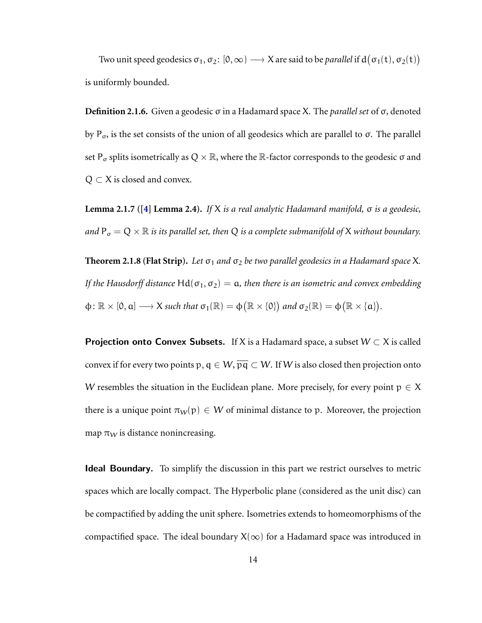Two unit speed geodesics  $\sigma_1, \sigma_2$ :  $[0, \infty) \longrightarrow X$  are said to be *parallel* if  $d(\sigma_1(t), \sigma_2(t))$ is uniformly bounded.

**Definition 2.1.6.** Given a geodesic σ in a Hadamard space X. The *parallel set* of σ, denoted by  $P_{\sigma}$ , is the set consists of the union of all geodesics which are parallel to σ. The parallel set P<sub> $\sigma$ </sub> splits isometrically as Q  $\times \mathbb{R}$ , where the R-factor corresponds to the geodesic  $\sigma$  and  $Q \subset X$  is closed and convex.

**Lemma 2.1.7 ([\[4\]](#page-74-5) Lemma 2.4).** *If* X *is a real analytic Hadamard manifold,* σ *is a geodesic, and*  $P_{\sigma} = Q \times \mathbb{R}$  *is its parallel set, then* Q *is a complete submanifold of* X *without boundary.* 

**Theorem 2.1.8 (Flat Strip).** Let  $\sigma_1$  and  $\sigma_2$  be two parallel geodesics in a Hadamard space X. *If the Hausdorff distance*  $\text{Hd}(\sigma_1, \sigma_2) = \text{a}$ , then there is an isometric and convex embedding  $\varphi \colon \mathbb{R} \times [0, a] \longrightarrow X$  such that  $\sigma_1(\mathbb{R}) = \varphi(\mathbb{R} \times \{0\})$  and  $\sigma_2(\mathbb{R}) = \varphi(\mathbb{R} \times \{a\})$ .

**Projection onto Convex Subsets.** If X is a Hadamard space, a subset  $W \subset X$  is called convex if for every two points p,  $q \in W$ ,  $\overline{pq} \subset W$ . If W is also closed then projection onto W resembles the situation in the Euclidean plane. More precisely, for every point  $p \in X$ there is a unique point  $\pi_W(p) \in W$  of minimal distance to p. Moreover, the projection map  $\pi_W$  is distance nonincreasing.

Ideal Boundary. To simplify the discussion in this part we restrict ourselves to metric spaces which are locally compact. The Hyperbolic plane (considered as the unit disc) can be compactified by adding the unit sphere. Isometries extends to homeomorphisms of the compactified space. The ideal boundary  $X(\infty)$  for a Hadamard space was introduced in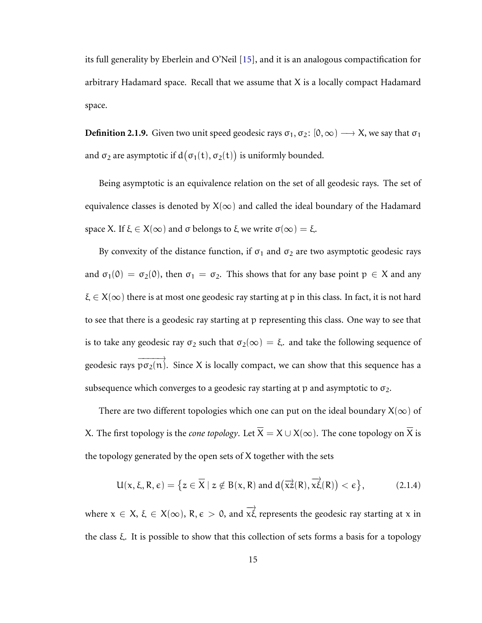its full generality by Eberlein and O'Neil [\[15\]](#page-76-2), and it is an analogous compactification for arbitrary Hadamard space. Recall that we assume that  $X$  is a locally compact Hadamard space.

**Definition 2.1.9.** Given two unit speed geodesic rays  $\sigma_1$ ,  $\sigma_2$ : [0,  $\infty$ )  $\longrightarrow$  X, we say that  $\sigma_1$ and  $\sigma_2$  are asymptotic if  $d\big(\sigma_1(t),\sigma_2(t)\big)$  is uniformly bounded.

Being asymptotic is an equivalence relation on the set of all geodesic rays. The set of equivalence classes is denoted by  $X(\infty)$  and called the ideal boundary of the Hadamard space X. If  $\xi \in X(\infty)$  and  $\sigma$  belongs to  $\xi$  we write  $\sigma(\infty) = \xi$ .

By convexity of the distance function, if  $\sigma_1$  and  $\sigma_2$  are two asymptotic geodesic rays and  $\sigma_1(0) = \sigma_2(0)$ , then  $\sigma_1 = \sigma_2$ . This shows that for any base point  $p \in X$  and any  $\xi \in X(\infty)$  there is at most one geodesic ray starting at p in this class. In fact, it is not hard to see that there is a geodesic ray starting at p representing this class. One way to see that is to take any geodesic ray  $\sigma_2$  such that  $\sigma_2(\infty) = \xi$ . and take the following sequence of geodesic rays  $\overrightarrow{p\sigma_2(n)}$ . Since X is locally compact, we can show that this sequence has a subsequence which converges to a geodesic ray starting at p and asymptotic to  $\sigma_2$ .

There are two different topologies which one can put on the ideal boundary  $X(\infty)$  of X. The first topology is the *cone topology*. Let  $\overline{X} = X \cup X(\infty)$ . The cone topology on  $\overline{X}$  is the topology generated by the open sets of X together with the sets

$$
U(x, \xi, R, \varepsilon) = \left\{ z \in \overline{X} \mid z \notin B(x, R) \text{ and } d\left(\overrightarrow{xz}(R), \overrightarrow{x\xi}(R)\right) < \varepsilon \right\},\tag{2.1.4}
$$

where  $x \in X$ ,  $\xi \in X(\infty)$ ,  $R$ ,  $\varepsilon > 0$ , and  $\overrightarrow{x\xi}$  represents the geodesic ray starting at x in the class ξ. It is possible to show that this collection of sets forms a basis for a topology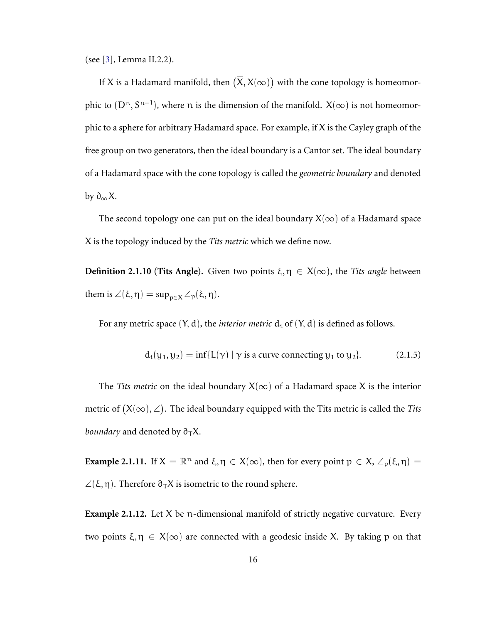(see [\[3\]](#page-74-4), Lemma II.2.2).

If X is a Hadamard manifold, then  $(X, X(\infty))$  with the cone topology is homeomorphic to  $(D<sup>n</sup>, S<sup>n-1</sup>)$ , where n is the dimension of the manifold.  $X(\infty)$  is not homeomorphic to a sphere for arbitrary Hadamard space. For example, if X is the Cayley graph of the free group on two generators, then the ideal boundary is a Cantor set. The ideal boundary of a Hadamard space with the cone topology is called the *geometric boundary* and denoted by  $\partial_{\infty}X$ .

The second topology one can put on the ideal boundary  $X(\infty)$  of a Hadamard space X is the topology induced by the *Tits metric* which we define now.

**Definition 2.1.10 (Tits Angle).** Given two points  $\xi, \eta \in X(\infty)$ , the *Tits angle* between them is  $\angle(\xi, \eta) = \sup_{p \in X} \angle_p(\xi, \eta)$ .

For any metric space  $(Y, d)$ , the *interior metric*  $d_i$  of  $(Y, d)$  is defined as follows.

$$
d_i(y_1, y_2) = \inf\{L(\gamma) \mid \gamma \text{ is a curve connecting } y_1 \text{ to } y_2\}. \tag{2.1.5}
$$

The *Tits metric* on the ideal boundary  $X(\infty)$  of a Hadamard space X is the interior metric of  $(X(\infty), \angle)$ . The ideal boundary equipped with the Tits metric is called the *Tits boundary* and denoted by  $\partial_{\tau}X$ .

**Example 2.1.11.** If  $X = \mathbb{R}^n$  and  $\xi, \eta \in X(\infty)$ , then for every point  $p \in X$ ,  $\angle_p(\xi, \eta) =$  $\angle$ (ξ, η). Therefore  $\partial$ <sub>T</sub>X is isometric to the round sphere.

**Example 2.1.12.** Let X be n-dimensional manifold of strictly negative curvature. Every two points  $\xi, \eta \in X(\infty)$  are connected with a geodesic inside X. By taking p on that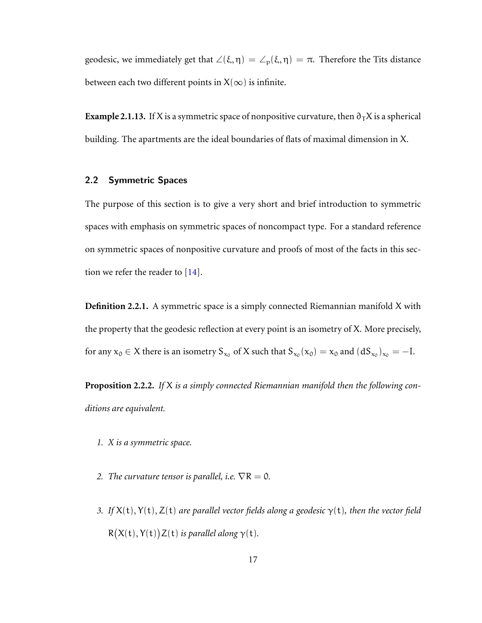geodesic, we immediately get that  $\angle(\xi, \eta) = \angle_p(\xi, \eta) = \pi$ . Therefore the Tits distance between each two different points in  $X(\infty)$  is infinite.

**Example 2.1.13.** If X is a symmetric space of nonpositive curvature, then  $\partial_T X$  is a spherical building. The apartments are the ideal boundaries of flats of maximal dimension in X.

### <span id="page-21-0"></span>2.2 Symmetric Spaces

The purpose of this section is to give a very short and brief introduction to symmetric spaces with emphasis on symmetric spaces of noncompact type. For a standard reference on symmetric spaces of nonpositive curvature and proofs of most of the facts in this section we refer the reader to [\[14\]](#page-76-5).

**Definition 2.2.1.** A symmetric space is a simply connected Riemannian manifold X with the property that the geodesic reflection at every point is an isometry of X. More precisely, for any  $x_0 \in X$  there is an isometry  $S_{x_0}$  of X such that  $S_{x_0}(x_0) = x_0$  and  $(dS_{x_0})_{x_0} = -I$ .

**Proposition 2.2.2.** *If* X *is a simply connected Riemannian manifold then the following conditions are equivalent.*

- *1. X is a symmetric space.*
- *2. The curvature tensor is parallel, i.e.*  $\nabla R = 0$ *.*
- *3. If* X(t), Y(t), Z(t) *are parallel vector fields along a geodesic* γ(t)*, then the vector field*  $R(X(t), Y(t))Z(t)$  is parallel along  $\gamma(t)$ .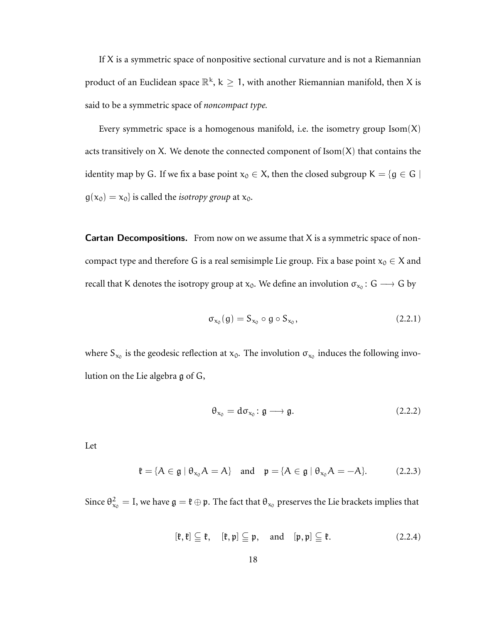If  $X$  is a symmetric space of nonpositive sectional curvature and is not a Riemannian product of an Euclidean space  $\mathbb{R}^k$ ,  $k\geq 1$ , with another Riemannian manifold, then X is said to be a symmetric space of *noncompact type.*

Every symmetric space is a homogenous manifold, i.e. the isometry group  $\text{Isom}(X)$ acts transitively on X. We denote the connected component of  $Isom(X)$  that contains the identity map by G. If we fix a base point  $x_0 \in X$ , then the closed subgroup  $K = \{g \in G \mid$  $g(x_0) = x_0$  is called the *isotropy group* at  $x_0$ .

**Cartan Decompositions.** From now on we assume that  $X$  is a symmetric space of noncompact type and therefore G is a real semisimple Lie group. Fix a base point  $x_0 \in X$  and recall that K denotes the isotropy group at  $x_0$ . We define an involution  $\sigma_{x_0} \colon G \longrightarrow G$  by

$$
\sigma_{x_0}(g) = S_{x_0} \circ g \circ S_{x_0}, \qquad (2.2.1)
$$

where  $S_{x_0}$  is the geodesic reflection at  $x_0$ . The involution  $\sigma_{x_0}$  induces the following involution on the Lie algebra g of G,

$$
\theta_{x_0} = d\sigma_{x_0} \colon \mathfrak{g} \longrightarrow \mathfrak{g}.\tag{2.2.2}
$$

Let

$$
\mathfrak{k} = \{ A \in \mathfrak{g} \mid \theta_{x_0} A = A \} \quad \text{and} \quad \mathfrak{p} = \{ A \in \mathfrak{g} \mid \theta_{x_0} A = -A \}. \tag{2.2.3}
$$

Since  $\theta_{x_0}^2 = I$ , we have  $\mathfrak{g} = \mathfrak{k} \oplus \mathfrak{p}$ . The fact that  $\theta_{x_0}$  preserves the Lie brackets implies that

$$
[\mathfrak{k},\mathfrak{k}] \subseteqq \mathfrak{k}, \quad [\mathfrak{k},\mathfrak{p}] \subseteqq \mathfrak{p}, \quad \text{and} \quad [\mathfrak{p},\mathfrak{p}] \subseteqq \mathfrak{k}. \tag{2.2.4}
$$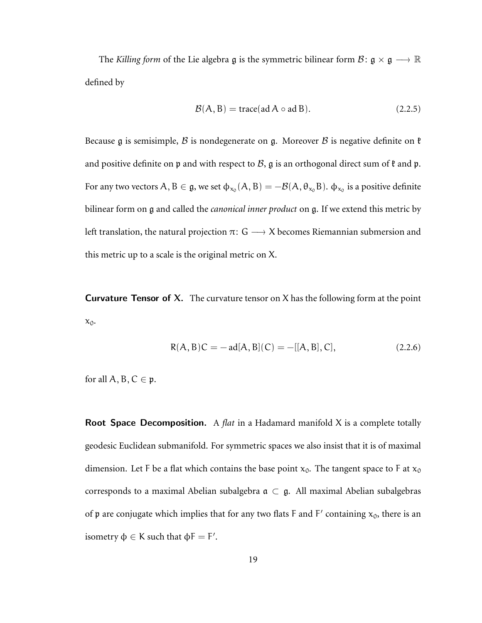The *Killing form* of the Lie algebra  $\mathfrak g$  is the symmetric bilinear form  $\mathcal B: \mathfrak g \times \mathfrak g \longrightarrow \mathbb R$ defined by

$$
\mathcal{B}(A, B) = \text{trace}(\text{ad }A \circ \text{ad }B). \tag{2.2.5}
$$

Because g is semisimple, B is nondegenerate on g. Moreover B is negative definite on  $\mathfrak k$ and positive definite on  $\mathfrak p$  and with respect to  $\mathcal B$ ,  $\mathfrak g$  is an orthogonal direct sum of  $\mathfrak k$  and  $\mathfrak p$ . For any two vectors  $A,B\in\frak g,$  we set  $\varphi_{x_0}(A,B)=-\mathcal B(A,\theta_{x_0}B).$   $\varphi_{x_0}$  is a positive definite bilinear form on g and called the *canonical inner product* on g. If we extend this metric by left translation, the natural projection  $\pi: G \longrightarrow X$  becomes Riemannian submersion and this metric up to a scale is the original metric on X.

**Curvature Tensor of X.** The curvature tensor on X has the following form at the point  $x_0$ .

$$
R(A, B)C = -\text{ad}[A, B](C) = -[[A, B], C], \qquad (2.2.6)
$$

for all  $A, B, C \in \mathfrak{p}$ .

Root Space Decomposition. A *flat* in a Hadamard manifold X is a complete totally geodesic Euclidean submanifold. For symmetric spaces we also insist that it is of maximal dimension. Let F be a flat which contains the base point  $x_0$ . The tangent space to F at  $x_0$ corresponds to a maximal Abelian subalgebra  $\mathfrak{a} \subset \mathfrak{g}$ . All maximal Abelian subalgebras of p are conjugate which implies that for any two flats F and F' containing  $x_0$ , there is an isometry  $\Phi \in K$  such that  $\Phi F = F'$ .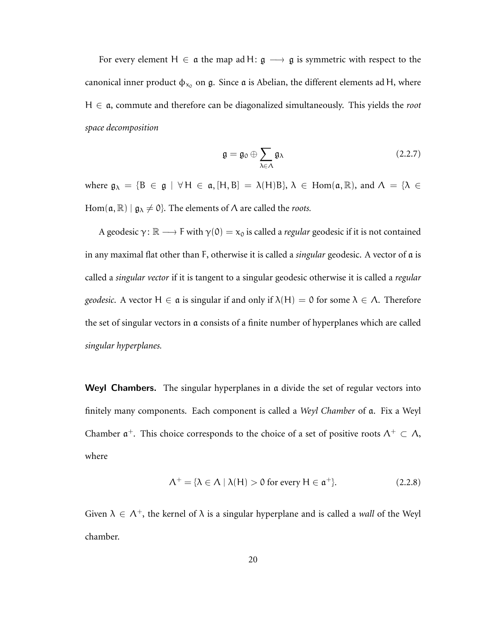For every element H  $\in$  a the map ad H:  $\mathfrak{g} \longrightarrow \mathfrak{g}$  is symmetric with respect to the canonical inner product  $\phi_{x_0}$  on  $\mathfrak{g}$ . Since  $\mathfrak{a}$  is Abelian, the different elements ad H, where H ∈ a, commute and therefore can be diagonalized simultaneously. This yields the *root space decomposition*

$$
\mathfrak{g} = \mathfrak{g}_0 \oplus \sum_{\lambda \in \Lambda} \mathfrak{g}_{\lambda} \tag{2.2.7}
$$

where  $\mathfrak{g}_{\lambda} = \{B \in \mathfrak{g} \mid \forall H \in \mathfrak{a}, [H, B] = \lambda(H)B\}, \lambda \in \text{Hom}(\mathfrak{a}, \mathbb{R})$ , and  $\Lambda = \{\lambda \in$ Hom( $\alpha$ ,  $\mathbb{R}$ ) |  $\mathfrak{g}_{\lambda} \neq 0$ }. The elements of  $\Lambda$  are called the *roots*.

A geodesic  $\gamma: \mathbb{R} \longrightarrow F$  with  $\gamma(0) = x_0$  is called a *regular* geodesic if it is not contained in any maximal flat other than F, otherwise it is called a *singular* geodesic. A vector of a is called a *singular vector* if it is tangent to a singular geodesic otherwise it is called a *regular geodesic*. A vector  $H \in \mathfrak{a}$  is singular if and only if  $\lambda(H) = 0$  for some  $\lambda \in \Lambda$ . Therefore the set of singular vectors in a consists of a finite number of hyperplanes which are called *singular hyperplanes.*

Weyl Chambers. The singular hyperplanes in a divide the set of regular vectors into finitely many components. Each component is called a *Weyl Chamber* of a. Fix a Weyl Chamber  $\mathfrak{a}^+$ . This choice corresponds to the choice of a set of positive roots  $\Lambda^+ \subset \Lambda$ , where

$$
\Lambda^{+} = \{ \lambda \in \Lambda \mid \lambda(H) > 0 \text{ for every } H \in \mathfrak{a}^{+} \}. \tag{2.2.8}
$$

Given  $\lambda \in \Lambda^+$ , the kernel of  $\lambda$  is a singular hyperplane and is called a *wall* of the Weyl chamber.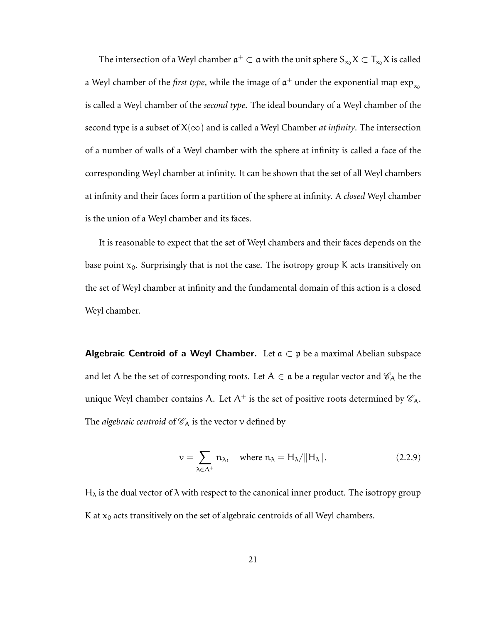The intersection of a Weyl chamber  $\mathfrak{a}^+ \subset \mathfrak{a}$  with the unit sphere  $S_{x_0}X \subset T_{x_0}X$  is called a Weyl chamber of the *first type*, while the image of  $\mathfrak{a}^+$  under the exponential map  $\exp_{\mathsf{x}_0}$ is called a Weyl chamber of the *second type*. The ideal boundary of a Weyl chamber of the second type is a subset of  $X(\infty)$  and is called a Weyl Chamber *at infinity*. The intersection of a number of walls of a Weyl chamber with the sphere at infinity is called a face of the corresponding Weyl chamber at infinity. It can be shown that the set of all Weyl chambers at infinity and their faces form a partition of the sphere at infinity. A *closed* Weyl chamber is the union of a Weyl chamber and its faces.

It is reasonable to expect that the set of Weyl chambers and their faces depends on the base point  $x_0$ . Surprisingly that is not the case. The isotropy group K acts transitively on the set of Weyl chamber at infinity and the fundamental domain of this action is a closed Weyl chamber.

Algebraic Centroid of a Weyl Chamber. Let  $a \subset p$  be a maximal Abelian subspace and let  $\Lambda$  be the set of corresponding roots. Let  $A \in \mathfrak{a}$  be a regular vector and  $\mathcal{C}_A$  be the unique Weyl chamber contains A. Let  $\Lambda^+$  is the set of positive roots determined by  $\mathscr{C}_{A}$ . The *algebraic centroid* of  $\mathcal{C}_A$  is the vector v defined by

$$
\nu = \sum_{\lambda \in \Lambda^+} \mathfrak{n}_{\lambda}, \quad \text{where } \mathfrak{n}_{\lambda} = H_{\lambda} / ||H_{\lambda}||. \tag{2.2.9}
$$

 $H<sub>λ</sub>$  is the dual vector of  $λ$  with respect to the canonical inner product. The isotropy group K at  $x_0$  acts transitively on the set of algebraic centroids of all Weyl chambers.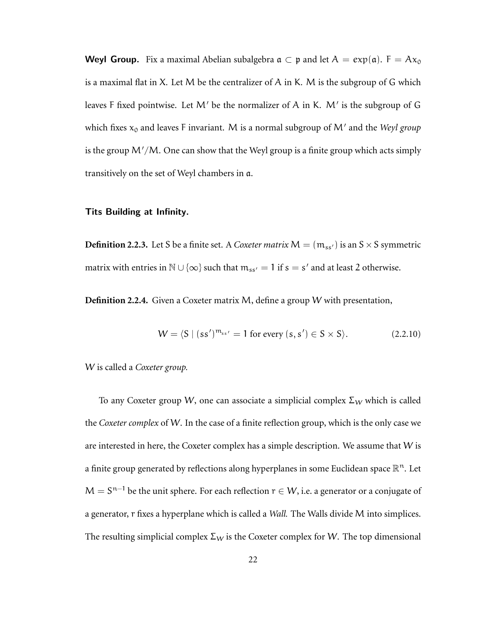**Weyl Group.** Fix a maximal Abelian subalgebra  $\alpha \subset p$  and let  $A = exp(\alpha)$ .  $F = Ax_0$ is a maximal flat in X. Let M be the centralizer of A in K. M is the subgroup of G which leaves F fixed pointwise. Let  $M'$  be the normalizer of A in K.  $M'$  is the subgroup of G which fixes  $x_0$  and leaves F invariant. M is a normal subgroup of M' and the *Weyl group* is the group  $M'/M$ . One can show that the Weyl group is a finite group which acts simply transitively on the set of Weyl chambers in a.

### Tits Building at Infinity.

**Definition 2.2.3.** Let S be a finite set. A *Coxeter matrix*  $M = (m_{ss})$  is an  $S \times S$  symmetric matrix with entries in  $\mathbb{N} \cup \{\infty\}$  such that  $m_{ss'} = 1$  if  $s = s'$  and at least 2 otherwise.

**Definition 2.2.4.** Given a Coxeter matrix M, define a group W with presentation,

$$
W = \langle S \mid (ss')^{m_{ss'}} = 1 \text{ for every } (s, s') \in S \times S \rangle. \tag{2.2.10}
$$

W is called a *Coxeter group.*

To any Coxeter group W, one can associate a simplicial complex  $\Sigma_W$  which is called the *Coxeter complex* of W. In the case of a finite reflection group, which is the only case we are interested in here, the Coxeter complex has a simple description. We assume that  $W$  is a finite group generated by reflections along hyperplanes in some Euclidean space  $\mathbb{R}^n$ . Let  $M = S^{n-1}$  be the unit sphere. For each reflection  $r \in W$ , i.e. a generator or a conjugate of a generator, r fixes a hyperplane which is called a *Wall.* The Walls divide M into simplices. The resulting simplicial complex  $\Sigma_W$  is the Coxeter complex for W. The top dimensional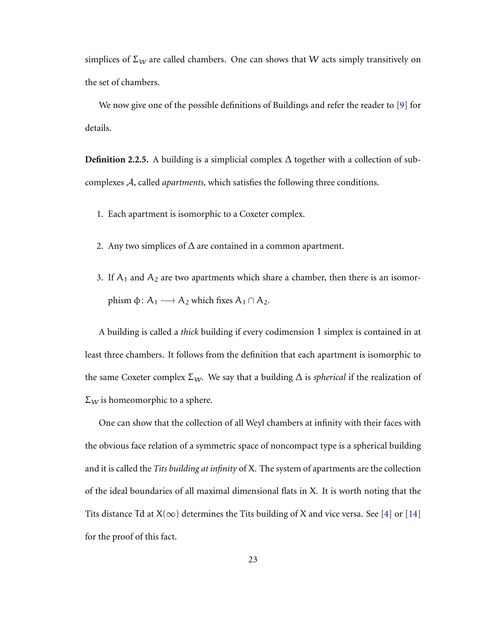simplices of  $\Sigma_W$  are called chambers. One can shows that W acts simply transitively on the set of chambers.

We now give one of the possible definitions of Buildings and refer the reader to [\[9\]](#page-75-5) for details.

**Definition 2.2.5.** A building is a simplicial complex  $\Delta$  together with a collection of subcomplexes A, called *apartments,* which satisfies the following three conditions.

- 1. Each apartment is isomorphic to a Coxeter complex.
- 2. Any two simplices of  $\Delta$  are contained in a common apartment.
- 3. If  $A_1$  and  $A_2$  are two apartments which share a chamber, then there is an isomorphism  $\phi$ : A<sub>1</sub> → A<sub>2</sub> which fixes A<sub>1</sub> ∩ A<sub>2</sub>.

A building is called a *thick* building if every codimension 1 simplex is contained in at least three chambers. It follows from the definition that each apartment is isomorphic to the same Coxeter complex  $\Sigma_W$ . We say that a building  $\Delta$  is *spherical* if the realization of  $\Sigma_W$  is homeomorphic to a sphere.

<span id="page-27-0"></span>One can show that the collection of all Weyl chambers at infinity with their faces with the obvious face relation of a symmetric space of noncompact type is a spherical building and it is called the *Tits building at infinity* of X. The system of apartments are the collection of the ideal boundaries of all maximal dimensional flats in X. It is worth noting that the Tits distance Td at  $X(\infty)$  determines the Tits building of X and vice versa. See [\[4\]](#page-74-5) or [\[14\]](#page-76-5) for the proof of this fact.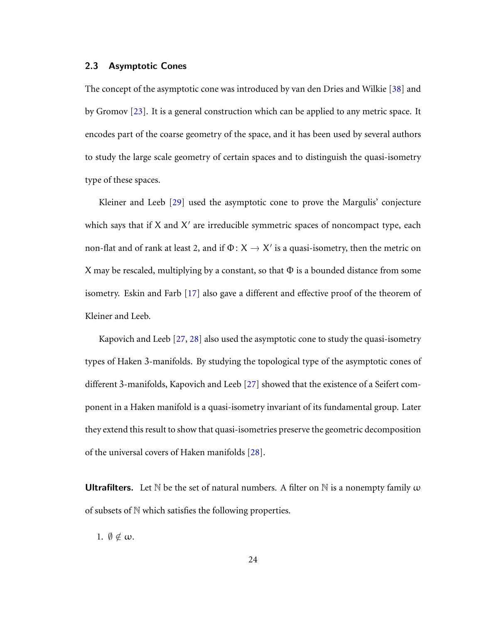### 2.3 Asymptotic Cones

The concept of the asymptotic cone was introduced by van den Dries and Wilkie [\[38\]](#page-78-5) and by Gromov [\[23\]](#page-77-0). It is a general construction which can be applied to any metric space. It encodes part of the coarse geometry of the space, and it has been used by several authors to study the large scale geometry of certain spaces and to distinguish the quasi-isometry type of these spaces.

Kleiner and Leeb [\[29\]](#page-77-5) used the asymptotic cone to prove the Margulis' conjecture which says that if  $X$  and  $X'$  are irreducible symmetric spaces of noncompact type, each non-flat and of rank at least 2, and if  $\Phi \colon X \to X'$  is a quasi-isometry, then the metric on X may be rescaled, multiplying by a constant, so that  $\Phi$  is a bounded distance from some isometry. Eskin and Farb [\[17\]](#page-76-6) also gave a different and effective proof of the theorem of Kleiner and Leeb.

Kapovich and Leeb [\[27,](#page-77-4) [28\]](#page-77-6) also used the asymptotic cone to study the quasi-isometry types of Haken 3-manifolds. By studying the topological type of the asymptotic cones of different 3-manifolds, Kapovich and Leeb [\[27\]](#page-77-4) showed that the existence of a Seifert component in a Haken manifold is a quasi-isometry invariant of its fundamental group. Later they extend this result to show that quasi-isometries preserve the geometric decomposition of the universal covers of Haken manifolds [\[28\]](#page-77-6).

**Ultrafilters.** Let N be the set of natural numbers. A filter on N is a nonempty family  $\omega$ of subsets of  $N$  which satisfies the following properties.

1.  $\emptyset \notin \omega$ .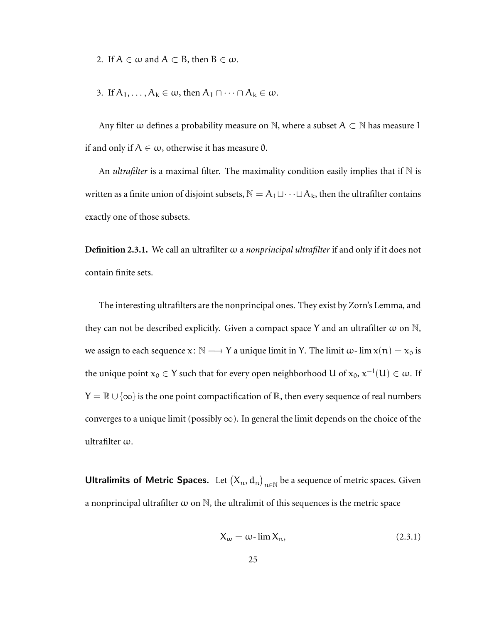2. If  $A \in \omega$  and  $A \subset B$ , then  $B \in \omega$ .

3. If 
$$
A_1, \ldots, A_k \in \omega
$$
, then  $A_1 \cap \cdots \cap A_k \in \omega$ .

Any filter  $\omega$  defines a probability measure on N, where a subset  $A \subset \mathbb{N}$  has measure 1 if and only if  $A \in \omega$ , otherwise it has measure 0.

An *ultrafilter* is a maximal filter. The maximality condition easily implies that if  $\mathbb N$  is written as a finite union of disjoint subsets,  $\mathbb{N} = A_1 \sqcup \cdots \sqcup A_k$ , then the ultrafilter contains exactly one of those subsets.

**Definition 2.3.1.** We call an ultrafilter ω a *nonprincipal ultrafilter* if and only if it does not contain finite sets.

The interesting ultrafilters are the nonprincipal ones. They exist by Zorn's Lemma, and they can not be described explicitly. Given a compact space Y and an ultrafilter  $\omega$  on N, we assign to each sequence  $x: \mathbb{N} \longrightarrow Y$  a unique limit in Y. The limit  $\omega$ - lim  $x(\mathfrak{n}) = x_0$  is the unique point  $x_0 \in Y$  such that for every open neighborhood  $U$  of  $x_0,$   $x^{-1}(U) \in \omega.$  If  $Y = \mathbb{R} \cup \{\infty\}$  is the one point compactification of  $\mathbb{R}$ , then every sequence of real numbers converges to a unique limit (possibly  $\infty$ ). In general the limit depends on the choice of the ultrafilter ω.

**Ultralimits of Metric Spaces.** Let  $(X_n, d_n)_{n \in \mathbb{N}}$  be a sequence of metric spaces. Given a nonprincipal ultrafilter  $\omega$  on  $\mathbb N$ , the ultralimit of this sequences is the metric space

$$
X_{\omega} = \omega - \lim X_n, \tag{2.3.1}
$$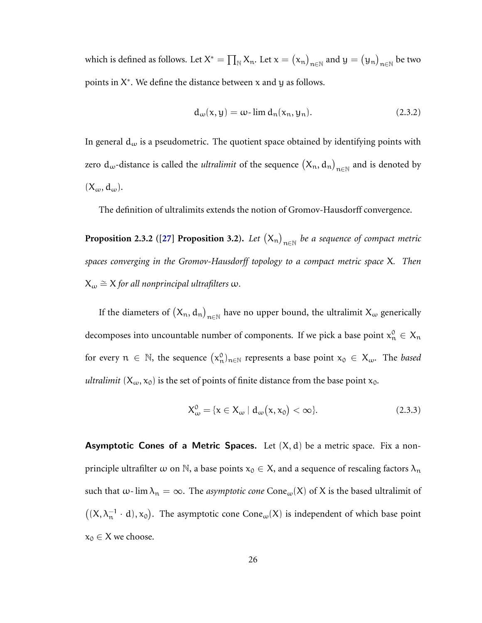which is defined as follows. Let  $X^*=\prod_\mathbb{N} X_\mathbb{n}$ . Let  $x=\big(x_\mathbb{n}\big)_{\mathbb{n}\in\mathbb{N}}$  and  $y=\big(y_\mathbb{n}\big)_{\mathbb{n}\in\mathbb{N}}$  be two points in  $X^*$ . We define the distance between x and y as follows.

$$
d_{\omega}(x, y) = \omega - \lim d_{n}(x_{n}, y_{n}).
$$
\n(2.3.2)

In general  $d_{\omega}$  is a pseudometric. The quotient space obtained by identifying points with zero  $d_\omega$ -distance is called the *ultralimit* of the sequence  $(X_n, d_n)_{n \in \mathbb{N}}$  and is denoted by  $(X_\omega, d_\omega)$ .

The definition of ultralimits extends the notion of Gromov-Hausdorff convergence.

**Proposition 2.3.2** ([\[27\]](#page-77-4) Proposition 3.2). Let  $(X_n)_{n\in\mathbb{N}}$  be a sequence of compact metric *spaces converging in the Gromov-Hausdorff topology to a compact metric space* X*. Then* X<sup>ω</sup> =∼ X *for all nonprincipal ultrafilters* ω*.*

If the diameters of  $(X_n, d_n)_{n \in \mathbb{N}}$  have no upper bound, the ultralimit  $X_\omega$  generically decomposes into uncountable number of components. If we pick a base point  $x_n^0 \in X_n$ for every  $n \in \mathbb{N}$ , the sequence  $(x_n^0)_{n \in \mathbb{N}}$  represents a base point  $x_0 \in X_\omega$ . The *based ultralimit*  $(X_\omega, x_0)$  is the set of points of finite distance from the base point  $x_0$ .

$$
X_{\omega}^{0} = \{x \in X_{\omega} \mid d_{\omega}(x, x_{0}) < \infty\}.
$$
 (2.3.3)

**Asymptotic Cones of a Metric Spaces.** Let  $(X, d)$  be a metric space. Fix a nonprinciple ultrafilter  $\omega$  on  $\mathbb N$ , a base points  $x_0 \in X$ , and a sequence of rescaling factors  $\lambda_n$ such that  $\omega$ - lim  $\lambda_n = \infty$ . The *asymptotic cone* Cone<sub> $\omega$ </sub>(X) of X is the based ultralimit of  $((X, \lambda_n^{-1} \cdot d), x_0)$ . The asymptotic cone Cone<sub>ω</sub>(X) is independent of which base point  $x_0 \in X$  we choose.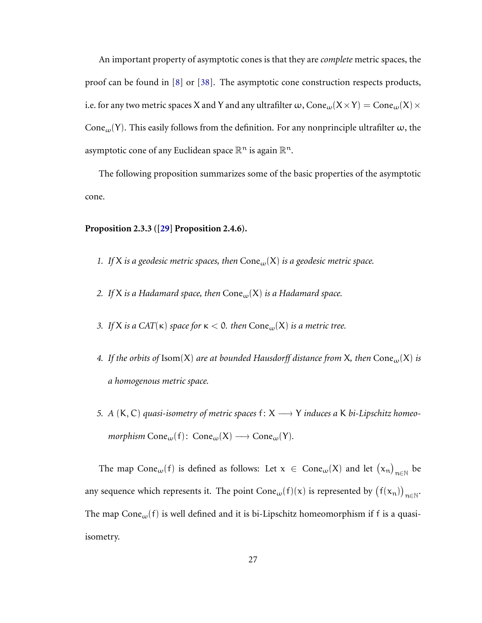An important property of asymptotic cones is that they are *complete* metric spaces, the proof can be found in [\[8\]](#page-75-6) or [\[38\]](#page-78-5). The asymptotic cone construction respects products, i.e. for any two metric spaces X and Y and any ultrafilter  $\omega$ , Cone $_{\omega}(X \times Y) = \text{Cone}_{\omega}(X) \times$ Cone<sub>ω</sub>(Y). This easily follows from the definition. For any nonprinciple ultrafilter  $\omega$ , the asymptotic cone of any Euclidean space  $\mathbb{R}^n$  is again  $\mathbb{R}^n$ .

The following proposition summarizes some of the basic properties of the asymptotic cone.

### **Proposition 2.3.3 ([\[29\]](#page-77-5) Proposition 2.4.6).**

- *1. If*  $X$  *is a geodesic metric spaces, then*  $Cone<sub>w</sub>(X)$  *is a geodesic metric space.*
- *2. If*  $X$  *is a Hadamard space, then*  $Cone<sub>w</sub>(X)$  *is a Hadamard space.*
- *3. If* X *is a CAT*( $\kappa$ ) *space* for  $\kappa < 0$ *. then*  $Cone_{\omega}(X)$  *is a metric tree.*
- *4.* If the orbits of Isom(X) are at bounded Hausdorff distance from X, then Cone<sub>w</sub>(X) is *a homogenous metric space.*
- *5. A* (**K**, **C**) *quasi-isometry of metric spaces*  $f: X \rightarrow Y$  *induces a* **K** *bi-Lipschitz homeomorphism*  $Cone_w(f)$ :  $Cone_w(X) \longrightarrow Cone_w(Y)$ .

The map Cone<sub>ω</sub>(f) is defined as follows: Let  $x \in \text{Cone}_{\omega}(X)$  and let  $(\mathbf{x}_n)_{n \in \mathbb{N}}$  be any sequence which represents it. The point  $Cone_w(f)(x)$  is represented by  $(f(x_n))_{n\in\mathbb{N}}$ . The map Cone<sub>ω</sub> $(f)$  is well defined and it is bi-Lipschitz homeomorphism if f is a quasiisometry.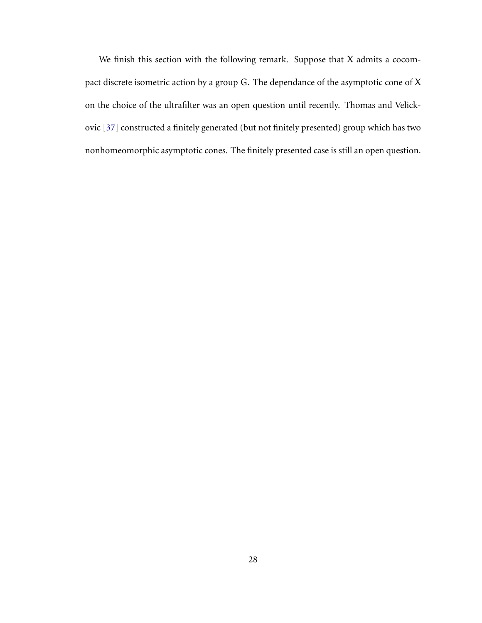We finish this section with the following remark. Suppose that X admits a cocompact discrete isometric action by a group G. The dependance of the asymptotic cone of X on the choice of the ultrafilter was an open question until recently. Thomas and Velickovic [\[37\]](#page-78-6) constructed a finitely generated (but not finitely presented) group which has two nonhomeomorphic asymptotic cones. The finitely presented case is still an open question.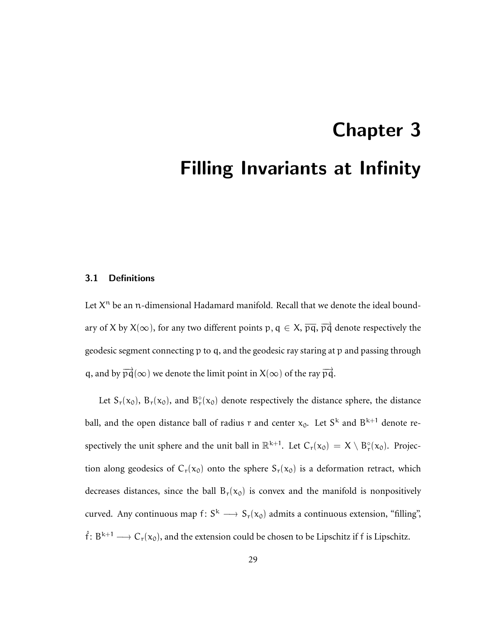# <span id="page-33-0"></span>Chapter 3 Filling Invariants at Infinity

### <span id="page-33-1"></span>3.1 Definitions

Let  $X^n$  be an  $n$ -dimensional Hadamard manifold. Recall that we denote the ideal boundary of X by  $X(\infty)$ , for any two different points  $p, q \in X$ ,  $\overline{pq}$ ,  $\overline{pq}$  denote respectively the geodesic segment connecting p to q, and the geodesic ray staring at p and passing through q, and by  $\overrightarrow{pq}(\infty)$  we denote the limit point in  $X(\infty)$  of the ray  $\overrightarrow{pq}$ .

Let  $S_r(x_0)$ ,  $B_r(x_0)$ , and  $B_r^{\circ}(x_0)$  denote respectively the distance sphere, the distance ball, and the open distance ball of radius r and center  $x_0$ . Let  $S^k$  and  $B^{k+1}$  denote respectively the unit sphere and the unit ball in  $\mathbb{R}^{k+1}$ . Let  $C_r(x_0) = X \setminus B_r^{\circ}(x_0)$ . Projection along geodesics of  $C_r(x_0)$  onto the sphere  $S_r(x_0)$  is a deformation retract, which decreases distances, since the ball  $B_r(x_0)$  is convex and the manifold is nonpositively curved. Any continuous map  $f: S^k \longrightarrow S_r(x_0)$  admits a continuous extension, "filling",  $\hat{f} : B^{k+1} \longrightarrow C_r(x_0)$ , and the extension could be chosen to be Lipschitz if f is Lipschitz.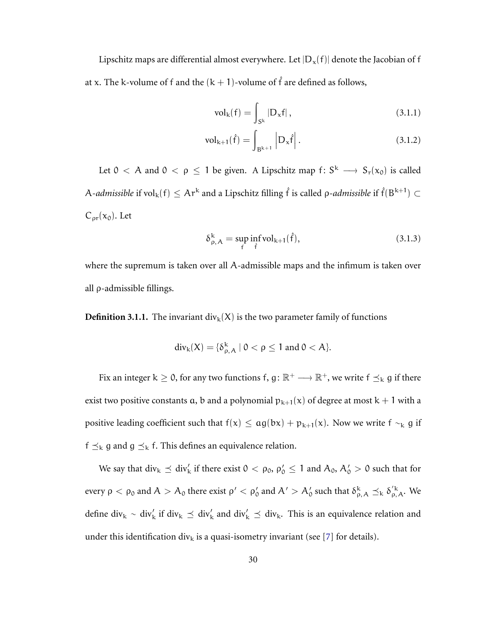Lipschitz maps are differential almost everywhere. Let  $|D_x(f)|$  denote the Jacobian of f at x. The k-volume of f and the  $(k + 1)$ -volume of f are defined as follows,

$$
\text{vol}_{k}(f) = \int_{S^{k}} |D_{x}f|, \qquad (3.1.1)
$$

$$
\text{vol}_{k+1}(\hat{f}) = \int_{B^{k+1}} |D_x \hat{f}|.
$$
 (3.1.2)

Let  $0 < A$  and  $0 < \rho \le 1$  be given. A Lipschitz map  $f: S^k \longrightarrow S_r(x_0)$  is called A-admissible if  $\text{vol}_k(f) \leq Ar^k$  and a Lipschitz filling  $\hat{f}$  is called  $\rho$ -admissible if  $\hat{f}(B^{k+1}) \subset$  $C_{\text{pr}}(x_0)$ . Let

$$
\delta_{\rho,A}^k = \sup_f \inf_{\hat{f}} \text{vol}_{k+1}(\hat{f}),\tag{3.1.3}
$$

where the supremum is taken over all A-admissible maps and the infimum is taken over all ρ-admissible fillings.

**Definition 3.1.1.** The invariant div<sub>k</sub>(X) is the two parameter family of functions

$$
\operatorname{div}_{k}(X) = \{ \delta_{\rho, A}^{k} \mid 0 < \rho \leq 1 \text{ and } 0 < A \}.
$$

Fix an integer  $k \ge 0$ , for any two functions f,  $g: \mathbb{R}^+ \longrightarrow \mathbb{R}^+$ , we write  $f \preceq_k g$  if there exist two positive constants a, b and a polynomial  $p_{k+1}(x)$  of degree at most  $k+1$  with a positive leading coefficient such that  $f(x) \leq ag(bx) + p_{k+1}(x)$ . Now we write  $f \sim_k g$  if  $f \preceq_k g$  and  $g \preceq_k f$ . This defines an equivalence relation.

We say that  $\mathrm{div}_k \preceq \mathrm{div}'_k$  if there exist  $0 < \rho_0$ ,  $\rho'_0 \le 1$  and  $\mathcal{A}_0$ ,  $\mathcal{A}'_0 > 0$  such that for every  $\rho < \rho_0$  and  $A > A_0$  there exist  $\rho' < \rho_0'$  and  $A' > A_0'$  such that  $\delta_{\rho,A}^k \preceq_k \delta_{\rho,A}'^k$ . We define div<sub>k</sub> ∼ div<sub>k</sub> if div<sub>k</sub>  $\preceq$  div<sub>k</sub> and div<sub>k</sub>  $\preceq$  div<sub>k</sub>. This is an equivalence relation and under this identification div<sub>k</sub> is a quasi-isometry invariant (see [\[7\]](#page-75-4) for details).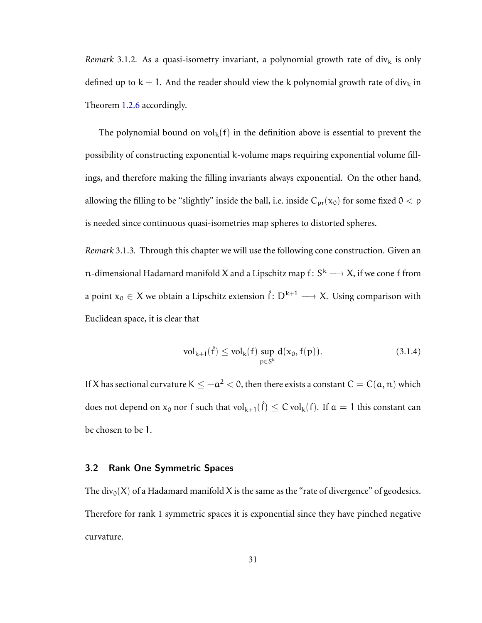*Remark* 3.1.2. As a quasi-isometry invariant, a polynomial growth rate of  $\text{div}_{k}$  is only defined up to  $k + 1$ . And the reader should view the k polynomial growth rate of div<sub>k</sub> in Theorem [1.2.6](#page-10-1) accordingly.

The polynomial bound on  $vol_k(f)$  in the definition above is essential to prevent the possibility of constructing exponential k-volume maps requiring exponential volume fillings, and therefore making the filling invariants always exponential. On the other hand, allowing the filling to be "slightly" inside the ball, i.e. inside  $C_{\text{pr}}(x_0)$  for some fixed  $0 < \rho$ is needed since continuous quasi-isometries map spheres to distorted spheres.

*Remark* 3.1.3*.* Through this chapter we will use the following cone construction. Given an n-dimensional Hadamard manifold X and a Lipschitz map  $\mathsf{f} \colon \mathsf{S}^{\mathsf{k}} \longrightarrow \mathsf{X}$ , if we cone  $\mathsf{f}$  from a point  $x_0 \in X$  we obtain a Lipschitz extension  $\hat{f} : D^{k+1} \longrightarrow X$ . Using comparison with Euclidean space, it is clear that

$$
vol_{k+1}(\hat{f}) \le vol_k(f) \sup_{p \in S^k} d(x_0, f(p)).
$$
 (3.1.4)

If X has sectional curvature K  $\leq -a^2 <$  0, then there exists a constant C  $=C(a,n)$  which does not depend on  $x_0$  nor  $f$  such that  $\mathrm{vol}_{k+1}(\hat{f}) \leq C \,\mathrm{vol}_k(f)$ . If  $\mathfrak{a} = 1$  this constant can be chosen to be 1.

### <span id="page-35-0"></span>3.2 Rank One Symmetric Spaces

The div<sub>0</sub>(X) of a Hadamard manifold X is the same as the "rate of divergence" of geodesics. Therefore for rank 1 symmetric spaces it is exponential since they have pinched negative curvature.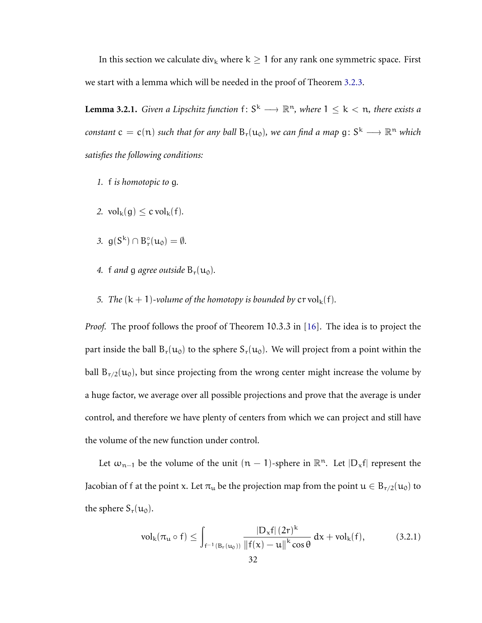In this section we calculate div<sub>k</sub> where  $k \geq 1$  for any rank one symmetric space. First we start with a lemma which will be needed in the proof of Theorem [3.2.3.](#page-39-0)

<span id="page-36-1"></span>**Lemma 3.2.1.** *Given a Lipschitz function*  $f: S^k \longrightarrow \mathbb{R}^n$ *, where*  $1 \leq k < n$ *, there exists a*  $constant\ c = c(n)$  such that for any ball  $B_r(u_0)$ , we can find a map  $g\colon S^k\longrightarrow \mathbb{R}^n$  which *satisfies the following conditions:*

- *1.* f *is homotopic to* g*.*
- 2.  $\text{vol}_k(q) \leq c \text{vol}_k(f)$ .
- 3.  $g(S^k) \cap B_r^{\circ}(u_0) = \emptyset$ .
- 4. f and g agree outside  $B_r(u_0)$ .
- *5. The*  $(k + 1)$ *-volume of the homotopy is bounded by*  $\text{cr vol}_k(f)$ *.*

*Proof.* The proof follows the proof of Theorem 10.3.3 in [\[16\]](#page-76-0). The idea is to project the part inside the ball  $B_r(u_0)$  to the sphere  $S_r(u_0)$ . We will project from a point within the ball  $B_{r/2}(u_0)$ , but since projecting from the wrong center might increase the volume by a huge factor, we average over all possible projections and prove that the average is under control, and therefore we have plenty of centers from which we can project and still have the volume of the new function under control.

Let  $\omega_{n-1}$  be the volume of the unit  $(n-1)$ -sphere in  $\mathbb{R}^n$ . Let  $|D_x f|$  represent the Jacobian of f at the point x. Let  $\pi_u$  be the projection map from the point  $u \in B_{r/2}(u_0)$  to the sphere  $S_r(u_0)$ .

<span id="page-36-0"></span>
$$
vol_{k}(\pi_{u} \circ f) \leq \int_{f^{-1}(B_{r}(u_{0}))} \frac{|D_{x}f| (2r)^{k}}{\|f(x) - u\|^{k} \cos \theta} dx + vol_{k}(f), \qquad (3.2.1)
$$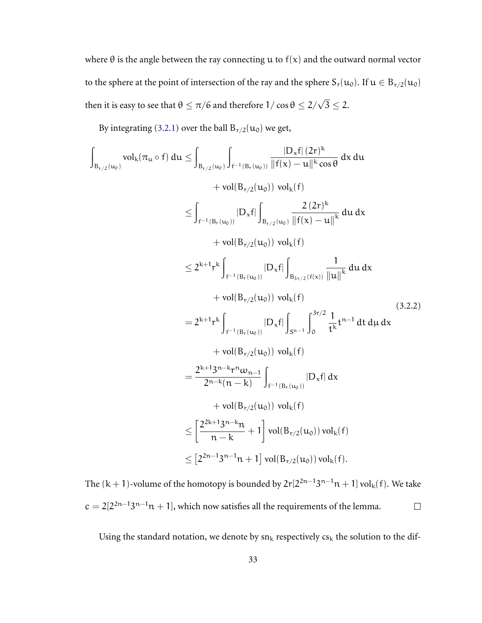where  $\theta$  is the angle between the ray connecting u to  $f(x)$  and the outward normal vector to the sphere at the point of intersection of the ray and the sphere  $S_r(u_0)$ . If  $u \in B_{r/2}(u_0)$ then it is easy to see that  $\theta \leq \pi/6$  and therefore  $1/\cos\theta \leq 2/\sqrt{3} \leq 2.$ 

By integrating [\(3.2.1\)](#page-36-0) over the ball  $B_{r/2}(u_0)$  we get,

$$
\int_{B_{r/2}(u_0)} vol_k(\pi_u \circ f) du \leq \int_{B_{r/2}(u_0)} \int_{f^{-1}(B_r(u_0))} \frac{|D_x f| (2r)^k}{\|f(x) - u\|^k \cos \theta} dx du
$$
  
+ vol(B\_{r/2}(u\_0)) vol\_k(f)  

$$
\leq \int_{f^{-1}(B_r(u_0))} |D_x f| \int_{B_{r/2}(u_0)} \frac{2 (2r)^k}{\|f(x) - u\|^k} du dx
$$
  
+ vol(B\_{r/2}(u\_0)) vol\_k(f)  

$$
\leq 2^{k+1} r^k \int_{f^{-1}(B_r(u_0))} |D_x f| \int_{B_{3r/2}(f(x))} \frac{1}{\|u\|^k} du dx
$$
  
+ vol(B\_{r/2}(u\_0)) vol\_k(f)  

$$
= 2^{k+1} r^k \int_{f^{-1}(B_r(u_0))} |D_x f| \int_{S^{n-1}} \int_0^{3r/2} \frac{1}{t^k} t^{n-1} dt d\mu dx
$$
  
+ vol(B\_{r/2}(u\_0)) vol\_k(f)  

$$
= \frac{2^{k+1} 3^{n-k} r^n \omega_{n-1}}{2^{n-k} (n-k)} \int_{f^{-1}(B_r(u_0))} |D_x f| dx
$$
  
+ vol(B\_{r/2}(u\_0)) vol\_k(f)  

$$
\leq \left[ \frac{2^{2k+1} 3^{n-k} n}{n-k} + 1 \right] vol(B_{r/2}(u_0)) vol_k(f)
$$
  

$$
\leq [2^{2n-1} 3^{n-1} n + 1] vol(B_{r/2}(u_0)) vol_k(f).
$$

The  $(k + 1)$ -volume of the homotopy is bounded by  $2r[2^{2n-1}3^{n-1}n + 1]$  vol $_k(f)$ . We take  $c = 2[2^{2n-1}3^{n-1}n + 1]$ , which now satisfies all the requirements of the lemma.  $\Box$ 

Using the standard notation, we denote by  $sn_k$  respectively  $cs_k$  the solution to the dif-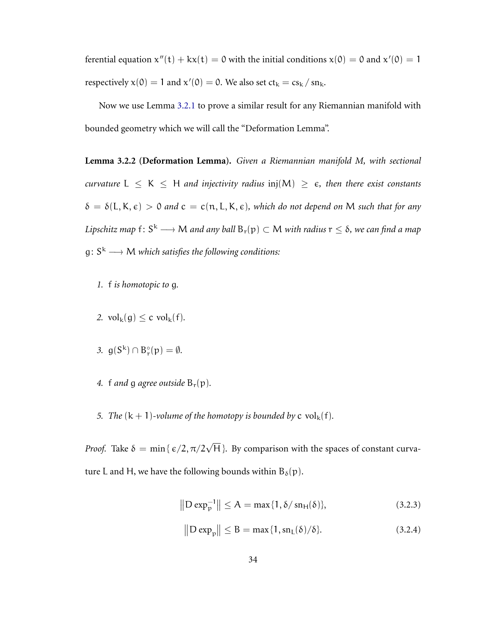ferential equation  $x''(t) + kx(t) = 0$  with the initial conditions  $x(0) = 0$  and  $x'(0) = 1$ respectively  $x(0) = 1$  and  $x'(0) = 0$ . We also set  $ct_k = cs_k / sn_k$ .

Now we use Lemma [3.2.1](#page-36-1) to prove a similar result for any Riemannian manifold with bounded geometry which we will call the "Deformation Lemma".

<span id="page-38-2"></span>**Lemma 3.2.2 (Deformation Lemma).** *Given a Riemannian manifold M, with sectional curvature*  $L \le K \le H$  *and injectivity radius* inj $(M) \ge \epsilon$ , *then there exist constants*  $\delta = \delta(L, K, \epsilon) > 0$  and  $c = c(n, L, K, \epsilon)$ , which do not depend on M such that for any Lipschitz map  $\mathsf{f} \colon \mathsf{S}^{\mathsf{k}} \longrightarrow \mathsf{M}$  and any ball  $\mathsf{B}_{\mathsf{r}}(\mathsf{p}) \subset \mathsf{M}$  with radius  $\mathsf{r} \leq \delta$ , we can find a map  $g\colon S^k\longrightarrow M$  which satisfies the following conditions:

- *1.* f *is homotopic to* g*.*
- 2.  $\mathrm{vol}_{k}(g) \leq c \mathrm{vol}_{k}(f)$ .
- 3.  $g(S^k) \cap B_r^{\circ}(p) = \emptyset$ .
- 4. f and q agree outside  $B_r(p)$ .
- *5. The*  $(k + 1)$ *-volume of the homotopy is bounded by* c vol<sub>k</sub> $(f)$ *.*

*Proof.* Take  $\delta = \min\{\,\epsilon/2, \pi/2\sqrt{\text{H}}\,\}$ . By comparison with the spaces of constant curvature L and H, we have the following bounds within  $B_\delta(p)$ .

$$
||D \exp_{p}^{-1}|| \le A = \max\{1, \delta / \sin_{H}(\delta)\},
$$
 (3.2.3)

<span id="page-38-1"></span><span id="page-38-0"></span>
$$
\left\| \mathcal{D} \exp_{\mathcal{P}} \right\| \leq B = \max\{1, \operatorname{sn}_{L}(\delta)/\delta\}.
$$
 (3.2.4)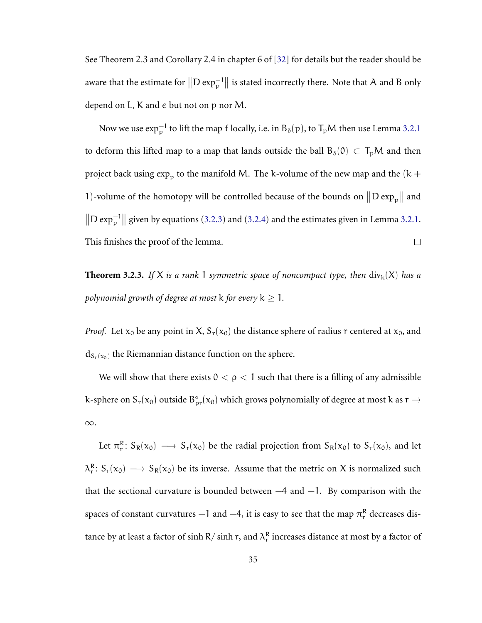See Theorem 2.3 and Corollary 2.4 in chapter 6 of [\[32\]](#page-78-0) for details but the reader should be aware that the estimate for  $\|D \exp_p^{-1}\|$  is stated incorrectly there. Note that A and B only depend on L, K and  $\epsilon$  but not on p nor M.

Now we use  $\exp_{\mathfrak{p}}^{-1}$  to lift the map f locally, i.e. in  $\text{B}_{\delta}(\mathfrak{p})$ , to  $\text{T}_{\mathfrak{p}}\mathcal{M}$  then use Lemma [3.2.1](#page-36-1) to deform this lifted map to a map that lands outside the ball  $B_\delta(0) \subset T_pM$  and then project back using  $\exp_{\mathbf{p}}$  to the manifold M. The k-volume of the new map and the (k + 1)-volume of the homotopy will be controlled because of the bounds on  $\|D \exp_p\|$  and  $\|\text{D exp}_{p}^{-1}\|$  given by equations [\(3.2.3\)](#page-38-0) and [\(3.2.4\)](#page-38-1) and the estimates given in Lemma [3.2.1.](#page-36-1) This finishes the proof of the lemma.  $\Box$ 

<span id="page-39-0"></span>**Theorem 3.2.3.** If X is a rank 1 symmetric space of noncompact type, then  $\text{div}_k(X)$  has a *polynomial growth of degree at most*  $k$  *for every*  $k \geq 1$ *.* 

*Proof.* Let  $x_0$  be any point in X,  $S_r(x_0)$  the distance sphere of radius r centered at  $x_0$ , and  $d_{S_r(x_0)}$  the Riemannian distance function on the sphere.

We will show that there exists  $0 < \rho < 1$  such that there is a filling of any admissible k-sphere on  $S_r(x_0)$  outside  $B_{\rho r}^{\circ}(x_0)$  which grows polynomially of degree at most k as  $r \to$ ∞.

Let  $\pi_r^R$ :  $S_R(x_0) \longrightarrow S_r(x_0)$  be the radial projection from  $S_R(x_0)$  to  $S_r(x_0)$ , and let  $\lambda_r^R$ :  $S_r(x_0) \longrightarrow S_R(x_0)$  be its inverse. Assume that the metric on X is normalized such that the sectional curvature is bounded between  $-4$  and  $-1$ . By comparison with the spaces of constant curvatures  $-1$  and  $-4$ , it is easy to see that the map  $\pi_r^R$  decreases distance by at least a factor of sinh R/ sinh r, and  $\lambda_r^R$  increases distance at most by a factor of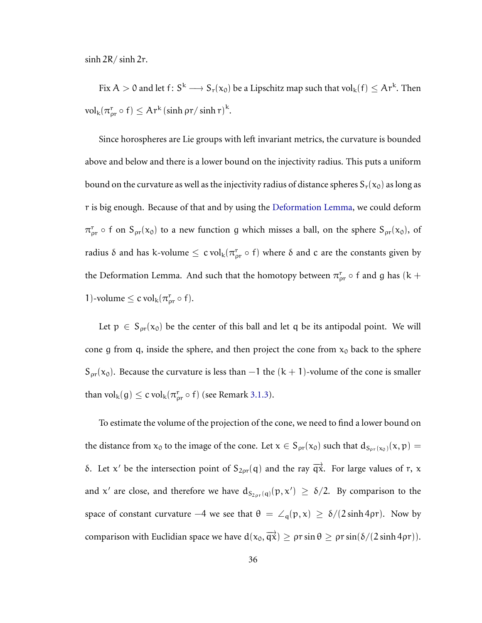$\sinh 2R/\sinh 2r$ .

Fix  $A > 0$  and let  $f: S^k \longrightarrow S_r(x_0)$  be a Lipschitz map such that  $vol_k(f) \leq Ar^k$ . Then  $\mathrm{vol}_{k}(\pi_{\rho r}^r \circ f) \leq \mathrm{Ar}^k(\sinh \rho r / \sinh r)^k.$ 

Since horospheres are Lie groups with left invariant metrics, the curvature is bounded above and below and there is a lower bound on the injectivity radius. This puts a uniform bound on the curvature as well as the injectivity radius of distance spheres  $S_r(x_0)$  as long as r is big enough. Because of that and by using the [Deformation Lemma,](#page-38-2) we could deform  $\pi_{\text{pr}}^{\text{r}}$   $\circ$  f on  $S_{\text{pr}}(x_0)$  to a new function g which misses a ball, on the sphere  $S_{\text{pr}}(x_0)$ , of radius δ and has k-volume  $\leq$  c vol<sub>k</sub>( $\pi_{\rho r}^r \circ f$ ) where δ and c are the constants given by the Deformation Lemma. And such that the homotopy between  $\pi_{\rho r}^{\rm r} \circ f$  and g has (k + 1)-volume  $\leq c \operatorname{vol}_{k}(\pi_{\rho r}^{r} \circ f)$ .

Let  $p \in S_{\text{pr}}(x_0)$  be the center of this ball and let q be its antipodal point. We will cone g from q, inside the sphere, and then project the cone from  $x_0$  back to the sphere  $S_{\text{pr}}(x_0)$ . Because the curvature is less than  $-1$  the  $(k + 1)$ -volume of the cone is smaller than  $\mathrm{vol}_{k}(g) \leq c \mathrm{vol}_{k}(\pi^{\mathsf{r}}_{\rho\mathsf{r}} \circ f)$  (see Remark [3.1.3\)](#page-35-0).

To estimate the volume of the projection of the cone, we need to find a lower bound on the distance from  $x_0$  to the image of the cone. Let  $x \in S_{\rho r}(x_0)$  such that  $d_{S_{\rho r}(x_0)}(x, p) =$ δ. Let x' be the intersection point of  $S_{2\rho r}(q)$  and the ray  $\overrightarrow{qx}$ . For large values of r, x and x' are close, and therefore we have  $d_{S_{2\rho r}(q)}(p, x') \ge \delta/2$ . By comparison to the space of constant curvature  $-4$  we see that  $\theta = \angle_q(p,x) \geq \delta/(2 \sinh 4\rho r)$ . Now by comparison with Euclidian space we have  $d(x_0, \overrightarrow{qx}) \geq \rho r \sin \theta \geq \rho r \sin(\delta/(2 \sinh 4\rho r)).$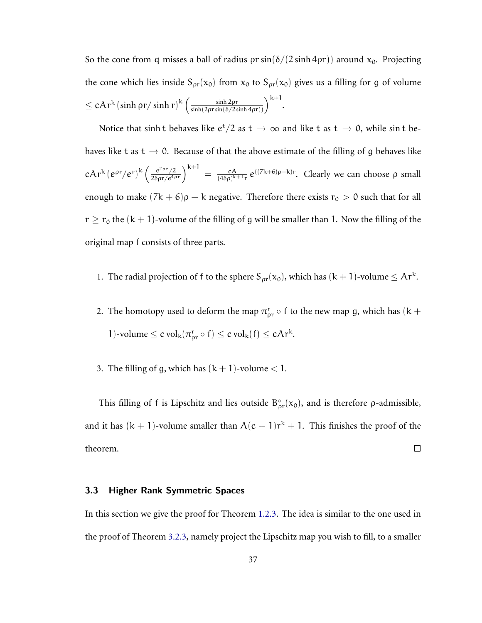So the cone from q misses a ball of radius  $\rho r \sin(\delta/(2 \sinh 4\rho r))$  around  $x_0$ . Projecting the cone which lies inside  $S_{\rho r}(x_0)$  from  $x_0$  to  $S_{\rho r}(x_0)$  gives us a filling for g of volume  $\leq$  cAr<sup>k</sup> (sinh  $\rho$ r/sinh r) $^{\rm k}$   $\left(\frac{\sinh 2\rho{\rm r}}{\sinh (2\rho{\rm r}\sin (\delta/2\sinh 4\rho{\rm r}))}\right)^{{\rm k}+1}.$ 

Notice that sinh t behaves like  $e^t/2$  as  $t \to \infty$  and like t as  $t \to 0$ , while sin t behaves like t as t  $\rightarrow$  0. Because of that the above estimate of the filling of g behaves like  $\mathrm{cAr^{k}\hskip 1pt (e^{\rho r}/e^r)^k\left(\frac{e^{2\rho r}/2}{2\delta\rho r/e^{4\rho r}}\right)^{k+1}}\,=\,\frac{\mathrm{cA}}{(4\delta\rho)^k}$  $\frac{cA}{(4\delta\rho)^{k+1}r}$  e<sup>((7k+6)ρ–k)</sup>r. Clearly we can choose ρ small enough to make  $(7k + 6)\rho - k$  negative. Therefore there exists  $r_0 > 0$  such that for all  $r \ge r_0$  the  $(k + 1)$ -volume of the filling of g will be smaller than 1. Now the filling of the original map f consists of three parts.

- 1. The radial projection of f to the sphere  $S_{\rho r}(x_0)$ , which has  $(k + 1)$ -volume  $\leq Ar^k$ .
- 2. The homotopy used to deform the map  $\pi_{\rho r}^r \circ f$  to the new map g, which has (k + 1)-volume  $\leq$  c vol<sub>k</sub>( $\pi_{\text{pr}}^{\text{r}}$   $\circ$  f)  $\leq$  c vol<sub>k</sub>(f)  $\leq$  cAr<sup>k</sup>.
- 3. The filling of g, which has  $(k + 1)$ -volume  $< 1$ .

This filling of f is Lipschitz and lies outside  $B_{\rho r}^{\circ}(x_0)$ , and is therefore  $\rho$ -admissible, and it has  $(k + 1)$ -volume smaller than  $A(c + 1)r^{k} + 1$ . This finishes the proof of the theorem.  $\Box$ 

#### <span id="page-41-0"></span>3.3 Higher Rank Symmetric Spaces

In this section we give the proof for Theorem [1.2.3.](#page-9-0) The idea is similar to the one used in the proof of Theorem [3.2.3,](#page-39-0) namely project the Lipschitz map you wish to fill, to a smaller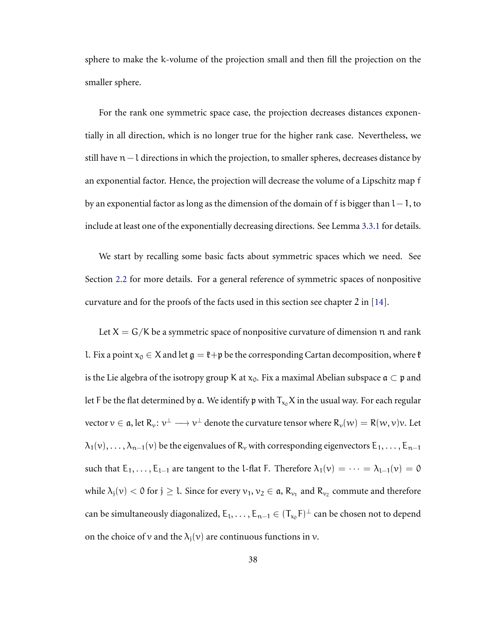sphere to make the k-volume of the projection small and then fill the projection on the smaller sphere.

For the rank one symmetric space case, the projection decreases distances exponentially in all direction, which is no longer true for the higher rank case. Nevertheless, we still have n−l directions in which the projection, to smaller spheres, decreases distance by an exponential factor. Hence, the projection will decrease the volume of a Lipschitz map f by an exponential factor as long as the dimension of the domain of f is bigger than  $l-1$ , to include at least one of the exponentially decreasing directions. See Lemma [3.3.1](#page-44-0) for details.

We start by recalling some basic facts about symmetric spaces which we need. See Section [2.2](#page-21-0) for more details. For a general reference of symmetric spaces of nonpositive curvature and for the proofs of the facts used in this section see chapter 2 in [\[14\]](#page-76-1).

Let  $X = G/K$  be a symmetric space of nonpositive curvature of dimension n and rank l. Fix a point  $x_0 \in X$  and let  $\mathfrak{g} = \mathfrak{k} + \mathfrak{p}$  be the corresponding Cartan decomposition, where  $\mathfrak{k}$ is the Lie algebra of the isotropy group K at  $x_0$ . Fix a maximal Abelian subspace  $\mathfrak{a} \subset \mathfrak{p}$  and let F be the flat determined by a. We identify p with  $T_{x_0}X$  in the usual way. For each regular vector  $v \in \mathfrak{a}$ , let  $R_v : v^{\perp} \longrightarrow v^{\perp}$  denote the curvature tensor where  $R_v(w) = R(w, v)v$ . Let  $\lambda_1(v), \ldots, \lambda_{n-1}(v)$  be the eigenvalues of  $R_v$  with corresponding eigenvectors  $E_1, \ldots, E_{n-1}$ such that  $E_1, \ldots, E_{l-1}$  are tangent to the l-flat F. Therefore  $\lambda_1(v) = \cdots = \lambda_{l-1}(v) = 0$ while  $\lambda_j(\nu)<$  0 for  $j\geq l.$  Since for every  $\nu_1,\nu_2\in\mathfrak{a},$   $\mathrm{R}_{\nu_1}$  and  $\mathrm{R}_{\nu_2}$  commute and therefore can be simultaneously diagonalized,  $E_1, \ldots, E_{n-1} \in (T_{x_0}F)^{\perp}$  can be chosen not to depend on the choice of v and the  $\lambda_i(v)$  are continuous functions in v.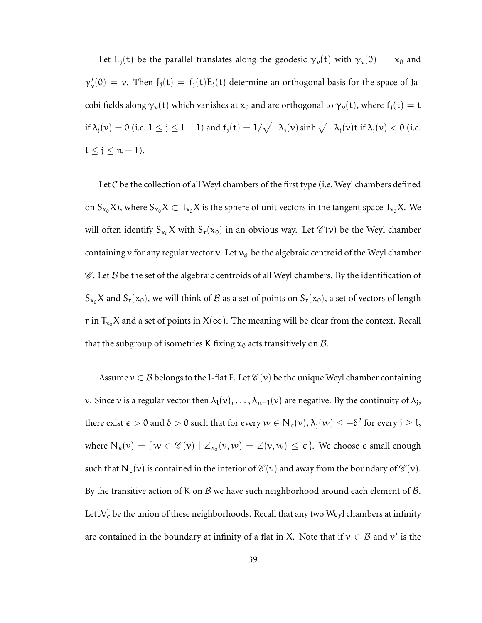Let E<sub>j</sub>(t) be the parallel translates along the geodesic  $\gamma_v(t)$  with  $\gamma_v(0) = x_0$  and  $\gamma'_{\nu}(0) = \nu$ . Then  $J_j(t) = f_j(t)E_j(t)$  determine an orthogonal basis for the space of Jacobi fields along  $\gamma_v(t)$  which vanishes at  $x_0$  and are orthogonal to  $\gamma_v(t)$ , where  $f_j(t) = t$ if  $\lambda_j(v) = 0$  (i.e.  $1 \le j \le l-1$ ) and  $f_j(t) = 1/\sqrt{-\lambda_j(v)} \sinh \sqrt{-\lambda_j(v)}$ t if  $\lambda_j(v) < 0$  (i.e.  $l \leq j \leq n-1$ ).

Let  $\mathcal C$  be the collection of all Weyl chambers of the first type (i.e. Weyl chambers defined on  $S_{x_0}X$ ), where  $S_{x_0}X \subset T_{x_0}X$  is the sphere of unit vectors in the tangent space  $T_{x_0}X$ . We will often identify  $S_{x_0}X$  with  $S_r(x_0)$  in an obvious way. Let  $\mathcal{C}(v)$  be the Weyl chamber containing v for any regular vector v. Let  $v_{\mathscr{C}}$  be the algebraic centroid of the Weyl chamber  $\mathscr C$ . Let  $\mathscr B$  be the set of the algebraic centroids of all Weyl chambers. By the identification of  $S_{x_0}X$  and  $S_r(x_0)$ , we will think of  $B$  as a set of points on  $S_r(x_0)$ , a set of vectors of length r in  $T_{x_0}X$  and a set of points in  $X(\infty)$ . The meaning will be clear from the context. Recall that the subgroup of isometries K fixing  $x_0$  acts transitively on  $\beta$ .

Assume  $v \in \mathcal{B}$  belongs to the l-flat F. Let  $\mathcal{C}(v)$  be the unique Weyl chamber containing v. Since v is a regular vector then  $\lambda_1(v), \ldots, \lambda_{n-1}(v)$  are negative. By the continuity of  $\lambda_j$ , there exist  $\epsilon > 0$  and  $\delta > 0$  such that for every  $w \in N_{\epsilon}(v), \lambda_j(w) \leq -\delta^2$  for every  $j \geq 1$ , where  $N_{\epsilon}(v) = \{ w \in \mathscr{C}(v) \mid \angle_{x_0}(v, w) = \angle(v, w) \leq \epsilon \}.$  We choose  $\epsilon$  small enough such that  $N_{\epsilon}(v)$  is contained in the interior of  $\mathscr{C}(v)$  and away from the boundary of  $\mathscr{C}(v)$ . By the transitive action of K on B we have such neighborhood around each element of B. Let  $\mathcal{N}_{\epsilon}$  be the union of these neighborhoods. Recall that any two Weyl chambers at infinity are contained in the boundary at infinity of a flat in X. Note that if  $v \in B$  and  $v'$  is the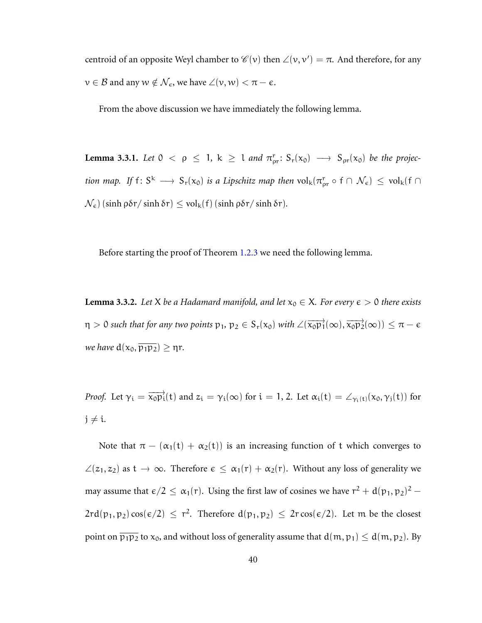centroid of an opposite Weyl chamber to  $\mathscr{C}(v)$  then  $\angle(v, v') = \pi$ . And therefore, for any  $v \in \mathcal{B}$  and any  $w \notin \mathcal{N}_{\epsilon}$ , we have  $\angle(v, w) < \pi - \epsilon$ .

<span id="page-44-0"></span>From the above discussion we have immediately the following lemma.

**Lemma 3.3.1.** Let  $0 < \rho \le 1$ ,  $k \ge 1$  and  $\pi_{\rho r}^r$ :  $S_r(x_0) \longrightarrow S_{\rho r}(x_0)$  be the projec*tion map.* If  $f: S^k \longrightarrow S_r(x_0)$  *is a Lipschitz map then*  $vol_k(\pi_{pr}^r \circ f \cap \mathcal{N}_{\epsilon}) \le vol_k(f \cap \mathcal{N}_{\epsilon})$  $\mathcal{N}_{\epsilon}$ ) (sinh ρδr/ sinh δr)  $\leq$  vol<sub>k</sub>(f) (sinh ρδr/ sinh δr).

<span id="page-44-1"></span>Before starting the proof of Theorem [1.2.3](#page-9-0) we need the following lemma.

**Lemma 3.3.2.** *Let* X *be a Hadamard manifold, and let*  $x_0 \in X$ *. For every*  $\epsilon > 0$  *there exists*  $\eta > 0$  such that for any two points  $p_1, p_2 \in S_r(x_0)$  with  $\angle(\overrightarrow{x_0p_1}(\infty), \overrightarrow{x_0p_2}(\infty)) \leq \pi - \epsilon$ *we have*  $d(x_0, \overline{p_1p_2}) \geq \eta r$ .

*Proof.* Let  $\gamma_i = \overrightarrow{x_0 p_i}(t)$  and  $z_i = \gamma_i(\infty)$  for  $i = 1, 2$ . Let  $\alpha_i(t) = \angle_{\gamma_i(t)}(x_0, \gamma_j(t))$  for  $j \neq i$ .

Note that  $\pi - (\alpha_1(t) + \alpha_2(t))$  is an increasing function of t which converges to  $\angle(z_1, z_2)$  as  $t \to \infty$ . Therefore  $\epsilon \leq \alpha_1(r) + \alpha_2(r)$ . Without any loss of generality we may assume that  $\epsilon/2 \leq \alpha_1(r)$ . Using the first law of cosines we have  $r^2 + d(p_1, p_2)^2$  –  $2rd(p_1, p_2) \cos(\epsilon/2) \leq r^2$ . Therefore  $d(p_1, p_2) \leq 2r \cos(\epsilon/2)$ . Let m be the closest point on  $\overline{p_1p_2}$  to  $x_0$ , and without loss of generality assume that  $d(m, p_1) \leq d(m, p_2)$ . By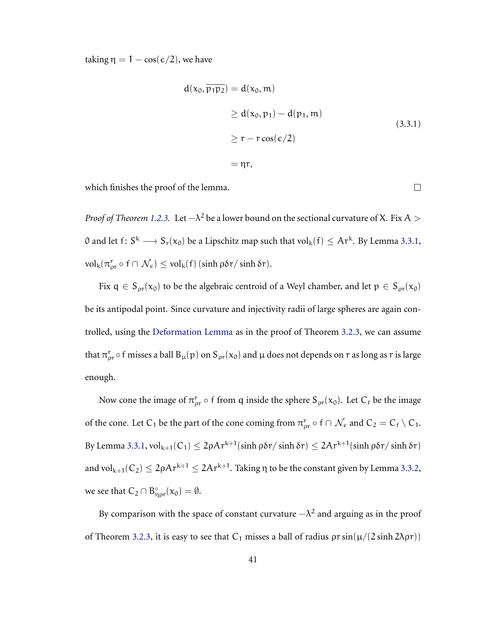taking  $\eta = 1 - \cos(\epsilon/2)$ , we have

$$
d(x_0, \overline{p_1 p_2}) = d(x_0, m)
$$
  
\n
$$
\geq d(x_0, p_1) - d(p_1, m)
$$
  
\n
$$
\geq r - r \cos(\epsilon/2)
$$
  
\n
$$
= \eta r,
$$
 (3.3.1)

which finishes the proof of the lemma.

 $\Box$ 

*Proof of Theorem [1.2.3.](#page-9-0)* Let  $-\lambda^2$  be a lower bound on the sectional curvature of X. Fix A > 0 and let  $f: S^k \longrightarrow S_r(x_0)$  be a Lipschitz map such that  $vol_k(f) \leq Ar^k$ . By Lemma [3.3.1,](#page-44-0)  $\mathrm{vol}_{k}(\pi_{\rho r}^{r} \circ f \cap \mathcal{N}_{\epsilon}) \leq \mathrm{vol}_{k}(f)$  (sinh  $\rho \delta r / \sinh \delta r$ ).

Fix  $q \in S_{\rho r}(x_0)$  to be the algebraic centroid of a Weyl chamber, and let  $p \in S_{\rho r}(x_0)$ be its antipodal point. Since curvature and injectivity radii of large spheres are again controlled, using the [Deformation Lemma](#page-38-2) as in the proof of Theorem [3.2.3,](#page-39-0) we can assume that  $\pi_{\rho r}^r$   $\circ$  f misses a ball  $B_\mu(p)$  on  $S_{\rho r}(x_0)$  and  $\mu$  does not depends on  $r$  as long as  $r$  is large enough.

Now cone the image of  $\pi_{\text{pr}}^r \circ f$  from q inside the sphere  $S_{\text{pr}}(x_0)$ . Let  $C_f$  be the image of the cone. Let C<sub>1</sub> be the part of the cone coming from  $\pi_{\text{pr}}^r \circ f \cap \mathcal{N}_{\epsilon}$  and  $C_2 = C_f \setminus C_1$ . By Lemma [3.3.1,](#page-44-0)  ${\rm vol}_{k+1}(C_1)\leq 2\rho A r^{k+1}(\sinh \rho\delta r/\sinh \delta r)\leq 2A r^{k+1}(\sinh \rho\delta r/\sinh \delta r)$ and vol $_{k+1}(C_2) \leq 2$ ρ $\mathcal{A}$ r $^{k+1}$   $\leq 2\mathcal{A}$ r $^{k+1}$ . Taking  $\eta$  to be the constant given by Lemma [3.3.2,](#page-44-1) we see that  $C_2 \cap B^{\circ}_{\eta \rho r}(x_0) = \emptyset$ .

By comparison with the space of constant curvature  $-\lambda^2$  and arguing as in the proof of Theorem [3.2.3,](#page-39-0) it is easy to see that  $C_1$  misses a ball of radius  $\rho r \sin(\mu/(2 \sinh 2\lambda \rho r))$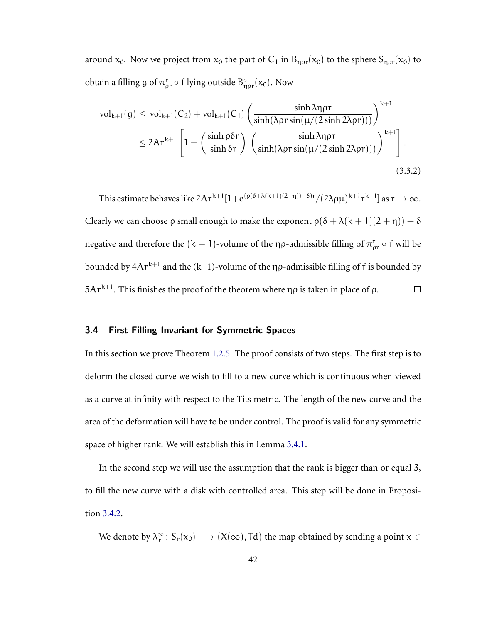around  $x_0$ . Now we project from  $x_0$  the part of  $C_1$  in  $B_{\eta \rho r}(x_0)$  to the sphere  $S_{\eta \rho r}(x_0)$  to obtain a filling g of  $\pi_{\rho r}^{\overline{r}} \circ f$  lying outside  $B_{\eta \rho r}^{\circ}(x_0)$ . Now

$$
\text{vol}_{k+1}(g) \le \text{vol}_{k+1}(C_2) + \text{vol}_{k+1}(C_1) \left( \frac{\sinh \lambda \eta \rho r}{\sinh(\lambda \rho r \sin(\mu/(2 \sinh 2\lambda \rho r)))} \right)^{k+1}
$$
  

$$
\le 2Ar^{k+1} \left[ 1 + \left( \frac{\sinh \rho \delta r}{\sinh \delta r} \right) \left( \frac{\sinh \lambda \eta \rho r}{\sinh(\lambda \rho r \sin(\mu/(2 \sinh 2\lambda \rho r)))} \right)^{k+1} \right].
$$
  
(3.3.2)

This estimate behaves like  $2Ar^{k+1}[1+e^{(\rho(\delta+\lambda(k+1)(2+\eta))-\delta)r}/(2\lambda\rho\mu)^{k+1}r^{k+1}]$  as  $r\to\infty$ . Clearly we can choose  $\rho$  small enough to make the exponent  $\rho(\delta + \lambda(k + 1)(2 + \eta)) - \delta$ negative and therefore the  $(k + 1)$ -volume of the ηρ-admissible filling of  $\pi_{\text{pr}}^r \circ f$  will be bounded by  $4Ar^{k+1}$  and the  $(k+1)$ -volume of the  $\eta\rho$ -admissible filling of  $f$  is bounded by  $5Ar^{k+1}$ . This finishes the proof of the theorem where  $\eta \rho$  is taken in place of  $\rho$ .  $\Box$ 

### 3.4 First Filling Invariant for Symmetric Spaces

In this section we prove Theorem [1.2.5.](#page-10-0) The proof consists of two steps. The first step is to deform the closed curve we wish to fill to a new curve which is continuous when viewed as a curve at infinity with respect to the Tits metric. The length of the new curve and the area of the deformation will have to be under control. The proof is valid for any symmetric space of higher rank. We will establish this in Lemma [3.4.1.](#page-47-0)

In the second step we will use the assumption that the rank is bigger than or equal 3, to fill the new curve with a disk with controlled area. This step will be done in Proposition [3.4.2.](#page-48-0)

We denote by  $\lambda_r^{\infty}$ :  $S_r(x_0) \longrightarrow (X(\infty), \text{Td})$  the map obtained by sending a point  $x \in$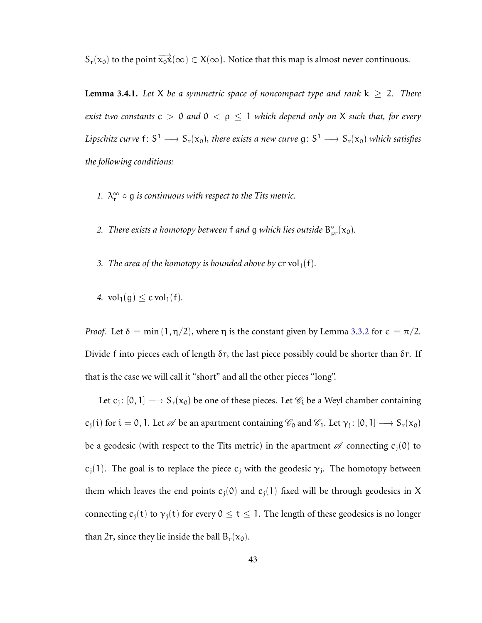<span id="page-47-0"></span> $S_r(x_0)$  to the point  $\overrightarrow{x_0x}(\infty) \in X(\infty)$ . Notice that this map is almost never continuous.

**Lemma 3.4.1.** Let X be a symmetric space of noncompact type and rank  $k \ge 2$ . There *exist two constants*  $c > 0$  *and*  $0 < \rho \le 1$  *which depend only on* X *such that, for every* Lipschitz curve  $f: S^1 \longrightarrow S_r(x_0)$ , there exists a new curve  $g: S^1 \longrightarrow S_r(x_0)$  which satisfies *the following conditions:*

- *1.*  $\lambda_r^{\infty} \circ g$  *is continuous with respect to the Tits metric.*
- 2. *There exists a homotopy between* f *and* g *which lies outside*  $B_{\text{pr}}^{\circ}(x_0)$ *.*
- *3. The area of the homotopy is bounded above by*  $\text{cr vol}_1(f)$ *.*
- *4.*  $vol_1(g) \leq cvol_1(f)$ .

*Proof.* Let  $\delta = \min(1, \eta/2)$ , where  $\eta$  is the constant given by Lemma [3.3.2](#page-44-1) for  $\epsilon = \pi/2$ . Divide f into pieces each of length δr, the last piece possibly could be shorter than δr. If that is the case we will call it "short" and all the other pieces "long".

Let  $c_j: [0,1] \longrightarrow S_r(x_0)$  be one of these pieces. Let  $\mathscr{C}_i$  be a Weyl chamber containing  $c_j(i)$  for  $i = 0, 1$ . Let  $\mathscr A$  be an apartment containing  $\mathscr C_0$  and  $\mathscr C_1$ . Let  $\gamma_j: [0, 1] \longrightarrow S_r(x_0)$ be a geodesic (with respect to the Tits metric) in the apartment  $\mathscr A$  connecting  $c_i(0)$  to  $c_j(1)$ . The goal is to replace the piece  $c_j$  with the geodesic  $\gamma_j$ . The homotopy between them which leaves the end points  $c_i(0)$  and  $c_i(1)$  fixed will be through geodesics in X connecting  $c_j(t)$  to  $\gamma_j(t)$  for every  $0 \le t \le 1$ . The length of these geodesics is no longer than 2r, since they lie inside the ball  $B_r(x_0)$ .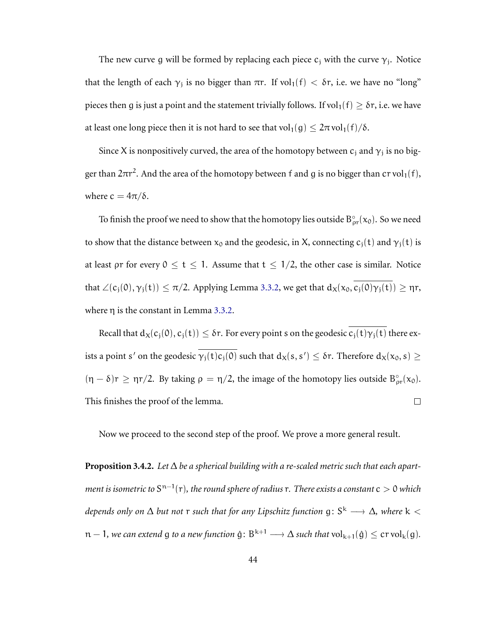The new curve g will be formed by replacing each piece  $c_j$  with the curve  $\gamma_j$ . Notice that the length of each  $\gamma_j$  is no bigger than πr. If vol<sub>1</sub>(f)  $< \delta r$ , i.e. we have no "long" pieces then g is just a point and the statement trivially follows. If vol<sub>1</sub>(f)  $\geq \delta r$ , i.e. we have at least one long piece then it is not hard to see that vol<sub>1</sub>(g)  $\leq 2\pi$  vol<sub>1</sub>(f)/ $\delta$ .

Since X is nonpositively curved, the area of the homotopy between  $c_j$  and  $\gamma_j$  is no bigger than 2 $\pi$ r<sup>2</sup>. And the area of the homotopy between f and g is no bigger than  $\operatorname{cr} \operatorname{vol}_1(f),$ where  $c = 4\pi/\delta$ .

To finish the proof we need to show that the homotopy lies outside  $B_{\rho r}^{\circ}(x_0)$ . So we need to show that the distance between  $x_0$  and the geodesic, in X, connecting  $c_i(t)$  and  $\gamma_i(t)$  is at least  $\rho r$  for every  $0 \le t \le 1$ . Assume that  $t \le 1/2$ , the other case is similar. Notice that  $\angle(c_j(0), \gamma_j(t)) \leq \pi/2$ . Applying Lemma [3.3.2,](#page-44-1) we get that  $d_X(x_0, c_j(0)\gamma_j(t)) \geq \eta r$ , where  $\eta$  is the constant in Lemma [3.3.2.](#page-44-1)

Recall that  $d_X(c_i(0), c_i(t)) \leq \delta r$ . For every point s on the geodesic  $\overline{c_i(t)\gamma_i(t)}$  there exists a point s' on the geodesic  $\gamma_j(t) c_j(0)$  such that  $d_X(s, s') \leq \delta r$ . Therefore  $d_X(x_0, s) \geq$  $(\eta - \delta)r \ge \eta r/2$ . By taking  $\rho = \eta/2$ , the image of the homotopy lies outside  $B_{\rho r}^{\circ}(x_0)$ . This finishes the proof of the lemma.  $\Box$ 

<span id="page-48-0"></span>Now we proceed to the second step of the proof. We prove a more general result.

**Proposition 3.4.2.** *Let* ∆ *be a spherical building with a re-scaled metric such that each apart*ment is isometric to S<sup>n−1</sup>(r), the round sphere of radius  $r$ . There exists a constant  $c>0$  which *depends only on* ∆ *but not* r *such that for any Lipschitz function* g: S <sup>k</sup> <sup>−</sup><sup>→</sup> <sup>∆</sup>*, where* k <  $n-1$ , we can extend g to a new function  $\hat{g} \colon B^{k+1} \longrightarrow \Delta$  such that  $\mathrm{vol}_{k+1}(\hat{g}) \leq \mathrm{cr}\,\mathrm{vol}_k(g)$ .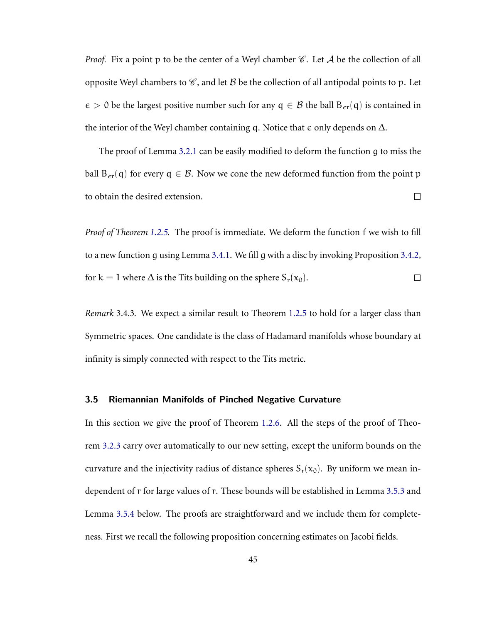*Proof.* Fix a point p to be the center of a Weyl chamber  $\mathscr C$ . Let  $\mathcal A$  be the collection of all opposite Weyl chambers to  $\mathscr C$ , and let  $\mathscr B$  be the collection of all antipodal points to p. Let  $\epsilon > 0$  be the largest positive number such for any  $q \in \mathcal{B}$  the ball  $B_{\epsilon r}(q)$  is contained in the interior of the Weyl chamber containing q. Notice that  $\epsilon$  only depends on  $\Delta$ .

The proof of Lemma [3.2.1](#page-36-1) can be easily modified to deform the function g to miss the ball  $B_{\epsilon r}(q)$  for every  $q \in \mathcal{B}$ . Now we cone the new deformed function from the point p to obtain the desired extension.  $\Box$ 

*Proof of Theorem [1.2.5.](#page-10-0)* The proof is immediate. We deform the function f we wish to fill to a new function g using Lemma [3.4.1.](#page-47-0) We fill g with a disc by invoking Proposition [3.4.2,](#page-48-0) for k = 1 where  $\Delta$  is the Tits building on the sphere  $S_r(x_0)$ .  $\Box$ 

*Remark* 3.4.3*.* We expect a similar result to Theorem [1.2.5](#page-10-0) to hold for a larger class than Symmetric spaces. One candidate is the class of Hadamard manifolds whose boundary at infinity is simply connected with respect to the Tits metric.

#### 3.5 Riemannian Manifolds of Pinched Negative Curvature

In this section we give the proof of Theorem [1.2.6.](#page-10-1) All the steps of the proof of Theorem [3.2.3](#page-39-0) carry over automatically to our new setting, except the uniform bounds on the curvature and the injectivity radius of distance spheres  $S_r(x_0)$ . By uniform we mean independent of r for large values of r. These bounds will be established in Lemma [3.5.3](#page-50-0) and Lemma [3.5.4](#page-51-0) below. The proofs are straightforward and we include them for completeness. First we recall the following proposition concerning estimates on Jacobi fields.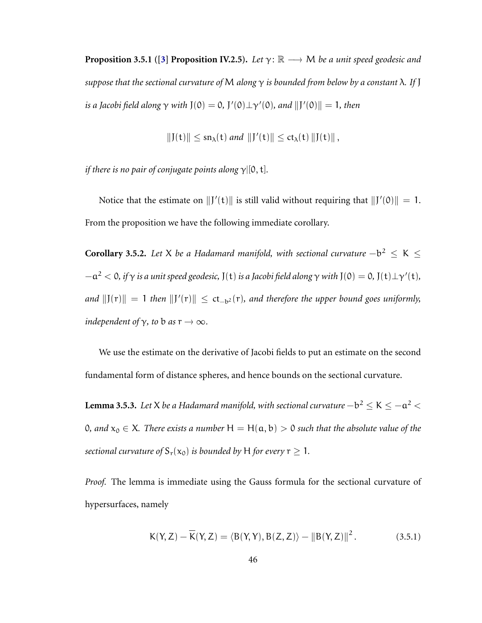**Proposition 3.5.1** ([\[3\]](#page-74-0) **Proposition IV.2.5**). Let  $\gamma$ :  $\mathbb{R} \longrightarrow M$  be a unit speed geodesic and *suppose that the sectional curvature of* M *along* γ *is bounded from below by a constant* λ*. If* J *is a Jacobi field along*  $\gamma$  *with* J(0) = 0, J'(0) $\perp \gamma'(0)$ *, and*  $||J'(0)|| = 1$ *, then* 

$$
||J(t)|| \le sn_{\lambda}(t) \text{ and } ||J'(t)|| \le ct_{\lambda}(t) ||J(t)||,
$$

*if there is no pair of conjugate points along* γ|[0, t]*.*

Notice that the estimate on  $||J'(t)||$  is still valid without requiring that  $||J'(0)|| = 1$ . From the proposition we have the following immediate corollary.

<span id="page-50-1"></span>**Corollary 3.5.2.** Let X be a Hadamard manifold, with sectional curvature  $-b^2 \le K \le$  $-a^2 < 0$ , if  $\gamma$  is a unit speed geodesic,  $J(t)$  is a Jacobi field along  $\gamma$  with  $J(0) = 0$ ,  $J(t)\bot\gamma'(t)$ , *and*  $||J(r)|| = 1$  *then*  $||J'(r)|| ≤ ct<sub>−b2</sub>(r)$ *, and therefore the upper bound goes uniformly, independent of*  $\gamma$ *, to* **b** *as*  $r \rightarrow \infty$ *.* 

We use the estimate on the derivative of Jacobi fields to put an estimate on the second fundamental form of distance spheres, and hence bounds on the sectional curvature.

<span id="page-50-0"></span>**Lemma 3.5.3.** Let X be a Hadamard manifold, with sectional curvature  $-b^2 \leq$  K  $\leq -a^2 <$ 0, and  $x_0$  ∈ X. There exists a number H = H( $\alpha$ ,  $\beta$ ) > 0 such that the absolute value of the *sectional curvature of*  $S_r(x_0)$  *is bounded by* H *for every*  $r \geq 1$ *.* 

*Proof.* The lemma is immediate using the Gauss formula for the sectional curvature of hypersurfaces, namely

$$
K(Y, Z) - \overline{K}(Y, Z) = \langle B(Y, Y), B(Z, Z) \rangle - ||B(Y, Z)||^2.
$$
 (3.5.1)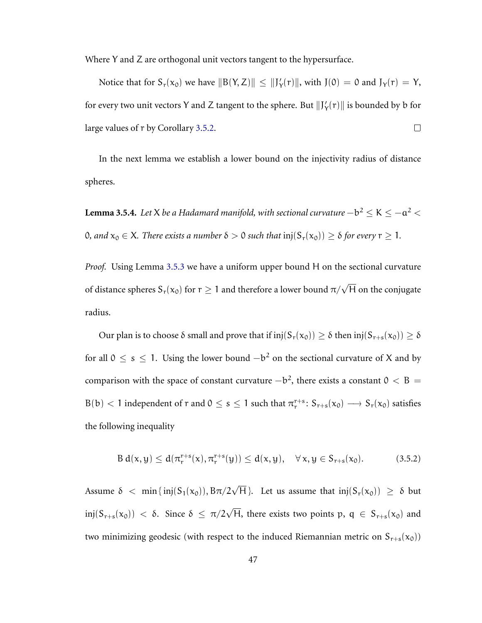Where Y and Z are orthogonal unit vectors tangent to the hypersurface.

Notice that for  $S_r(x_0)$  we have  $||B(Y, Z)|| \le ||J'_Y(r)||$ , with  $J(0) = 0$  and  $J_Y(r) = Y$ , for every two unit vectors Y and Z tangent to the sphere. But  $\|J'_Y(r)\|$  is bounded by b for large values of r by Corollary [3.5.2.](#page-50-1)  $\Box$ 

In the next lemma we establish a lower bound on the injectivity radius of distance spheres.

<span id="page-51-0"></span>**Lemma 3.5.4.** Let X be a Hadamard manifold, with sectional curvature  $-b^2 \leq$  K  $\leq -a^2 <$ 0, and  $x_0 \in X$ *. There exists a number*  $\delta > 0$  *such that*  $\text{inj}(S_r(x_0)) \geq \delta$  for every  $r \geq 1$ *.* 

*Proof.* Using Lemma [3.5.3](#page-50-0) we have a uniform upper bound H on the sectional curvature of distance spheres  ${\sf S}_\mathrm{r}(\mathsf{x}_0)$  for  $\mathsf{r}\geq 1$  and therefore a lower bound  $\pi/\sqrt{\mathsf{H}}$  on the conjugate radius.

Our plan is to choose  $\delta$  small and prove that if  $inj(S_r(x_0)) \geq \delta$  then  $inj(S_{r+s}(x_0)) \geq \delta$ for all 0 ≤ s ≤ 1. Using the lower bound  $-b^2$  on the sectional curvature of X and by comparison with the space of constant curvature  $-b^2$ , there exists a constant 0  $<$  B = B(b) < 1 independent of r and  $0 \le s \le 1$  such that  $\pi_r^{r+s}$ :  $S_{r+s}(x_0) \longrightarrow S_r(x_0)$  satisfies the following inequality

<span id="page-51-1"></span>
$$
B d(x,y) \le d(\pi_r^{r+s}(x), \pi_r^{r+s}(y)) \le d(x,y), \quad \forall x,y \in S_{r+s}(x_0). \tag{3.5.2}
$$

Assume  $\delta < \min\{\text{inj}(S_1(x_0)), \text{B}\pi/2\sqrt{\text{H}}\}$ . Let us assume that  $\text{inj}(S_r(x_0)) \geq \delta$  but inj $(S_{r+s}(x_0)) < \delta$ . Since  $\delta \leq \pi/2\sqrt{H}$ , there exists two points  $p, q \in S_{r+s}(x_0)$  and two minimizing geodesic (with respect to the induced Riemannian metric on  $S_{r+s}(x_0)$ )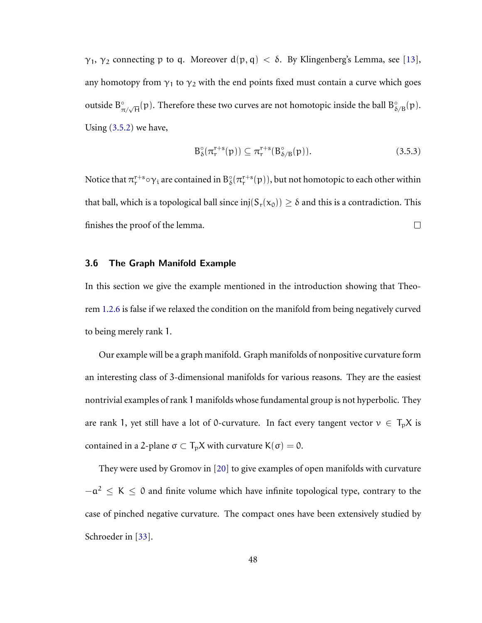$\gamma_1$ ,  $\gamma_2$  connecting p to q. Moreover  $d(p, q) < \delta$ . By Klingenberg's Lemma, see [\[13\]](#page-75-0), any homotopy from  $\gamma_1$  to  $\gamma_2$  with the end points fixed must contain a curve which goes outside  $B^{\circ}_{\pi/\sqrt{H}}(p)$ . Therefore these two curves are not homotopic inside the ball  $B^{\circ}_{\delta/B}(p)$ . Using [\(3.5.2\)](#page-51-1) we have,

$$
\mathcal{B}_{\delta}^{\circ}(\pi_{\mathbf{r}}^{\mathbf{r}+\mathbf{s}}(\mathbf{p})) \subseteq \pi_{\mathbf{r}}^{\mathbf{r}+\mathbf{s}}(\mathcal{B}_{\delta/B}^{\circ}(\mathbf{p})). \tag{3.5.3}
$$

Notice that  $\pi_r^{r+s} \circ \gamma_i$  are contained in  $B^\circ_\delta(\pi_r^{r+s}(p)),$  but not homotopic to each other within that ball, which is a topological ball since  $\text{inj}(S_r(x_0)) \geq \delta$  and this is a contradiction. This finishes the proof of the lemma.  $\Box$ 

#### 3.6 The Graph Manifold Example

In this section we give the example mentioned in the introduction showing that Theorem [1.2.6](#page-10-1) is false if we relaxed the condition on the manifold from being negatively curved to being merely rank 1.

Our example will be a graph manifold. Graph manifolds of nonpositive curvature form an interesting class of 3-dimensional manifolds for various reasons. They are the easiest nontrivial examples of rank 1 manifolds whose fundamental group is not hyperbolic. They are rank 1, yet still have a lot of 0-curvature. In fact every tangent vector  $v \in T_pX$  is contained in a 2-plane  $\sigma \subset T_pX$  with curvature  $K(\sigma) = 0$ .

They were used by Gromov in [\[20\]](#page-76-2) to give examples of open manifolds with curvature  $-a^2 \le K \le 0$  and finite volume which have infinite topological type, contrary to the case of pinched negative curvature. The compact ones have been extensively studied by Schroeder in [\[33\]](#page-78-1).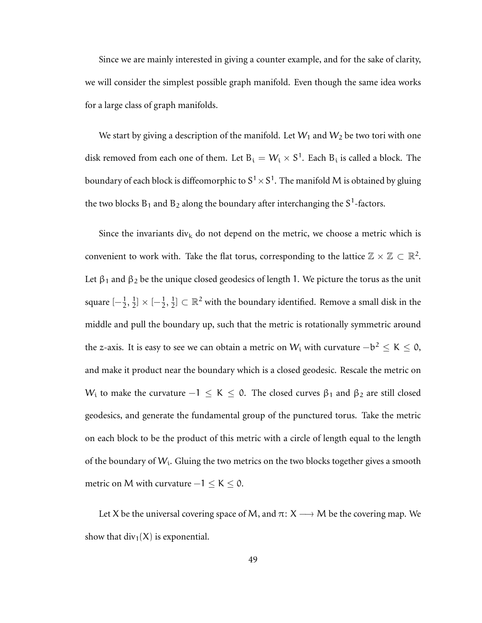Since we are mainly interested in giving a counter example, and for the sake of clarity, we will consider the simplest possible graph manifold. Even though the same idea works for a large class of graph manifolds.

We start by giving a description of the manifold. Let  $W_1$  and  $W_2$  be two tori with one disk removed from each one of them. Let  $B_i = W_i \times S^1$ . Each  $B_i$  is called a block. The boundary of each block is diffeomorphic to  $\mathrm{S}^1 \times \mathrm{S}^1.$  The manifold M is obtained by gluing the two blocks  $B_1$  and  $B_2$  along the boundary after interchanging the  $S^1$ -factors.

Since the invariants div<sub>k</sub> do not depend on the metric, we choose a metric which is convenient to work with. Take the flat torus, corresponding to the lattice  $\mathbb{Z} \times \mathbb{Z} \subset \mathbb{R}^2$ . Let  $\beta_1$  and  $\beta_2$  be the unique closed geodesics of length 1. We picture the torus as the unit square  $\left[-\frac{1}{2},\frac{1}{2}\right]$  $\frac{1}{2}$  ×  $\left[-\frac{1}{2},\frac{1}{2}\right]$  $\frac{1}{2}$ ]  $\subset \mathbb{R}^2$  with the boundary identified. Remove a small disk in the middle and pull the boundary up, such that the metric is rotationally symmetric around the z-axis. It is easy to see we can obtain a metric on  $W_{\rm i}$  with curvature  $-b^2 \leq {\rm K} \leq 0,$ and make it product near the boundary which is a closed geodesic. Rescale the metric on W<sub>i</sub> to make the curvature  $-1 \leq K \leq 0$ . The closed curves  $\beta_1$  and  $\beta_2$  are still closed geodesics, and generate the fundamental group of the punctured torus. Take the metric on each block to be the product of this metric with a circle of length equal to the length of the boundary of  $W_i$ . Gluing the two metrics on the two blocks together gives a smooth metric on M with curvature  $-1 \leq K \leq 0$ .

Let X be the universal covering space of M, and  $\pi: X \longrightarrow M$  be the covering map. We show that  $div_1(X)$  is exponential.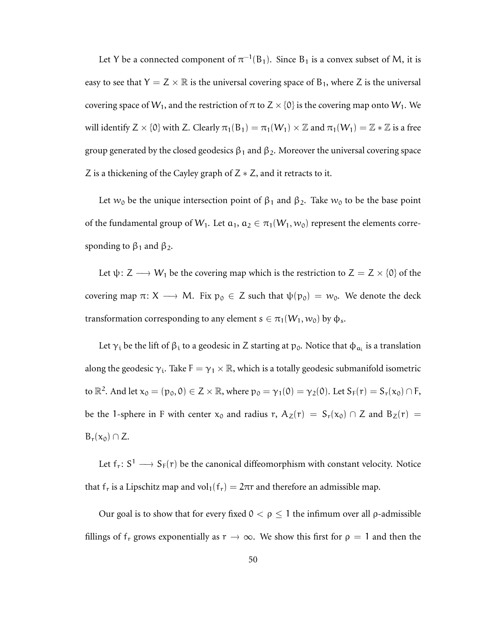Let Y be a connected component of  $\pi^{-1}(B_1)$ . Since  $B_1$  is a convex subset of M, it is easy to see that  $Y = Z \times \mathbb{R}$  is the universal covering space of B<sub>1</sub>, where Z is the universal covering space of  $W_1$ , and the restriction of  $\pi$  to  $Z \times \{0\}$  is the covering map onto  $W_1$ . We will identify  $Z \times \{0\}$  with Z. Clearly  $\pi_1(B_1) = \pi_1(W_1) \times \mathbb{Z}$  and  $\pi_1(W_1) = \mathbb{Z} \times \mathbb{Z}$  is a free group generated by the closed geodesics  $\beta_1$  and  $\beta_2$ . Moreover the universal covering space Z is a thickening of the Cayley graph of  $Z \times Z$ , and it retracts to it.

Let  $w_0$  be the unique intersection point of  $\beta_1$  and  $\beta_2$ . Take  $w_0$  to be the base point of the fundamental group of  $W_1$ . Let  $a_1, a_2 \in \pi_1(W_1, w_0)$  represent the elements corresponding to  $β_1$  and  $β_2$ .

Let  $\psi: Z \longrightarrow W_1$  be the covering map which is the restriction to  $Z = Z \times \{0\}$  of the covering map  $\pi: X \longrightarrow M$ . Fix  $p_0 \in Z$  such that  $\psi(p_0) = w_0$ . We denote the deck transformation corresponding to any element  $s \in \pi_1(W_1, w_0)$  by  $\phi_s$ .

Let  $\gamma_i$  be the lift of  $\beta_i$  to a geodesic in Z starting at  $p_0$ . Notice that  $\phi_{\alpha_i}$  is a translation along the geodesic  $\gamma_i$ . Take  $\bar{F} = \gamma_1 \times \mathbb{R}$ , which is a totally geodesic submanifold isometric to  $\mathbb{R}^2$ . And let  $x_0 = (p_0, 0) \in Z \times \mathbb{R}$ , where  $p_0 = \gamma_1(0) = \gamma_2(0)$ . Let  $S_F(r) = S_r(x_0) \cap F$ , be the 1-sphere in F with center  $x_0$  and radius r,  $A_Z(r) = S_r(x_0) \cap Z$  and  $B_Z(r) =$  $B_r(x_0) \cap Z$ .

Let  $f_r: S^1 \longrightarrow S_F(r)$  be the canonical diffeomorphism with constant velocity. Notice that f<sub>r</sub> is a Lipschitz map and vol<sub>1</sub>(f<sub>r</sub>) =  $2\pi r$  and therefore an admissible map.

Our goal is to show that for every fixed  $0 < \rho \leq 1$  the infimum over all  $\rho$ -admissible fillings of  $f_r$  grows exponentially as  $r \to \infty$ . We show this first for  $\rho = 1$  and then the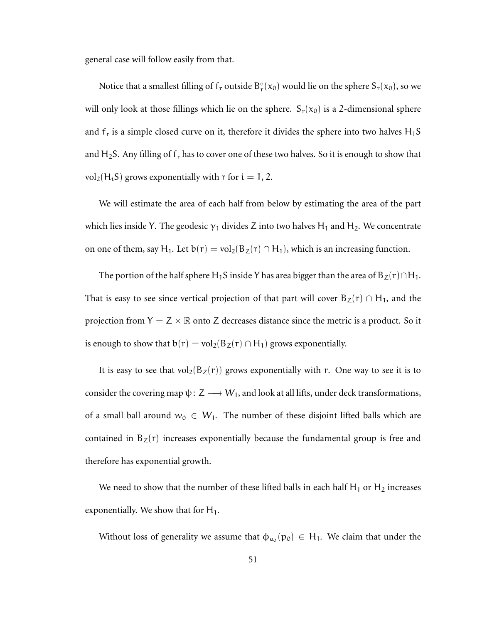general case will follow easily from that.

Notice that a smallest filling of  $f_r$  outside  $B_r^{\circ}(x_0)$  would lie on the sphere  $S_r(x_0)$ , so we will only look at those fillings which lie on the sphere.  $S_r(x_0)$  is a 2-dimensional sphere and  $f_r$  is a simple closed curve on it, therefore it divides the sphere into two halves  $H_1S$ and H<sub>2</sub>S. Any filling of  $f_r$  has to cover one of these two halves. So it is enough to show that vol<sub>2</sub>(H<sub>i</sub>S) grows exponentially with r for  $i = 1, 2$ .

We will estimate the area of each half from below by estimating the area of the part which lies inside Y. The geodesic  $\gamma_1$  divides Z into two halves H<sub>1</sub> and H<sub>2</sub>. We concentrate on one of them, say H<sub>1</sub>. Let  $b(r) = vol_2(B_Z(r) \cap H_1)$ , which is an increasing function.

The portion of the half sphere H<sub>1</sub>S inside Y has area bigger than the area of B<sub>Z</sub>(r)∩H<sub>1</sub>. That is easy to see since vertical projection of that part will cover  $B_Z(r) \cap H_1$ , and the projection from  $Y = Z \times \mathbb{R}$  onto Z decreases distance since the metric is a product. So it is enough to show that  $b(r) = vol_2(B_Z(r) \cap H_1)$  grows exponentially.

It is easy to see that  $vol_2(B_Z(r))$  grows exponentially with r. One way to see it is to consider the covering map  $\psi: Z \longrightarrow W_1$ , and look at all lifts, under deck transformations, of a small ball around  $w_0 \in W_1$ . The number of these disjoint lifted balls which are contained in  $B_{z}(r)$  increases exponentially because the fundamental group is free and therefore has exponential growth.

We need to show that the number of these lifted balls in each half  $H_1$  or  $H_2$  increases exponentially. We show that for  $H_1$ .

Without loss of generality we assume that  $\phi_{\alpha_2}(p_0) \in H_1$ . We claim that under the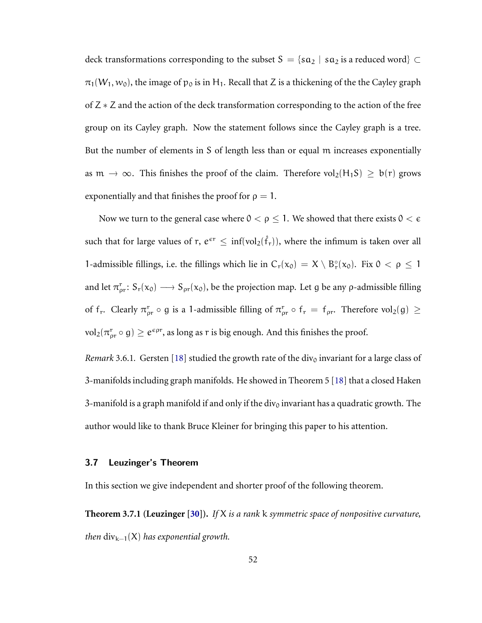deck transformations corresponding to the subset  $S = \{sa_2 \mid sa_2 \text{ is a reduced word}\}\subset$  $\pi_1(W_1, w_0)$ , the image of  $p_0$  is in H<sub>1</sub>. Recall that Z is a thickening of the the Cayley graph of Z ∗ Z and the action of the deck transformation corresponding to the action of the free group on its Cayley graph. Now the statement follows since the Cayley graph is a tree. But the number of elements in S of length less than or equal m increases exponentially as  $m \to \infty$ . This finishes the proof of the claim. Therefore vol<sub>2</sub>(H<sub>1</sub>S) ≥ b(r) grows exponentially and that finishes the proof for  $\rho = 1$ .

Now we turn to the general case where  $0 < \rho \leq 1$ . We showed that there exists  $0 < \epsilon$ such that for large values of  $r, e^{\epsilon r} \le \inf(\mathrm{vol}_2(\hat{f}_r)),$  where the infimum is taken over all 1-admissible fillings, i.e. the fillings which lie in  $C_r(x_0) = X \setminus B_r^{\circ}(x_0)$ . Fix  $0 < \rho \le 1$ and let  $\pi_{\rho r}^r: S_r(x_0) \longrightarrow S_{\rho r}(x_0)$ , be the projection map. Let g be any  $\rho$ -admissible filling of  $f_r$ . Clearly  $\pi_{\rho r}^r \circ g$  is a 1-admissible filling of  $\pi_{\rho r}^r \circ f_r = f_{\rho r}$ . Therefore vol<sub>2</sub>(g)  $\geq$  $\text{vol}_2(\pi_{\rho r}^{\mathsf{r}}\circ \mathsf{g})\geq e^{\epsilon\rho r}$ , as long as  $r$  is big enough. And this finishes the proof.

*Remark* 3.6.1. Gersten [\[18\]](#page-76-3) studied the growth rate of the div<sub>0</sub> invariant for a large class of 3-manifolds including graph manifolds. He showed in Theorem 5 [\[18\]](#page-76-3) that a closed Haken 3-manifold is a graph manifold if and only if the div<sub>0</sub> invariant has a quadratic growth. The author would like to thank Bruce Kleiner for bringing this paper to his attention.

#### 3.7 Leuzinger's Theorem

In this section we give independent and shorter proof of the following theorem.

**Theorem 3.7.1 (Leuzinger [\[30\]](#page-77-0)).** *If* X *is a rank* k *symmetric space of nonpositive curvature, then* div<sub>k−1</sub>(X) *has exponential growth.*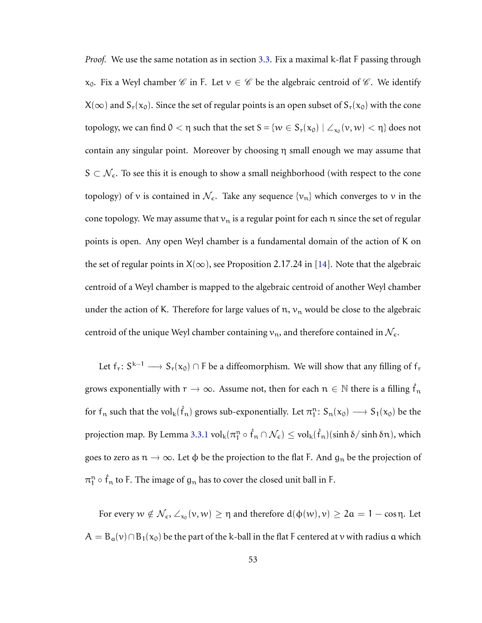*Proof.* We use the same notation as in section [3.3.](#page-41-0) Fix a maximal k-flat F passing through  $x_0$ . Fix a Weyl chamber  $\mathscr C$  in F. Let  $v \in \mathscr C$  be the algebraic centroid of  $\mathscr C$ . We identify  $X(\infty)$  and  $S_r(x_0)$ . Since the set of regular points is an open subset of  $S_r(x_0)$  with the cone topology, we can find  $0 < \eta$  such that the set  $S = \{w \in S_r(x_0) \mid \angle_{x_0}(v, w) < \eta\}$  does not contain any singular point. Moreover by choosing η small enough we may assume that  $S \subset \mathcal{N}_{\epsilon}$ . To see this it is enough to show a small neighborhood (with respect to the cone topology) of v is contained in  $\mathcal{N}_{\epsilon}$ . Take any sequence  $\{v_n\}$  which converges to v in the cone topology. We may assume that  $v_n$  is a regular point for each n since the set of regular points is open. Any open Weyl chamber is a fundamental domain of the action of K on the set of regular points in  $X(\infty)$ , see Proposition 2.17.24 in [\[14\]](#page-76-1). Note that the algebraic centroid of a Weyl chamber is mapped to the algebraic centroid of another Weyl chamber under the action of K. Therefore for large values of  $n$ ,  $v_n$  would be close to the algebraic centroid of the unique Weyl chamber containing  $v_n$ , and therefore contained in  $\mathcal{N}_{\epsilon}$ .

Let  $f_r: S^{k-1} \longrightarrow S_r(x_0) \cap F$  be a diffeomorphism. We will show that any filling of  $f_r$ grows exponentially with  $r\to\infty$ . Assume not, then for each  $n\in\mathbb{N}$  there is a filling  $\hat{f}_n$ for  $f_n$  such that the  $vol_k(\hat{f}_n)$  grows sub-exponentially. Let  $\pi_1^n: S_n(x_0) \longrightarrow S_1(x_0)$  be the projection map. By Lemma [3.3.1](#page-44-0)  ${\rm vol}_k(\pi_l^n\circ\hat{f}_n\cap\mathcal{N}_\epsilon)\leq {\rm vol}_k(\hat{f}_n)(\sinh\delta/\sinh\delta n),$  which goes to zero as  $n \to \infty$ . Let  $\phi$  be the projection to the flat F. And  $g_n$  be the projection of  $\pi_1^n \circ \hat{f}_n$  to F. The image of  $g_n$  has to cover the closed unit ball in F.

For every  $w \notin \mathcal{N}_{\epsilon}$ ,  $\angle_{x_0}(v, w) \geq \eta$  and therefore  $d(\phi(w), v) \geq 2\alpha = 1 - \cos \eta$ . Let  $A = B_{\alpha}(v) \cap B_1(x_0)$  be the part of the k-ball in the flat F centered at v with radius  $\alpha$  which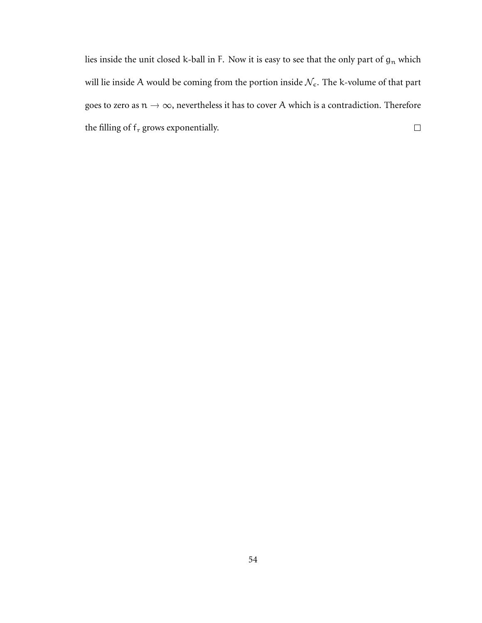lies inside the unit closed k-ball in F. Now it is easy to see that the only part of  $g_n$  which will lie inside A would be coming from the portion inside  $\mathcal{N}_{\epsilon}$ . The k-volume of that part goes to zero as  $n \to \infty$ , nevertheless it has to cover A which is a contradiction. Therefore the filling of  $\mathsf{f}_\mathrm{r}$  grows exponentially.  $\Box$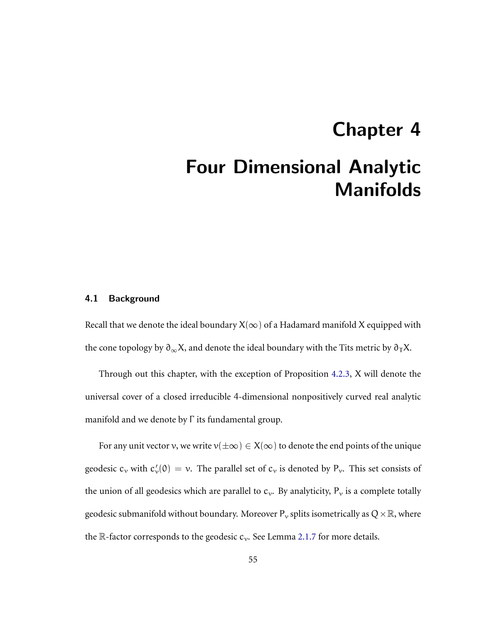# Chapter 4 Four Dimensional Analytic Manifolds

#### 4.1 Background

Recall that we denote the ideal boundary  $X(\infty)$  of a Hadamard manifold X equipped with the cone topology by  $\partial_{\infty}X$ , and denote the ideal boundary with the Tits metric by  $\partial_{\tau}X$ .

Through out this chapter, with the exception of Proposition [4.2.3,](#page-62-0) X will denote the universal cover of a closed irreducible 4-dimensional nonpositively curved real analytic manifold and we denote by Γ its fundamental group.

For any unit vector v, we write  $v(\pm \infty) \in X(\infty)$  to denote the end points of the unique geodesic  $c_v$  with  $c'_v(0) = v$ . The parallel set of  $c_v$  is denoted by  $P_v$ . This set consists of the union of all geodesics which are parallel to  $c_v$ . By analyticity,  $P_v$  is a complete totally geodesic submanifold without boundary. Moreover  $P_v$  splits isometrically as  $Q \times \mathbb{R}$ , where the  $\mathbb R$ -factor corresponds to the geodesic  $c_v$ . See Lemma [2.1.7](#page-18-0) for more details.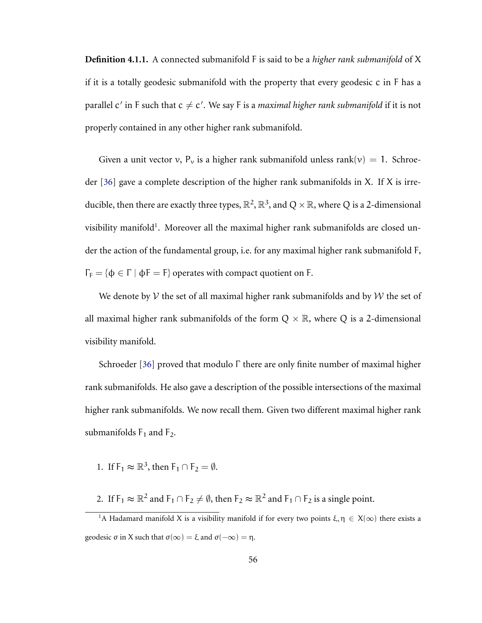**Definition 4.1.1.** A connected submanifold F is said to be a *higher rank submanifold* of X if it is a totally geodesic submanifold with the property that every geodesic c in F has a parallel  $\mathsf{c}'$  in F such that  $\mathsf{c} \neq \mathsf{c}'$ . We say F is a *maximal higher rank submanifold* if it is not properly contained in any other higher rank submanifold.

Given a unit vector v,  $P_v$  is a higher rank submanifold unless rank $(v) = 1$ . Schroeder [\[36\]](#page-78-2) gave a complete description of the higher rank submanifolds in X. If X is irreducible, then there are exactly three types,  $\mathbb{R}^2$ ,  $\mathbb{R}^3$ , and  $Q\times\mathbb{R}$ , where  $Q$  is a 2-dimensional visibility manifold<sup>1</sup>. Moreover all the maximal higher rank submanifolds are closed under the action of the fundamental group, i.e. for any maximal higher rank submanifold F,  $\Gamma_F = \{\Phi \in \Gamma \mid \Phi \equiv F\}$  operates with compact quotient on F.

We denote by  $V$  the set of all maximal higher rank submanifolds and by  $W$  the set of all maximal higher rank submanifolds of the form  $Q \times \mathbb{R}$ , where Q is a 2-dimensional visibility manifold.

Schroeder [\[36\]](#page-78-2) proved that modulo Γ there are only finite number of maximal higher rank submanifolds. He also gave a description of the possible intersections of the maximal higher rank submanifolds. We now recall them. Given two different maximal higher rank submanifolds  $F_1$  and  $F_2$ .

- 1. If  $F_1 \approx \mathbb{R}^3$ , then  $F_1 \cap F_2 = \emptyset$ .
- 2. If  $F_1 \approx \mathbb{R}^2$  and  $F_1 \cap F_2 \neq \emptyset$ , then  $F_2 \approx \mathbb{R}^2$  and  $F_1 \cap F_2$  is a single point.

<sup>&</sup>lt;sup>1</sup>A Hadamard manifold X is a visibility manifold if for every two points  $\xi, \eta \in X(\infty)$  there exists a geodesic  $\sigma$  in X such that  $\sigma(\infty) = \xi$  and  $\sigma(-\infty) = \eta$ .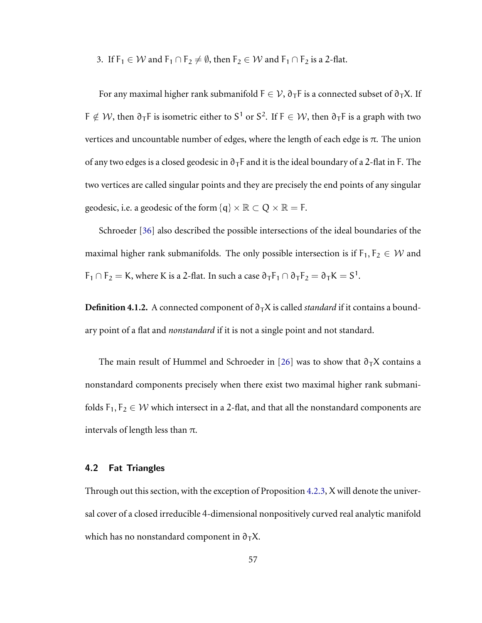3. If  $F_1 \in W$  and  $F_1 \cap F_2 \neq \emptyset$ , then  $F_2 \in W$  and  $F_1 \cap F_2$  is a 2-flat.

For any maximal higher rank submanifold  $F \in V$ ,  $\partial_T F$  is a connected subset of  $\partial_T X$ . If F  $\notin \mathcal{W}$ , then  $\partial_{\sf T}$ F is isometric either to S<sup>1</sup> or S<sup>2</sup>. If F  $\in \mathcal{W}$ , then  $\partial_{\sf T}$ F is a graph with two vertices and uncountable number of edges, where the length of each edge is  $\pi$ . The union of any two edges is a closed geodesic in  $\partial_{\tau}F$  and it is the ideal boundary of a 2-flat in F. The two vertices are called singular points and they are precisely the end points of any singular geodesic, i.e. a geodesic of the form  $\{q\} \times \mathbb{R} \subset Q \times \mathbb{R} = F$ .

Schroeder [\[36\]](#page-78-2) also described the possible intersections of the ideal boundaries of the maximal higher rank submanifolds. The only possible intersection is if  $F_1, F_2 \in W$  and  $F_1 \cap F_2 = K$ , where K is a 2-flat. In such a case  $\partial_T F_1 \cap \partial_T F_2 = \partial_T K = S^1$ .

**Definition 4.1.2.** A connected component of  $\partial$ <sub>T</sub>X is called *standard* if it contains a boundary point of a flat and *nonstandard* if it is not a single point and not standard.

The main result of Hummel and Schroeder in [\[26\]](#page-77-1) was to show that  $\partial_{T}X$  contains a nonstandard components precisely when there exist two maximal higher rank submanifolds  $F_1, F_2 \in W$  which intersect in a 2-flat, and that all the nonstandard components are intervals of length less than  $\pi$ .

### <span id="page-61-0"></span>4.2 Fat Triangles

Through out this section, with the exception of Proposition [4.2.3,](#page-62-0) X will denote the universal cover of a closed irreducible 4-dimensional nonpositively curved real analytic manifold which has no nonstandard component in  $\partial_T X$ .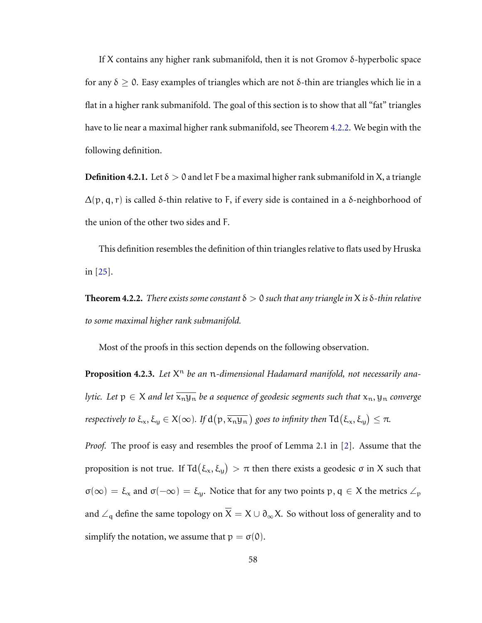If X contains any higher rank submanifold, then it is not Gromov δ-hyperbolic space for any  $δ ≥ 0$ . Easy examples of triangles which are not  $δ$ -thin are triangles which lie in a flat in a higher rank submanifold. The goal of this section is to show that all "fat" triangles have to lie near a maximal higher rank submanifold, see Theorem [4.2.2.](#page-62-1) We begin with the following definition.

**Definition 4.2.1.** Let  $\delta > 0$  and let F be a maximal higher rank submanifold in X, a triangle  $\Delta$ (p, q, r) is called δ-thin relative to F, if every side is contained in a δ-neighborhood of the union of the other two sides and F.

This definition resembles the definition of thin triangles relative to flats used by Hruska in [\[25\]](#page-77-2).

<span id="page-62-1"></span>**Theorem 4.2.2.** *There exists some constant*  $\delta > 0$  *such that any triangle in* X *is*  $\delta$ -*thin relative to some maximal higher rank submanifold.*

<span id="page-62-0"></span>Most of the proofs in this section depends on the following observation.

**Proposition 4.2.3.** Let  $X^n$  be an n-dimensional Hadamard manifold, not necessarily ana*lytic. Let*  $p \in X$  *and let*  $\overline{x_n y_n}$  *be a sequence of geodesic segments such that*  $x_n, y_n$  *converge respectively to*  $\xi_x$ ,  $\xi_y \in X(\infty)$ . If  $d(p, \overline{x_n y_n})$  goes to infinity then  $Td(\xi_x, \xi_y) \leq \pi$ .

*Proof.* The proof is easy and resembles the proof of Lemma 2.1 in [\[2\]](#page-74-1). Assume that the proposition is not true. If Td $(\xi_x,\xi_y) > \pi$  then there exists a geodesic σ in X such that  $\sigma(\infty) = \xi_x$  and  $\sigma(-\infty) = \xi_y$ . Notice that for any two points p,  $q \in X$  the metrics  $\angle_p$ and  $\angle_q$  define the same topology on  $\overline{X} = X \cup \partial_\infty X$ . So without loss of generality and to simplify the notation, we assume that  $p = \sigma(0)$ .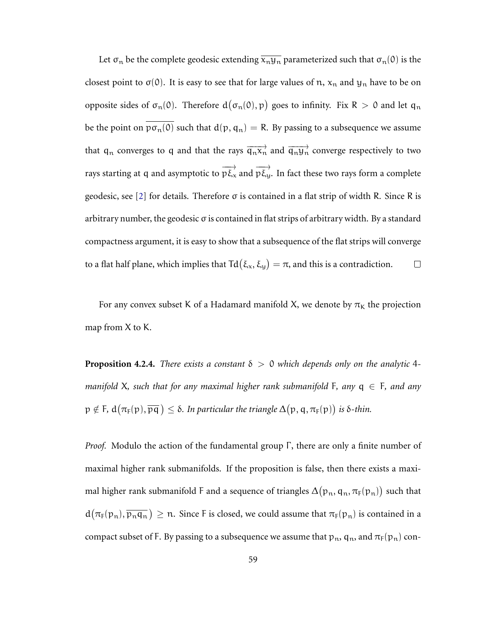Let  $\sigma_n$  be the complete geodesic extending  $\overline{x_n y_n}$  parameterized such that  $\sigma_n(0)$  is the closest point to  $\sigma(0)$ . It is easy to see that for large values of n,  $x_n$  and  $y_n$  have to be on opposite sides of  $\sigma_n(0)$ . Therefore  $d(\sigma_n(0), p)$  goes to infinity. Fix R > 0 and let  $q_n$ be the point on  $p\sigma_n(0)$  such that  $d(p, q_n) = R$ . By passing to a subsequence we assume that  $q_n$  converges to q and that the rays  $\overrightarrow{q_n x_n}$  and  $\overrightarrow{q_n y_n}$  converge respectively to two rays starting at q and asymptotic to  $\overrightarrow{p\xi_x}$  and  $\overrightarrow{p\xi_y}$ . In fact these two rays form a complete geodesic, see [\[2\]](#page-74-1) for details. Therefore σ is contained in a flat strip of width R. Since R is arbitrary number, the geodesic  $\sigma$  is contained in flat strips of arbitrary width. By a standard compactness argument, it is easy to show that a subsequence of the flat strips will converge to a flat half plane, which implies that  $\text{Td}(\xi_x, \xi_y) = \pi$ , and this is a contradiction.  $\Box$ 

For any convex subset K of a Hadamard manifold X, we denote by  $\pi<sub>K</sub>$  the projection map from X to K.

<span id="page-63-0"></span>**Proposition 4.2.4.** *There exists a constant*  $\delta > 0$  *which depends only on the analytic* 4*manifold* X, such that for any maximal higher rank submanifold F, any  $q \in F$ , and any  $\mathfrak{p}\notin \mathsf{F}$ ,  $\mathtt{d}\big(\pi_\mathsf{F}(\mathsf{p}), \overline{\mathsf{p}\mathsf{q}}\,\big)\leq \delta$ . In particular the triangle  $\Delta\big(\mathsf{p},\mathsf{q},\pi_\mathsf{F}(\mathsf{p})\big)$  is  $\delta$ -thin.

*Proof.* Modulo the action of the fundamental group  $\Gamma$ , there are only a finite number of maximal higher rank submanifolds. If the proposition is false, then there exists a maximal higher rank submanifold F and a sequence of triangles  $\Delta(p_n,q_n,\pi_{\texttt{F}}(p_n))$  such that  $d(\pi_F(p_n), \overline{p_nq_n}) \geq n$ . Since F is closed, we could assume that  $\pi_F(p_n)$  is contained in a compact subset of F. By passing to a subsequence we assume that  $p_n$ ,  $q_n$ , and  $\pi_F(p_n)$  con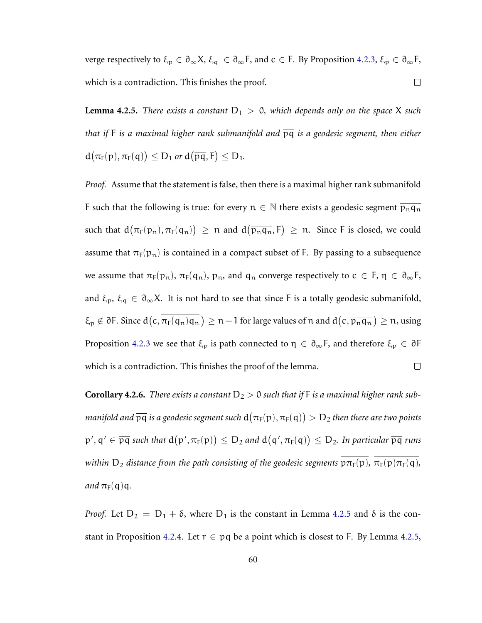verge respectively to  $\xi_p \in \partial_\infty X$ ,  $\xi_q \in \partial_\infty F$ , and  $c \in F$ . By Proposition [4.2.3,](#page-62-0)  $\xi_p \in \partial_\infty F$ ,  $\Box$ which is a contradiction. This finishes the proof.

<span id="page-64-0"></span>**Lemma 4.2.5.** *There exists a constant*  $D_1 > 0$ *, which depends only on the space* X *such that if* F *is a maximal higher rank submanifold and* pq *is a geodesic segment, then either*  $d(\pi_F(p), \pi_F(q)) \leq D_1$  *or*  $d(\overline{pq}, F) \leq D_1$ .

*Proof.* Assume that the statement is false, then there is a maximal higher rank submanifold F such that the following is true: for every  $n \in \mathbb{N}$  there exists a geodesic segment  $\overline{p_n q_n}$ such that  $d(\pi_F(p_n), \pi_F(q_n)) \ge n$  and  $d(\overline{p_nq_n}, F) \ge n$ . Since F is closed, we could assume that  $\pi_F(p_n)$  is contained in a compact subset of F. By passing to a subsequence we assume that  $\pi_F(p_n)$ ,  $\pi_F(q_n)$ ,  $p_n$ , and  $q_n$  converge respectively to  $c \in F$ ,  $\eta \in \partial_{\infty}F$ , and  $\xi_p$ ,  $\xi_q \in \partial_\infty X$ . It is not hard to see that since F is a totally geodesic submanifold,  $\xi_p\notin \partial$  F. Since  $d(c, \pi_F(q_n)q_n)\geq n-1$  for large values of  $n$  and  $d(c, \overline{p_nq_n})\geq n$ , using Proposition [4.2.3](#page-62-0) we see that  $\xi_p$  is path connected to  $\eta \in \partial_\infty F$ , and therefore  $\xi_p \in \partial F$ which is a contradiction. This finishes the proof of the lemma.  $\Box$ 

<span id="page-64-1"></span>**Corollary 4.2.6.** There exists a constant  $D_2 > 0$  such that if F is a maximal higher rank submanifold and  $\overline{\rm pq}$  is a geodesic segment such  ${\rm d}\big(\pi_{\rm F}({\rm p}),\pi_{\rm F}({\rm q})\big) > {\rm D}_2$  then there are two points  $\mathfrak{p}',\mathfrak{q}'\in\overline{\mathfrak{pq}}$  such that  $\textup{d}\big(\mathfrak{p}',\pi_\mathsf{F}(\mathfrak{p})\big)\leq\mathsf{D}_2$  and  $\textup{d}\big(\mathfrak{q}',\pi_\mathsf{F}(\mathfrak{q})\big)\leq\mathsf{D}_2.$  In particular  $\overline{\mathfrak{pq}}$  runs *within*  $D_2$  *distance from the path consisting of the geodesic segments*  $p\pi_F(p)$ ,  $\pi_F(p)\pi_F(q)$ , *and*  $\pi_F(q)q$ .

*Proof.* Let  $D_2 = D_1 + \delta$ , where  $D_1$  is the constant in Lemma [4.2.5](#page-64-0) and  $\delta$  is the con-stant in Proposition [4.2.4.](#page-63-0) Let  $r \in \overline{pq}$  be a point which is closest to F. By Lemma [4.2.5,](#page-64-0)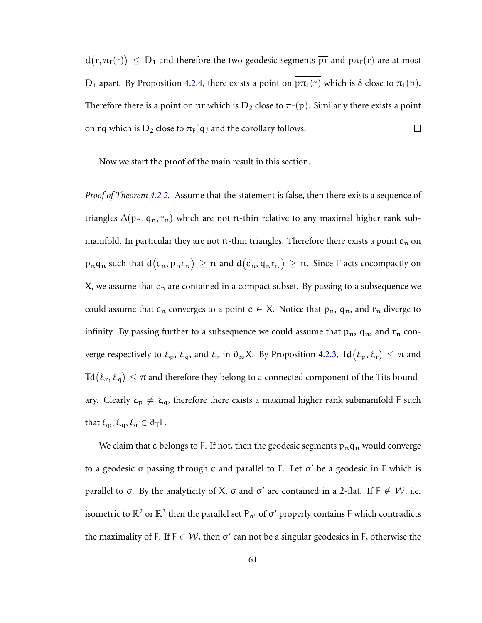$d(r, \pi_F(r)) \leq D_1$  and therefore the two geodesic segments  $\overline{pr}$  and  $p\pi_F(r)$  are at most D<sub>1</sub> apart. By Proposition [4.2.4,](#page-63-0) there exists a point on  $p\pi_F(r)$  which is  $\delta$  close to  $\pi_F(p)$ . Therefore there is a point on  $\overline{pr}$  which is D<sub>2</sub> close to  $\pi_F(p)$ . Similarly there exists a point on  $\overline{rq}$  which is D<sub>2</sub> close to  $\pi_F(q)$  and the corollary follows.  $\Box$ 

Now we start the proof of the main result in this section.

*Proof of Theorem [4.2.2.](#page-62-1)* Assume that the statement is false, then there exists a sequence of triangles  $\Delta(p_n, q_n, r_n)$  which are not n-thin relative to any maximal higher rank submanifold. In particular they are not n-thin triangles. Therefore there exists a point  $c_n$  on  $\overline{{\mathfrak p}_n{\mathfrak q}_n}$  such that  ${\rm d}(c_n,\overline{{\mathfrak p}_n{\mathfrak r}_n})\geq n$  and  ${\rm d}(c_n,\overline{{\mathfrak q}_n{\mathfrak r}_n})\geq n.$  Since  $\Gamma$  acts cocompactly on X, we assume that  $c_n$  are contained in a compact subset. By passing to a subsequence we could assume that  $c_n$  converges to a point  $c \in X$ . Notice that  $p_n$ ,  $q_n$ , and  $r_n$  diverge to infinity. By passing further to a subsequence we could assume that  $p_n$ ,  $q_n$ , and  $r_n$  converge respectively to  $\xi_p$ ,  $\xi_q$ , and  $\xi_r$  in  $\partial_\infty X$ . By Proposition [4.2.3,](#page-62-0)  $\text{Td}(\xi_p,\xi_r) \leq \pi$  and Td $(\xi_r,\xi_q)\leq \pi$  and therefore they belong to a connected component of the Tits boundary. Clearly  $\xi_p \neq \xi_q$ , therefore there exists a maximal higher rank submanifold F such that  $\xi_p, \xi_q, \xi_r \in \partial_T F$ .

We claim that c belongs to F. If not, then the geodesic segments  $\overline{p_nq_n}$  would converge to a geodesic  $σ$  passing through  $c$  and parallel to F. Let  $σ'$  be a geodesic in F which is parallel to  $\sigma$ . By the analyticity of X,  $\sigma$  and  $\sigma'$  are contained in a 2-flat. If F  $\notin W$ , i.e. isometric to  $\mathbb{R}^2$  or  $\mathbb{R}^3$  then the parallel set  $\mathsf{P}_{\sigma'}$  of  $\sigma'$  properly contains F which contradicts the maximality of F. If  $F \in W$ , then  $\sigma'$  can not be a singular geodesics in F, otherwise the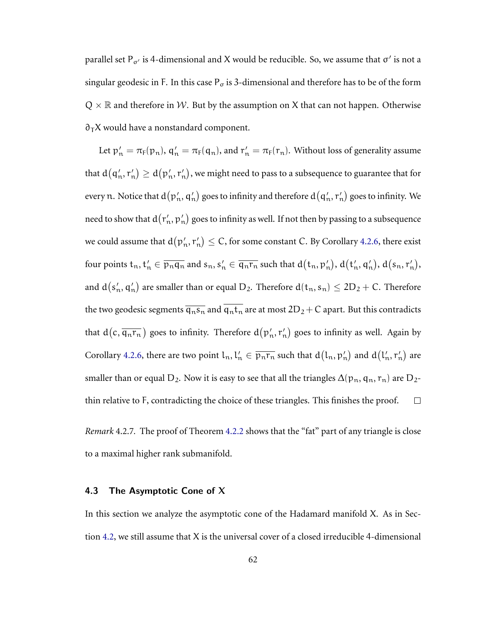parallel set P<sub>σ'</sub> is 4-dimensional and X would be reducible. So, we assume that  $\sigma'$  is not a singular geodesic in F. In this case  $P_{\sigma}$  is 3-dimensional and therefore has to be of the form  $Q \times \mathbb{R}$  and therefore in W. But by the assumption on X that can not happen. Otherwise  $\partial$ <sub>T</sub>X would have a nonstandard component.

Let  $p'_n = \pi_F(p_n)$ ,  $q'_n = \pi_F(q_n)$ , and  $r'_n = \pi_F(r_n)$ . Without loss of generality assume that  $\textup{d}\big(\textsf{q}'_{\rm n},\textsf{r}'_{\rm n}\big)\geq \textup{d}\big(\textsf{p}'_{\rm n},\textsf{r}'_{\rm n}\big),$  we might need to pass to a subsequence to guarantee that for every  $n.$  Notice that  $d(p_n',q_n')$  goes to infinity and therefore  $d(q_n',r_n')$  goes to infinity. We need to show that  ${\rm d}\big(r'_{\rm n}, {\rm p}'_{\rm n}\big)$  goes to infinity as well. If not then by passing to a subsequence we could assume that  $\rm d(p'_n,r'_n)\leq C,$  for some constant  $C.$  By Corollary [4.2.6,](#page-64-1) there exist four points  $t_n, t'_n \in \overline{p_nq_n}$  and  $s_n, s'_n \in \overline{q_nr_n}$  such that  $d(t_n, p'_n), d(t'_n, q'_n), d(s_n, r'_n),$ and  $\sf d\sf (s_n',q_n')$  are smaller than or equal  $\sf D_2.$  Therefore  $\sf d(t_n,s_n)\leq 2D_2+C.$  Therefore the two geodesic segments  $\overline{q_n s_n}$  and  $\overline{q_n t_n}$  are at most  $2D_2 + C$  apart. But this contradicts that  $d(c,\overline{q_nr_n})$  goes to infinity. Therefore  $d(p'_n,r'_n)$  goes to infinity as well. Again by Corollary [4.2.6,](#page-64-1) there are two point  $l_n$ ,  $l'_n \in \overline{p_nr_n}$  such that  $d(l_n, p'_n)$  and  $d(l'_n, r'_n)$  are smaller than or equal D<sub>2</sub>. Now it is easy to see that all the triangles  $\Delta(p_n, q_n, r_n)$  are D<sub>2</sub>thin relative to F, contradicting the choice of these triangles. This finishes the proof.  $\Box$ 

*Remark* 4.2.7*.* The proof of Theorem [4.2.2](#page-62-1) shows that the "fat" part of any triangle is close to a maximal higher rank submanifold.

## <span id="page-66-0"></span>4.3 The Asymptotic Cone of  $X$

In this section we analyze the asymptotic cone of the Hadamard manifold X. As in Section [4.2,](#page-61-0) we still assume that X is the universal cover of a closed irreducible 4-dimensional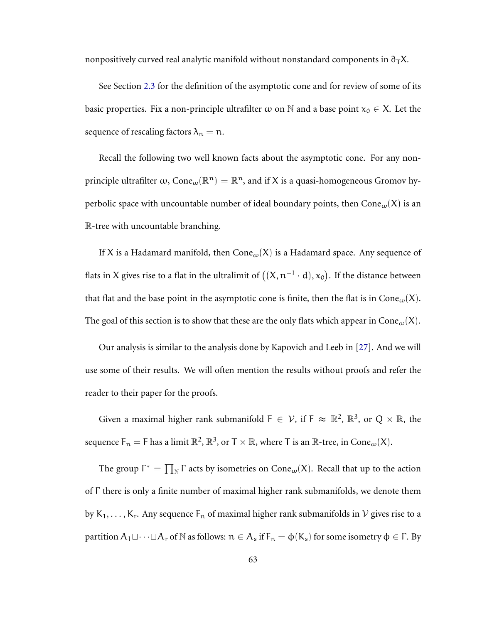nonpositively curved real analytic manifold without nonstandard components in  $\partial_{\tau}X$ .

See Section [2.3](#page-27-0) for the definition of the asymptotic cone and for review of some of its basic properties. Fix a non-principle ultrafilter  $\omega$  on N and a base point  $x_0 \in X$ . Let the sequence of rescaling factors  $\lambda_n = n$ .

Recall the following two well known facts about the asymptotic cone. For any nonprinciple ultrafilter  $\omega$ , Cone $_{\omega}(\mathbb{R}^n)=\mathbb{R}^n$ , and if X is a quasi-homogeneous Gromov hyperbolic space with uncountable number of ideal boundary points, then  $Cone<sub>w</sub>(X)$  is an R-tree with uncountable branching.

If X is a Hadamard manifold, then  $Cone<sub>ω</sub>(X)$  is a Hadamard space. Any sequence of flats in X gives rise to a flat in the ultralimit of  $((\textsf{X},\textsf{n}^{-1}\cdot \textsf{d}),\textsf{x}_{\textsf{0}}).$  If the distance between that flat and the base point in the asymptotic cone is finite, then the flat is in Cone<sub> $\omega$ </sub>(X). The goal of this section is to show that these are the only flats which appear in Cone<sub>ω</sub>(X).

Our analysis is similar to the analysis done by Kapovich and Leeb in [\[27\]](#page-77-3). And we will use some of their results. We will often mention the results without proofs and refer the reader to their paper for the proofs.

Given a maximal higher rank submanifold  $F \in \mathcal{V}$ , if  $F \approx \mathbb{R}^2$ ,  $\mathbb{R}^3$ , or  $Q \times \mathbb{R}$ , the sequence  $\mathsf{F}_\mathfrak{n}=\mathsf{F}$  has a limit  $\mathbb{R}^2,\mathbb{R}^3,$  or  $\mathsf{T}\times\mathbb{R},$  where  $\mathsf{T}$  is an  $\mathbb{R}\text{-}$ tree, in  $\mathsf{Cone}_\omega(\mathsf{X}).$ 

The group  $\Gamma^* = \prod_{N} \Gamma$  acts by isometries on  $Cone_{\omega}(X)$ . Recall that up to the action of Γ there is only a finite number of maximal higher rank submanifolds, we denote them by  $K_1, \ldots, K_r$ . Any sequence  $F_n$  of maximal higher rank submanifolds in  $\mathcal V$  gives rise to a partition  $A_1 \sqcup \cdots \sqcup A_r$  of  $\mathbb N$  as follows:  $n \in A_s$  if  $F_n = \varphi(K_s)$  for some isometry  $\varphi \in \Gamma$ . By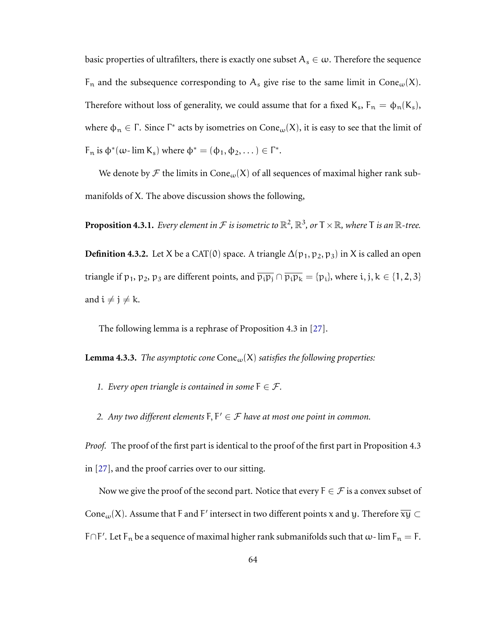basic properties of ultrafilters, there is exactly one subset  $A_s \in \omega$ . Therefore the sequence  $F_n$  and the subsequence corresponding to  $A_s$  give rise to the same limit in Cone<sub>ω</sub>(X). Therefore without loss of generality, we could assume that for a fixed  $K_s$ ,  $F_n = \phi_n(K_s)$ , where  $\phi_n \in \Gamma$ . Since  $\Gamma^*$  acts by isometries on  $Cone_{\omega}(X)$ , it is easy to see that the limit of  $F_n$  is  $\phi^*(\omega$ -  $\lim K_s)$  where  $\phi^* = (\phi_1, \phi_2, \dots) \in \Gamma^*$ .

We denote by F the limits in Cone<sub>w</sub>(X) of all sequences of maximal higher rank submanifolds of X. The above discussion shows the following,

<span id="page-68-0"></span>**Proposition 4.3.1.** *Every element in*  $\mathcal F$  *is isometric to*  $\mathbb R^2$ ,  $\mathbb R^3$ , or  $\mathsf T\times\mathbb R$ , where  $\mathsf T$  *is an*  $\mathbb R$ *-tree.* 

**Definition 4.3.2.** Let X be a CAT(0) space. A triangle  $\Delta(p_1, p_2, p_3)$  in X is called an open triangle if p<sub>1</sub>, p<sub>2</sub>, p<sub>3</sub> are different points, and  $\overline{p_ip_j} \cap \overline{p_ip_k} = \{p_i\}$ , where i, j, k ∈ {1, 2, 3} and  $i \neq j \neq k$ .

<span id="page-68-1"></span>The following lemma is a rephrase of Proposition 4.3 in [\[27\]](#page-77-3).

**Lemma 4.3.3.** *The asymptotic cone*  $Cone<sub>w</sub>(X)$  *satisfies the following properties:* 

- *1. Every open triangle is contained in some*  $F \in \mathcal{F}$ *.*
- *2. Any two different elements*  $F, F' \in \mathcal{F}$  *have at most one point in common.*

*Proof.* The proof of the first part is identical to the proof of the first part in Proposition 4.3 in [\[27\]](#page-77-3), and the proof carries over to our sitting.

Now we give the proof of the second part. Notice that every  $F \in \mathcal{F}$  is a convex subset of Cone $_{\omega}$ (X). Assume that F and F′ intersect in two different points x and y. Therefore  $\overline{\mathrm{x}\mathrm{y}}\subset$ F∩F'. Let F<sub>n</sub> be a sequence of maximal higher rank submanifolds such that  $\omega$ - lim F<sub>n</sub> = F.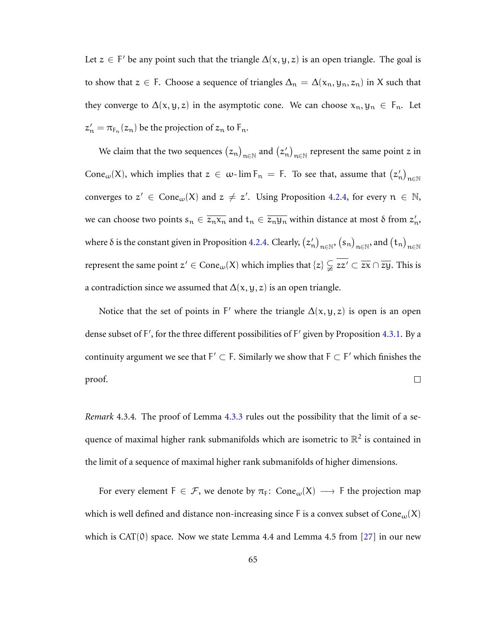Let  $z \in F'$  be any point such that the triangle  $\Delta(x, y, z)$  is an open triangle. The goal is to show that  $z \in F$ . Choose a sequence of triangles  $\Delta_n = \Delta(x_n, y_n, z_n)$  in X such that they converge to  $\Delta(x, y, z)$  in the asymptotic cone. We can choose  $x_n, y_n \in F_n$ . Let  $z'_n = \pi_{F_n}(z_n)$  be the projection of  $z_n$  to  $F_n$ .

We claim that the two sequences  $(z_n)_{n\in\mathbb{N}}$  and  $(z'_n)_{n\in\mathbb{N}}$  represent the same point  $z$  in Cone<sub>ω</sub>(X), which implies that  $z \in \omega$ -lim  $F_n = F$ . To see that, assume that  $(z'_n)_{n \in \mathbb{N}}$ converges to  $z' \in \text{Cone}_{\omega}(X)$  and  $z \neq z'$ . Using Proposition [4.2.4,](#page-63-0) for every  $n \in \mathbb{N}$ , we can choose two points  $s_n \in \overline{z_n x_n}$  and  $t_n \in \overline{z_n y_n}$  within distance at most  $\delta$  from  $z'_n$ , where  $\delta$  is the constant given in Proposition [4.2.4.](#page-63-0) Clearly,  $(z'_n)_{n\in\mathbb{N}},$   $(s_n)_{n\in\mathbb{N}},$  and  $(t_n)_{n\in\mathbb{N}}$ represent the same point  $z'\in\mathrm{Cone}_\omega(\mathsf{X})$  which implies that  $\{z\}\subsetneqq \overline{zz'}\subset \overline{zx}\cap \overline{zy}.$  This is a contradiction since we assumed that  $\Delta(x, y, z)$  is an open triangle.

Notice that the set of points in F' where the triangle  $\Delta(x, y, z)$  is open is an open dense subset of F', for the three different possibilities of F' given by Proposition [4.3.1.](#page-68-0) By a continuity argument we see that  $F' \subset F$ . Similarly we show that  $F \subset F'$  which finishes the proof.  $\Box$ 

*Remark* 4.3.4*.* The proof of Lemma [4.3.3](#page-68-1) rules out the possibility that the limit of a sequence of maximal higher rank submanifolds which are isometric to  $\mathbb{R}^2$  is contained in the limit of a sequence of maximal higher rank submanifolds of higher dimensions.

For every element  $F \in \mathcal{F}$ , we denote by  $\pi_F$ : Cone<sub>ω</sub>(X)  $\longrightarrow$  F the projection map which is well defined and distance non-increasing since F is a convex subset of Cone $_{\omega}(X)$ which is  $CAT(0)$  space. Now we state Lemma 4.4 and Lemma 4.5 from [\[27\]](#page-77-3) in our new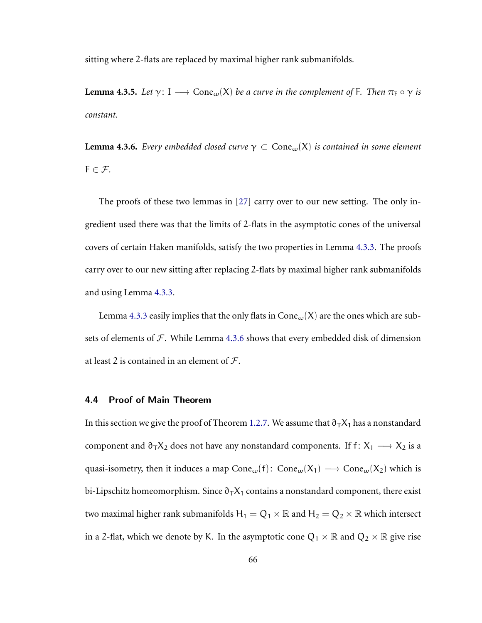sitting where 2-flats are replaced by maximal higher rank submanifolds.

**Lemma 4.3.5.** *Let*  $\gamma$ : I  $\longrightarrow$  Cone<sub>ω</sub>(X) *be a curve in the complement of* F. *Then*  $\pi_F \circ \gamma$  *is constant.*

<span id="page-70-0"></span>**Lemma 4.3.6.** *Every embedded closed curve*  $\gamma \subset \text{Cone}_{\omega}(X)$  *is contained in some element*  $F \in \mathcal{F}$ .

The proofs of these two lemmas in [\[27\]](#page-77-3) carry over to our new setting. The only ingredient used there was that the limits of 2-flats in the asymptotic cones of the universal covers of certain Haken manifolds, satisfy the two properties in Lemma [4.3.3.](#page-68-1) The proofs carry over to our new sitting after replacing 2-flats by maximal higher rank submanifolds and using Lemma [4.3.3.](#page-68-1)

Lemma [4.3.3](#page-68-1) easily implies that the only flats in  $Cone<sub>ω</sub>(X)$  are the ones which are subsets of elements of  $\mathcal F$ . While Lemma [4.3.6](#page-70-0) shows that every embedded disk of dimension at least 2 is contained in an element of  $\mathcal{F}$ .

# 4.4 Proof of Main Theorem

In this section we give the proof of Theorem [1.2.7.](#page-12-0) We assume that  $\partial_T X_1$  has a nonstandard component and  $\partial_T X_2$  does not have any nonstandard components. If f:  $X_1 \longrightarrow X_2$  is a quasi-isometry, then it induces a map  $Cone<sub>w</sub>(f)$ :  $Cone<sub>w</sub>(X<sub>1</sub>) \longrightarrow Cone<sub>w</sub>(X<sub>2</sub>)$  which is bi-Lipschitz homeomorphism. Since  $\partial_T X_1$  contains a nonstandard component, there exist two maximal higher rank submanifolds  $H_1 = Q_1 \times \mathbb{R}$  and  $H_2 = Q_2 \times \mathbb{R}$  which intersect in a 2-flat, which we denote by K. In the asymptotic cone  $Q_1 \times \mathbb{R}$  and  $Q_2 \times \mathbb{R}$  give rise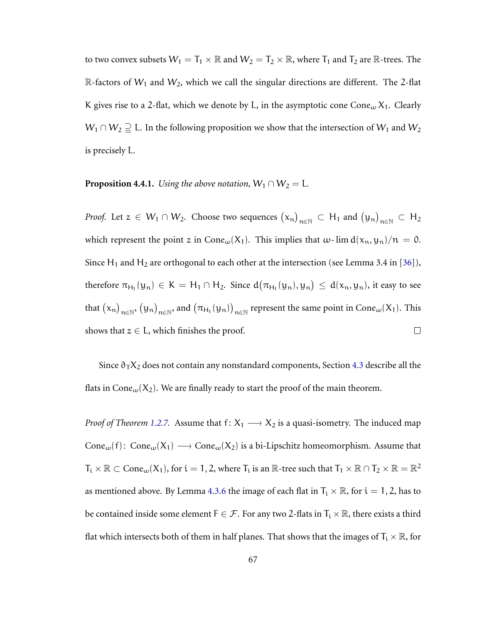to two convex subsets  $W_1 = T_1 \times \mathbb{R}$  and  $W_2 = T_2 \times \mathbb{R}$ , where  $T_1$  and  $T_2$  are  $\mathbb{R}$ -trees. The R-factors of  $W_1$  and  $W_2$ , which we call the singular directions are different. The 2-flat K gives rise to a 2-flat, which we denote by L, in the asymptotic cone Cone<sub> $\omega$ </sub> X<sub>1</sub>. Clearly  $W_1 \cap W_2 \supseteqeq L$ . In the following proposition we show that the intersection of  $W_1$  and  $W_2$ is precisely L.

# **Proposition 4.4.1.** *Using the above notation,*  $W_1 \cap W_2 = L$ *.*

*Proof.* Let  $z\in W_1\cap W_2$ . Choose two sequences  $(\mathrm{\mathsf{x}}_n)_{n\in\mathbb{N}}\subset\mathrm{H}_1$  and  $(\mathrm{\mathsf{y}}_n)_{n\in\mathbb{N}}\subset\mathrm{H}_2$ which represent the point z in Cone<sub> $\omega$ </sub>(X<sub>1</sub>). This implies that  $\omega$ -lim  $d(x_n, y_n)/n = 0$ . Since H<sub>1</sub> and H<sub>2</sub> are orthogonal to each other at the intersection (see Lemma 3.4 in [\[36\]](#page-78-2)), therefore  $\pi_{H_1}(y_n) \in K = H_1 \cap H_2$ . Since  $d(\pi_{H_1}(y_n), y_n) \le d(x_n, y_n)$ , it easy to see that  $(x_n)_{n\in\mathbb{N}}, (y_n)_{n\in\mathbb{N}}$ , and  $(\pi_{H_1}(y_n))_{n\in\mathbb{N}}$  represent the same point in  $Cone_\omega(X_1)$ . This shows that  $z \in L$ , which finishes the proof.  $\Box$ 

Since  $\partial_T X_2$  does not contain any nonstandard components, Section [4.3](#page-66-0) describe all the flats in Cone<sub>ω</sub>( $X_2$ ). We are finally ready to start the proof of the main theorem.

*Proof of Theorem [1.2.7.](#page-12-0)* Assume that  $f: X_1 \longrightarrow X_2$  is a quasi-isometry. The induced map Cone<sub>ω</sub>(f): Cone<sub>ω</sub>(X<sub>1</sub>)  $\longrightarrow$  Cone<sub>ω</sub>(X<sub>2</sub>) is a bi-Lipschitz homeomorphism. Assume that  $\mathsf{T_i}\times\mathbb{R}\subset\mathsf{Cone}_\omega(\mathsf{X}_1)$ , for  $\mathfrak{i}=1,2$ , where  $\mathsf{T_i}$  is an  $\mathbb{R}\text{-}$  tree such that  $\mathsf{T_1}\times\mathbb{R}\cap\mathsf{T_2}\times\mathbb{R}=\mathbb{R}^2$ as mentioned above. By Lemma [4.3.6](#page-70-0) the image of each flat in  $T_i \times \mathbb{R}$ , for  $i = 1, 2$ , has to be contained inside some element  $F \in \mathcal{F}$ . For any two 2-flats in  $T_i \times \mathbb{R}$ , there exists a third flat which intersects both of them in half planes. That shows that the images of  $T_i \times \mathbb{R}$ , for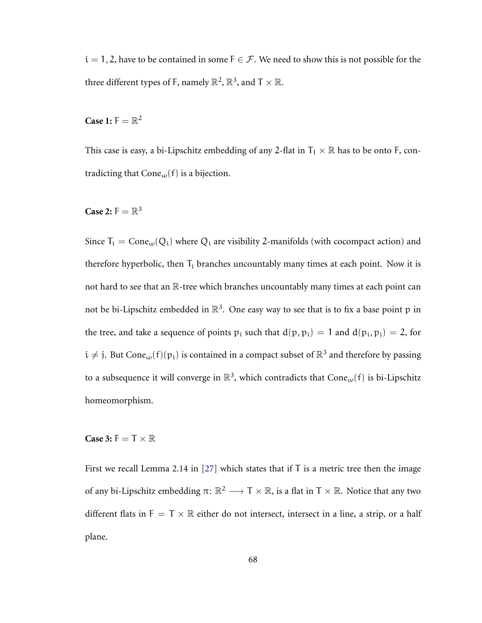$i = 1, 2$ , have to be contained in some  $F \in \mathcal{F}$ . We need to show this is not possible for the three different types of F, namely  $\mathbb{R}^2$ ,  $\mathbb{R}^3$ , and  $T \times \mathbb{R}$ .

**Case 1:**  $F = \mathbb{R}^2$ 

This case is easy, a bi-Lipschitz embedding of any 2-flat in  $T_1 \times \mathbb{R}$  has to be onto F, contradicting that Cone<sub>ω</sub> $(f)$  is a bijection.

**Case 2:**  $F = \mathbb{R}^3$ 

Since  $T_i = Cone_{\omega}(Q_i)$  where  $Q_i$  are visibility 2-manifolds (with cocompact action) and therefore hyperbolic, then  $T_i$  branches uncountably many times at each point. Now it is not hard to see that an R-tree which branches uncountably many times at each point can not be bi-Lipschitz embedded in  $\mathbb{R}^3$ . One easy way to see that is to fix a base point p in the tree, and take a sequence of points  $p_i$  such that  $d(p, p_i) = 1$  and  $d(p_i, p_j) = 2$ , for  $i \neq j$ . But Cone<sub>ω</sub>(f)( $p_i$ ) is contained in a compact subset of  $\mathbb{R}^3$  and therefore by passing to a subsequence it will converge in  $\mathbb{R}^3$ , which contradicts that  $Cone_\omega(f)$  is bi-Lipschitz homeomorphism.

**Case 3:**  $F = T \times \mathbb{R}$ 

First we recall Lemma 2.14 in [\[27\]](#page-77-0) which states that if  $T$  is a metric tree then the image of any bi-Lipschitz embedding  $\pi: \mathbb{R}^2 \longrightarrow T \times \mathbb{R}$ , is a flat in  $T \times \mathbb{R}$ . Notice that any two different flats in  $F = T \times \mathbb{R}$  either do not intersect, intersect in a line, a strip, or a half plane.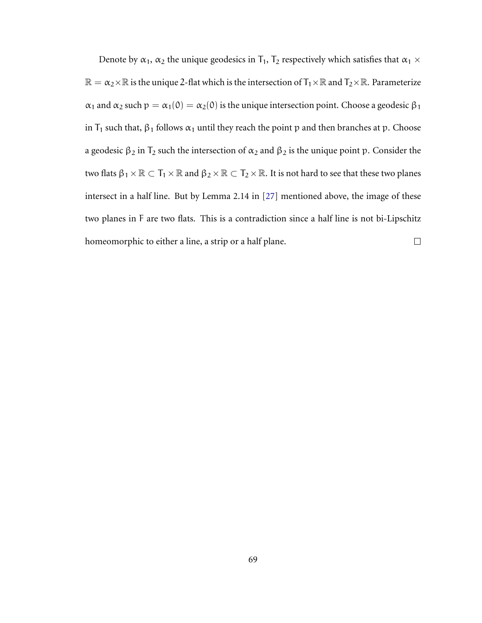Denote by  $\alpha_1$ ,  $\alpha_2$  the unique geodesics in  $T_1$ ,  $T_2$  respectively which satisfies that  $\alpha_1 \times$  $\mathbb{R} = \alpha_2 \times \mathbb{R}$  is the unique 2-flat which is the intersection of  $T_1 \times \mathbb{R}$  and  $T_2 \times \mathbb{R}$ . Parameterize  $\alpha_1$  and  $\alpha_2$  such  $p = \alpha_1(0) = \alpha_2(0)$  is the unique intersection point. Choose a geodesic  $\beta_1$ in  $T_1$  such that,  $\beta_1$  follows  $\alpha_1$  until they reach the point p and then branches at p. Choose a geodesic  $\beta_2$  in  $T_2$  such the intersection of  $\alpha_2$  and  $\beta_2$  is the unique point p. Consider the two flats  $\beta_1 \times \mathbb{R} \subset T_1 \times \mathbb{R}$  and  $\beta_2 \times \mathbb{R} \subset T_2 \times \mathbb{R}$ . It is not hard to see that these two planes intersect in a half line. But by Lemma 2.14 in [\[27\]](#page-77-0) mentioned above, the image of these two planes in F are two flats. This is a contradiction since a half line is not bi-Lipschitz homeomorphic to either a line, a strip or a half plane.  $\Box$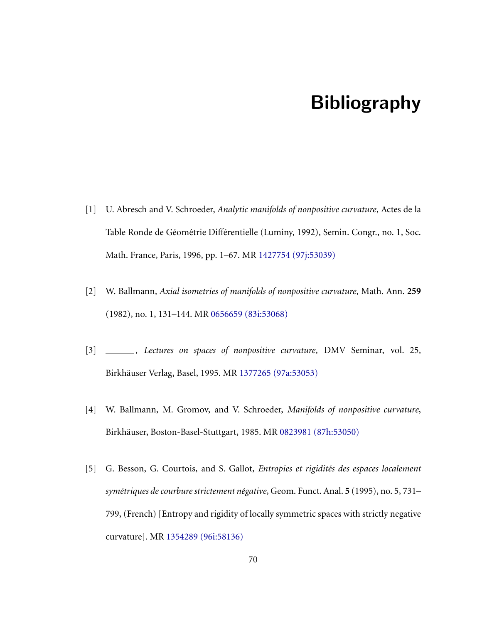## Bibliography

- [1] U. Abresch and V. Schroeder, *Analytic manifolds of nonpositive curvature*, Actes de la Table Ronde de Géométrie Différentielle (Luminy, 1992), Semin. Congr., no. 1, Soc. Math. France, Paris, 1996, pp. 1–67. MR [1427754 \(97j:53039\)](http://www.ams.org/mathscinet-getitem?mr=1427754)
- [2] W. Ballmann, *Axial isometries of manifolds of nonpositive curvature*, Math. Ann. **259** (1982), no. 1, 131–144. MR [0656659 \(83i:53068\)](http://www.ams.org/mathscinet-getitem?mr=0656659)
- [3] , *Lectures on spaces of nonpositive curvature*, DMV Seminar, vol. 25, Birkhäuser Verlag, Basel, 1995. MR [1377265 \(97a:53053\)](http://www.ams.org/mathscinet-getitem?mr=1377265)
- [4] W. Ballmann, M. Gromov, and V. Schroeder, *Manifolds of nonpositive curvature*, Birkhäuser, Boston-Basel-Stuttgart, 1985. MR [0823981 \(87h:53050\)](http://www.ams.org/mathscinet-getitem?mr=0823981)
- [5] G. Besson, G. Courtois, and S. Gallot, *Entropies et rigidités des espaces localement sym´etriques de courbure strictement n´egative*, Geom. Funct. Anal. **5** (1995), no. 5, 731– 799, (French) [Entropy and rigidity of locally symmetric spaces with strictly negative curvature]. MR [1354289 \(96i:58136\)](http://www.ams.org/mathscinet-getitem?mr=1354289)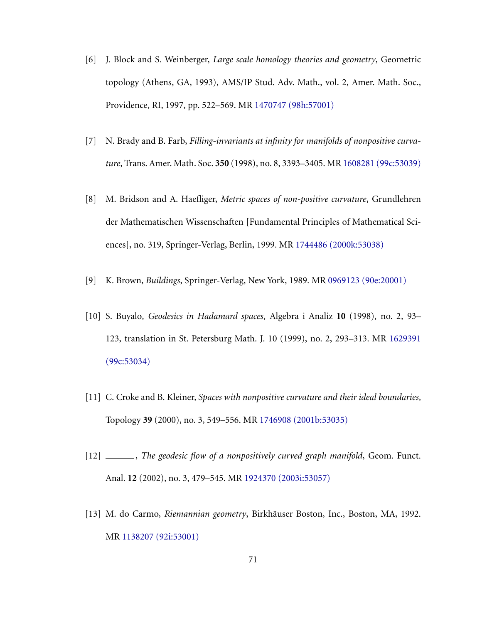- [6] J. Block and S. Weinberger, *Large scale homology theories and geometry*, Geometric topology (Athens, GA, 1993), AMS/IP Stud. Adv. Math., vol. 2, Amer. Math. Soc., Providence, RI, 1997, pp. 522–569. MR [1470747 \(98h:57001\)](http://www.ams.org/mathscinet-getitem?mr=1470747)
- [7] N. Brady and B. Farb, *Filling-invariants at infinity for manifolds of nonpositive curvature*, Trans. Amer. Math. Soc. **350** (1998), no. 8, 3393–3405. MR [1608281 \(99c:53039\)](http://www.ams.org/mathscinet-getitem?mr=1608281)
- [8] M. Bridson and A. Haefliger, *Metric spaces of non-positive curvature*, Grundlehren der Mathematischen Wissenschaften [Fundamental Principles of Mathematical Sciences], no. 319, Springer-Verlag, Berlin, 1999. MR [1744486 \(2000k:53038\)](http://www.ams.org/mathscinet-getitem?mr=1744486)
- [9] K. Brown, *Buildings*, Springer-Verlag, New York, 1989. MR [0969123 \(90e:20001\)](http://www.ams.org/mathscinet-getitem?mr=0969123)
- [10] S. Buyalo, *Geodesics in Hadamard spaces*, Algebra i Analiz **10** (1998), no. 2, 93– 123, translation in St. Petersburg Math. J. 10 (1999), no. 2, 293–313. MR [1629391](http://www.ams.org/mathscinet-getitem?mr=1629391) [\(99c:53034\)](http://www.ams.org/mathscinet-getitem?mr=1629391)
- [11] C. Croke and B. Kleiner, *Spaces with nonpositive curvature and their ideal boundaries*, Topology **39** (2000), no. 3, 549–556. MR [1746908 \(2001b:53035\)](http://www.ams.org/mathscinet-getitem?mr=1746908)
- [12] \_\_\_\_\_, *The geodesic flow of a nonpositively curved graph manifold*, Geom. Funct. Anal. **12** (2002), no. 3, 479–545. MR [1924370 \(2003i:53057\)](http://www.ams.org/mathscinet-getitem?mr=1924370)
- [13] M. do Carmo, *Riemannian geometry*, Birkhauser Boston, Inc., Boston, MA, 1992. ¨ MR [1138207 \(92i:53001\)](http://www.ams.org/mathscinet-getitem?mr=1138207)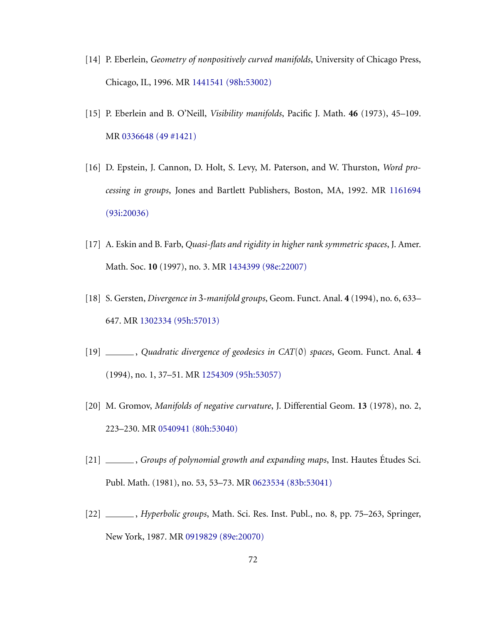- [14] P. Eberlein, *Geometry of nonpositively curved manifolds*, University of Chicago Press, Chicago, IL, 1996. MR [1441541 \(98h:53002\)](http://www.ams.org/mathscinet-getitem?mr=1441541)
- [15] P. Eberlein and B. O'Neill, *Visibility manifolds*, Pacific J. Math. **46** (1973), 45–109. MR [0336648 \(49 #1421\)](http://www.ams.org/mathscinet-getitem?mr=0336648)
- [16] D. Epstein, J. Cannon, D. Holt, S. Levy, M. Paterson, and W. Thurston, *Word processing in groups*, Jones and Bartlett Publishers, Boston, MA, 1992. MR [1161694](http://www.ams.org/mathscinet-getitem?mr=1161694) [\(93i:20036\)](http://www.ams.org/mathscinet-getitem?mr=1161694)
- [17] A. Eskin and B. Farb, *Quasi-flats and rigidity in higher rank symmetric spaces*, J. Amer. Math. Soc. **10** (1997), no. 3. MR [1434399 \(98e:22007\)](http://www.ams.org/mathscinet-getitem?mr=1434399)
- [18] S. Gersten, *Divergence in* 3*-manifold groups*, Geom. Funct. Anal. **4** (1994), no. 6, 633– 647. MR [1302334 \(95h:57013\)](http://www.ams.org/mathscinet-getitem?mr=1302334)
- [19] , *Quadratic divergence of geodesics in CAT*(0) *spaces*, Geom. Funct. Anal. **4** (1994), no. 1, 37–51. MR [1254309 \(95h:53057\)](http://www.ams.org/mathscinet-getitem?mr=1254309)
- [20] M. Gromov, *Manifolds of negative curvature*, J. Differential Geom. **13** (1978), no. 2, 223–230. MR [0540941 \(80h:53040\)](http://www.ams.org/mathscinet-getitem?mr=0540941)
- [21] , *Groups of polynomial growth and expanding maps*, Inst. Hautes Etudes Sci. ´ Publ. Math. (1981), no. 53, 53–73. MR [0623534 \(83b:53041\)](http://www.ams.org/mathscinet-getitem?mr=0623534)
- [22] , *Hyperbolic groups*, Math. Sci. Res. Inst. Publ., no. 8, pp. 75–263, Springer, New York, 1987. MR [0919829 \(89e:20070\)](http://www.ams.org/mathscinet-getitem?mr=0919829)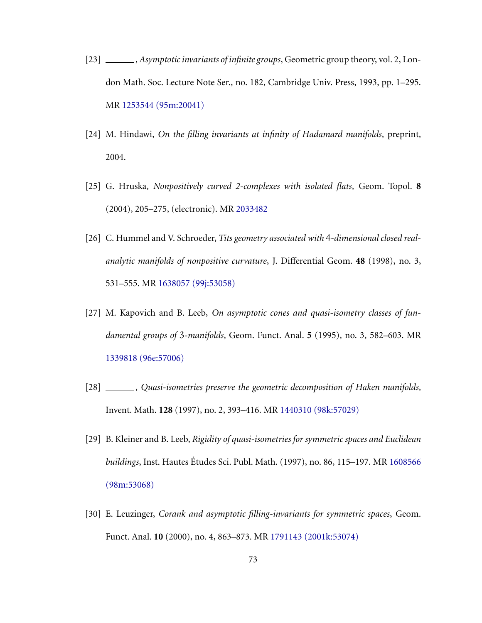- [23] , *Asymptotic invariants of infinite groups*, Geometric group theory, vol. 2, London Math. Soc. Lecture Note Ser., no. 182, Cambridge Univ. Press, 1993, pp. 1–295. MR [1253544 \(95m:20041\)](http://www.ams.org/mathscinet-getitem?mr=1253544)
- [24] M. Hindawi, *On the filling invariants at infinity of Hadamard manifolds*, preprint, 2004.
- [25] G. Hruska, *Nonpositively curved 2-complexes with isolated flats*, Geom. Topol. **8** (2004), 205–275, (electronic). MR [2033482](http://www.ams.org/mathscinet-getitem?mr=2033482)
- [26] C. Hummel and V. Schroeder, *Tits geometry associated with* 4*-dimensional closed realanalytic manifolds of nonpositive curvature*, J. Differential Geom. **48** (1998), no. 3, 531–555. MR [1638057 \(99j:53058\)](http://www.ams.org/mathscinet-getitem?mr=1638057)
- <span id="page-77-0"></span>[27] M. Kapovich and B. Leeb, *On asymptotic cones and quasi-isometry classes of fundamental groups of* 3*-manifolds*, Geom. Funct. Anal. **5** (1995), no. 3, 582–603. MR [1339818 \(96e:57006\)](http://www.ams.org/mathscinet-getitem?mr=1339818)
- [28] , *Quasi-isometries preserve the geometric decomposition of Haken manifolds*, Invent. Math. **128** (1997), no. 2, 393–416. MR [1440310 \(98k:57029\)](http://www.ams.org/mathscinet-getitem?mr=1440310)
- [29] B. Kleiner and B. Leeb, *Rigidity of quasi-isometries for symmetric spaces and Euclidean buildings*, Inst. Hautes Etudes Sci. Publ. Math. (1997), no. 86, 115–197. MR [1608566](http://www.ams.org/mathscinet-getitem?mr=1608566) [\(98m:53068\)](http://www.ams.org/mathscinet-getitem?mr=1608566)
- [30] E. Leuzinger, *Corank and asymptotic filling-invariants for symmetric spaces*, Geom. Funct. Anal. **10** (2000), no. 4, 863–873. MR [1791143 \(2001k:53074\)](http://www.ams.org/mathscinet-getitem?mr=1791143)